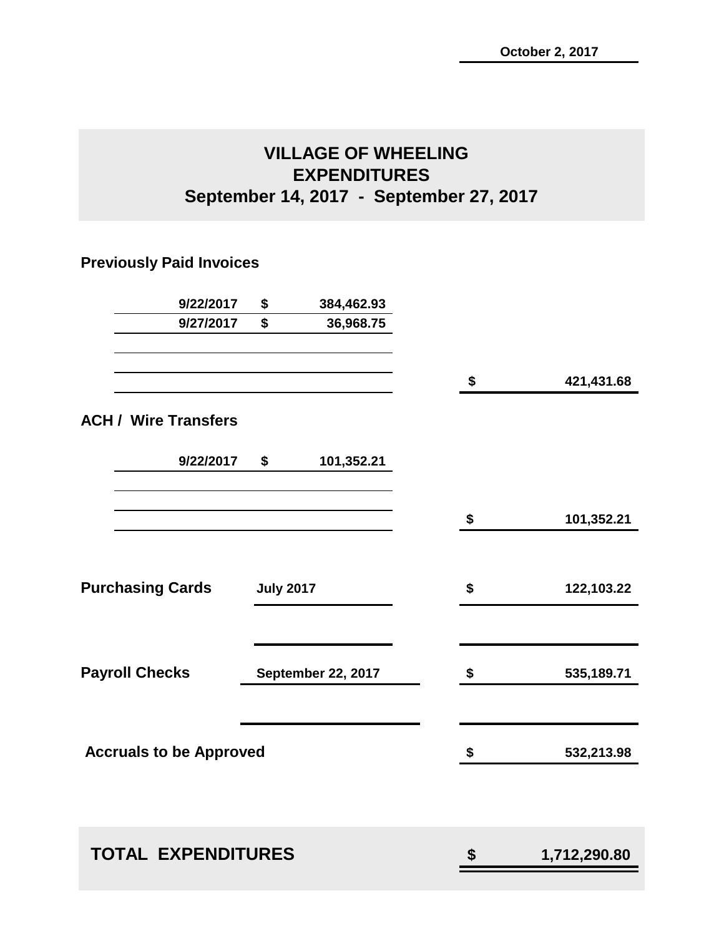# **VILLAGE OF WHEELING EXPENDITURES September 14, 2017 - September 27, 2017**

# **Previously Paid Invoices**

| 9/22/2017                      | \$               | 384,462.93         |                    |
|--------------------------------|------------------|--------------------|--------------------|
| 9/27/2017                      | \$               | 36,968.75          |                    |
|                                |                  |                    | \$<br>421,431.68   |
| <b>ACH / Wire Transfers</b>    |                  |                    |                    |
| 9/22/2017                      | \$               | 101,352.21         |                    |
|                                |                  |                    | \$<br>101,352.21   |
| <b>Purchasing Cards</b>        | <b>July 2017</b> |                    | \$<br>122,103.22   |
| <b>Payroll Checks</b>          |                  | September 22, 2017 | \$<br>535,189.71   |
| <b>Accruals to be Approved</b> |                  |                    | \$<br>532,213.98   |
|                                |                  |                    |                    |
| <b>TOTAL EXPENDITURES</b>      |                  |                    | \$<br>1,712,290.80 |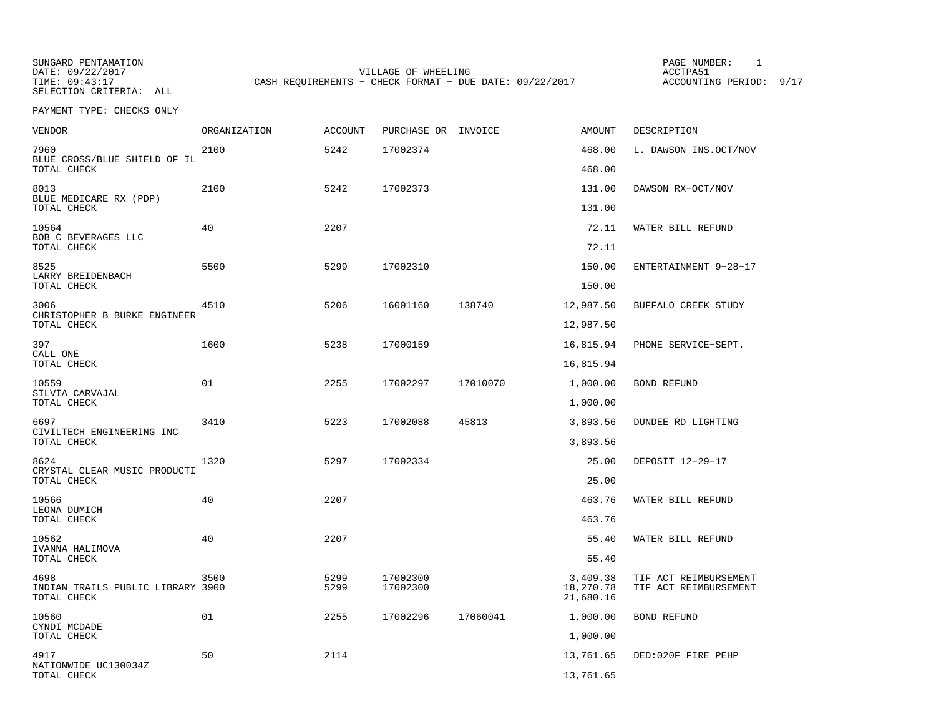SUNGARD PENTAMATION PAGE NUMBER: 1VILLAGE OF WHEELING **ACCTPA51** TIME: 09:43:17 CASH REQUIREMENTS - CHECK FORMAT - DUE DATE: 09/22/2017

ACCOUNTING PERIOD: 9/17

PAYMENT TYPE: CHECKS ONLY

| VENDOR                                           | ORGANIZATION | ACCOUNT | PURCHASE OR INVOICE |          | AMOUNT                 | DESCRIPTION           |
|--------------------------------------------------|--------------|---------|---------------------|----------|------------------------|-----------------------|
| 7960<br>BLUE CROSS/BLUE SHIELD OF IL             | 2100         | 5242    | 17002374            |          | 468.00                 | L. DAWSON INS.OCT/NOV |
| TOTAL CHECK                                      |              |         |                     |          | 468.00                 |                       |
| 8013<br>BLUE MEDICARE RX (PDP)                   | 2100         | 5242    | 17002373            |          | 131.00                 | DAWSON RX-OCT/NOV     |
| TOTAL CHECK                                      |              |         |                     |          | 131.00                 |                       |
| 10564<br>BOB C BEVERAGES LLC<br>TOTAL CHECK      | 40           | 2207    |                     |          | 72.11<br>72.11         | WATER BILL REFUND     |
| 8525                                             | 5500         | 5299    | 17002310            |          | 150.00                 | ENTERTAINMENT 9-28-17 |
| LARRY BREIDENBACH<br>TOTAL CHECK                 |              |         |                     |          | 150.00                 |                       |
| 3006                                             | 4510         | 5206    | 16001160            | 138740   | 12,987.50              | BUFFALO CREEK STUDY   |
| CHRISTOPHER B BURKE ENGINEER<br>TOTAL CHECK      |              |         |                     |          | 12,987.50              |                       |
| 397                                              | 1600         | 5238    | 17000159            |          | 16,815.94              | PHONE SERVICE-SEPT.   |
| CALL ONE<br>TOTAL CHECK                          |              |         |                     |          | 16,815.94              |                       |
| 10559<br>SILVIA CARVAJAL                         | 01           | 2255    | 17002297            | 17010070 | 1,000.00               | BOND REFUND           |
| TOTAL CHECK                                      |              |         |                     |          | 1,000.00               |                       |
| 6697                                             | 3410         | 5223    | 17002088            | 45813    | 3,893.56               | DUNDEE RD LIGHTING    |
| CIVILTECH ENGINEERING INC<br>TOTAL CHECK         |              |         |                     |          | 3,893.56               |                       |
| 8624                                             | 1320         | 5297    | 17002334            |          | 25.00                  | DEPOSIT 12-29-17      |
| CRYSTAL CLEAR MUSIC PRODUCTI<br>TOTAL CHECK      |              |         |                     |          | 25.00                  |                       |
| 10566                                            | 40           | 2207    |                     |          | 463.76                 | WATER BILL REFUND     |
| LEONA DUMICH<br>TOTAL CHECK                      |              |         |                     |          | 463.76                 |                       |
| 10562                                            | 40           | 2207    |                     |          | 55.40                  | WATER BILL REFUND     |
| IVANNA HALIMOVA<br>TOTAL CHECK                   |              |         |                     |          | 55.40                  |                       |
| 4698                                             | 3500         | 5299    | 17002300            |          | 3,409.38               | TIF ACT REIMBURSEMENT |
| INDIAN TRAILS PUBLIC LIBRARY 3900<br>TOTAL CHECK |              | 5299    | 17002300            |          | 18,270.78<br>21,680.16 | TIF ACT REIMBURSEMENT |
| 10560                                            | 01           | 2255    | 17002296            | 17060041 | 1,000.00               | <b>BOND REFUND</b>    |
| CYNDI MCDADE<br>TOTAL CHECK                      |              |         |                     |          | 1,000.00               |                       |
| 4917                                             | 50           | 2114    |                     |          | 13,761.65              | DED:020F FIRE PEHP    |
| NATIONWIDE UC130034Z<br>TOTAL CHECK              |              |         |                     |          | 13,761.65              |                       |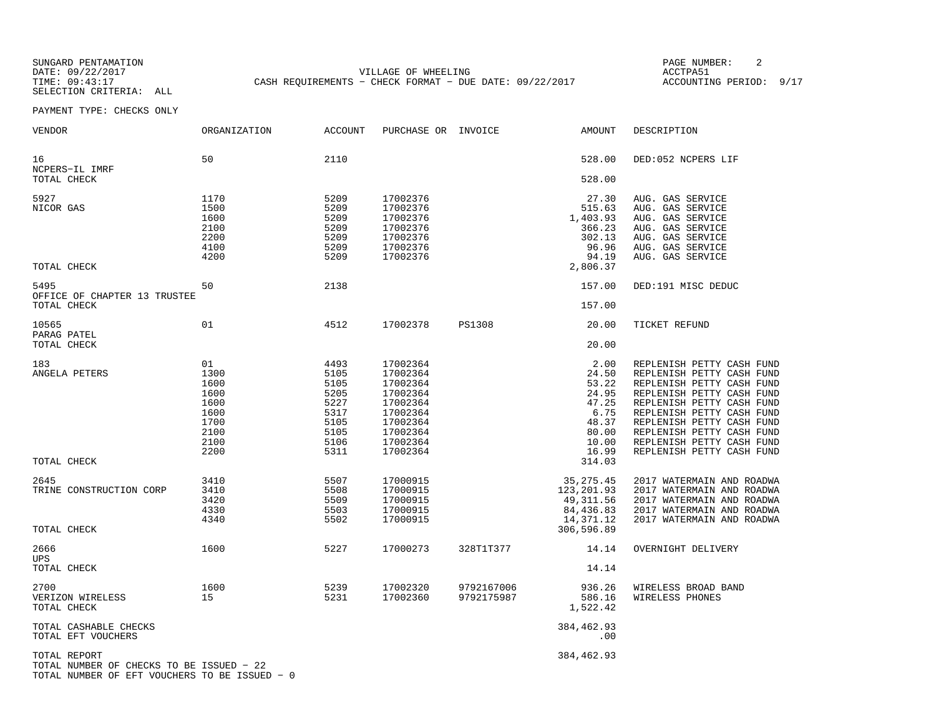SUNGARD PENTAMATION PAGE NUMBER: 2SELECTION CRITERIA: ALL

DATE: 09/22/2017 VILLAGE OF WHEELING ACCTPA51CASH REQUIREMENTS - CHECK FORMAT - DUE DATE: 09/22/2017

ACCOUNTING PERIOD: 9/17

PAYMENT TYPE: CHECKS ONLY

| VENDOR                                                                                                    | ORGANIZATION                                                               | ACCOUNT                                                                      | PURCHASE OR INVOICE                                                                                                  |                          | AMOUNT                                                                                         | DESCRIPTION                                                                                                                                                                                                                                                                                    |
|-----------------------------------------------------------------------------------------------------------|----------------------------------------------------------------------------|------------------------------------------------------------------------------|----------------------------------------------------------------------------------------------------------------------|--------------------------|------------------------------------------------------------------------------------------------|------------------------------------------------------------------------------------------------------------------------------------------------------------------------------------------------------------------------------------------------------------------------------------------------|
| 16<br>NCPERS-IL IMRF                                                                                      | 50                                                                         | 2110                                                                         |                                                                                                                      |                          | 528.00                                                                                         | DED:052 NCPERS LIF                                                                                                                                                                                                                                                                             |
| TOTAL CHECK                                                                                               |                                                                            |                                                                              |                                                                                                                      |                          | 528.00                                                                                         |                                                                                                                                                                                                                                                                                                |
| 5927<br>NICOR GAS<br>TOTAL CHECK                                                                          | 1170<br>1500<br>1600<br>2100<br>2200<br>4100<br>4200                       | 5209<br>5209<br>5209<br>5209<br>5209<br>5209<br>5209                         | 17002376<br>17002376<br>17002376<br>17002376<br>17002376<br>17002376<br>17002376                                     |                          | 27.30<br>515.63<br>1,403.93<br>366.23<br>302.13<br>96.96<br>94.19<br>2,806.37                  | AUG. GAS SERVICE<br>AUG. GAS SERVICE<br>AUG. GAS SERVICE<br>AUG. GAS SERVICE<br>AUG. GAS SERVICE<br>AUG. GAS SERVICE<br>AUG. GAS SERVICE                                                                                                                                                       |
|                                                                                                           |                                                                            |                                                                              |                                                                                                                      |                          |                                                                                                |                                                                                                                                                                                                                                                                                                |
| 5495<br>OFFICE OF CHAPTER 13 TRUSTEE<br>TOTAL CHECK                                                       | 50                                                                         | 2138                                                                         |                                                                                                                      |                          | 157.00<br>157.00                                                                               | DED:191 MISC DEDUC                                                                                                                                                                                                                                                                             |
|                                                                                                           |                                                                            |                                                                              |                                                                                                                      |                          |                                                                                                |                                                                                                                                                                                                                                                                                                |
| 10565<br>PARAG PATEL<br>TOTAL CHECK                                                                       | 01                                                                         | 4512                                                                         | 17002378                                                                                                             | <b>PS1308</b>            | 20.00<br>20.00                                                                                 | TICKET REFUND                                                                                                                                                                                                                                                                                  |
| 183<br>ANGELA PETERS<br>TOTAL CHECK                                                                       | 01<br>1300<br>1600<br>1600<br>1600<br>1600<br>1700<br>2100<br>2100<br>2200 | 4493<br>5105<br>5105<br>5205<br>5227<br>5317<br>5105<br>5105<br>5106<br>5311 | 17002364<br>17002364<br>17002364<br>17002364<br>17002364<br>17002364<br>17002364<br>17002364<br>17002364<br>17002364 |                          | 2.00<br>24.50<br>53.22<br>24.95<br>47.25<br>6.75<br>48.37<br>80.00<br>10.00<br>16.99<br>314.03 | REPLENISH PETTY CASH FUND<br>REPLENISH PETTY CASH FUND<br>REPLENISH PETTY CASH FUND<br>REPLENISH PETTY CASH FUND<br>REPLENISH PETTY CASH FUND<br>REPLENISH PETTY CASH FUND<br>REPLENISH PETTY CASH FUND<br>REPLENISH PETTY CASH FUND<br>REPLENISH PETTY CASH FUND<br>REPLENISH PETTY CASH FUND |
| 2645<br>TRINE CONSTRUCTION CORP<br>TOTAL CHECK                                                            | 3410<br>3410<br>3420<br>4330<br>4340                                       | 5507<br>5508<br>5509<br>5503<br>5502                                         | 17000915<br>17000915<br>17000915<br>17000915<br>17000915                                                             |                          | 35, 275. 45<br>123, 201.93<br>49,311.56<br>84,436.83<br>14,371.12<br>306,596.89                | 2017 WATERMAIN AND ROADWA<br>2017 WATERMAIN AND ROADWA<br>2017 WATERMAIN AND ROADWA<br>2017 WATERMAIN AND ROADWA<br>2017 WATERMAIN AND ROADWA                                                                                                                                                  |
| 2666                                                                                                      | 1600                                                                       | 5227                                                                         | 17000273                                                                                                             | 328T1T377                | 14.14                                                                                          | OVERNIGHT DELIVERY                                                                                                                                                                                                                                                                             |
| <b>UPS</b><br>TOTAL CHECK                                                                                 |                                                                            |                                                                              |                                                                                                                      |                          | 14.14                                                                                          |                                                                                                                                                                                                                                                                                                |
| 2700<br>VERIZON WIRELESS<br>TOTAL CHECK                                                                   | 1600<br>15                                                                 | 5239<br>5231                                                                 | 17002320<br>17002360                                                                                                 | 9792167006<br>9792175987 | 936.26<br>586.16<br>1,522.42                                                                   | WIRELESS BROAD BAND<br>WIRELESS PHONES                                                                                                                                                                                                                                                         |
| TOTAL CASHABLE CHECKS<br>TOTAL EFT VOUCHERS                                                               |                                                                            |                                                                              |                                                                                                                      |                          | 384,462.93<br>.00                                                                              |                                                                                                                                                                                                                                                                                                |
| TOTAL REPORT<br>TOTAL NUMBER OF CHECKS TO BE ISSUED - 22<br>TOTAL NUMBER OF EFT VOUCHERS TO BE ISSUED - 0 |                                                                            |                                                                              |                                                                                                                      |                          | 384,462.93                                                                                     |                                                                                                                                                                                                                                                                                                |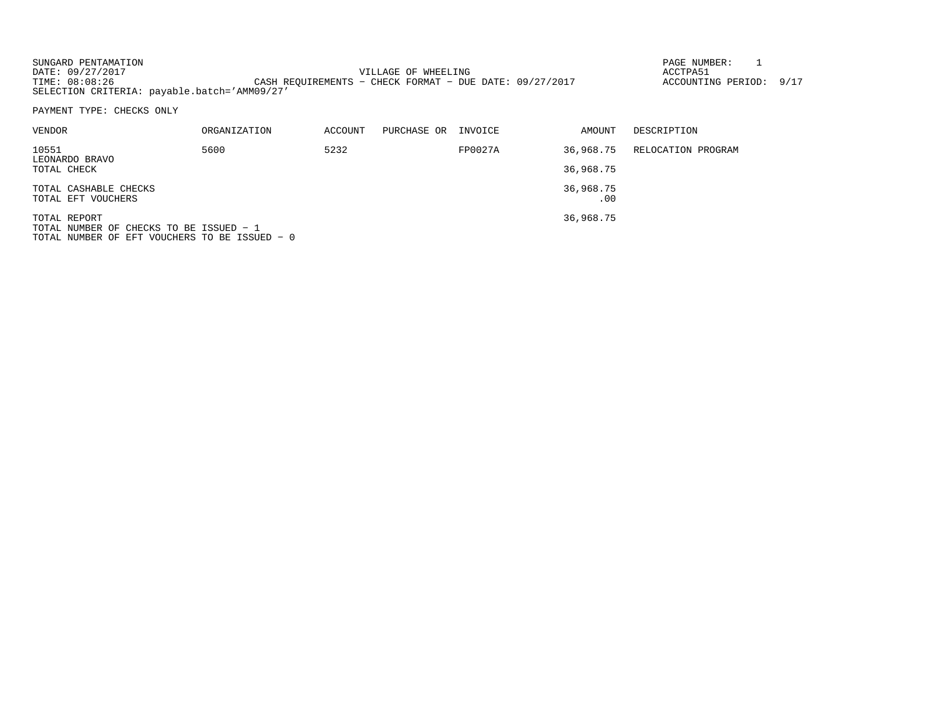SUNGARD PENTAMATION PAGE NUMBER: 1DATE: 09/27/2017 VILLAGE OF WHEELING ACCTPA51ACCOUNTING PERIOD: 9/17 CASH REQUIREMENTS - CHECK FORMAT - DUE DATE: 09/27/2017 SELECTION CRITERIA: payable.batch='AMM09/27'

PAYMENT TYPE: CHECKS ONLY

| VENDOR                                                      | ORGANIZATION | ACCOUNT | PURCHASE OR | INVOICE | AMOUNT           | DESCRIPTION        |
|-------------------------------------------------------------|--------------|---------|-------------|---------|------------------|--------------------|
| 10551<br>LEONARDO BRAVO                                     | 5600         | 5232    |             | FP0027A | 36,968.75        | RELOCATION PROGRAM |
| TOTAL CHECK                                                 |              |         |             |         | 36,968.75        |                    |
| TOTAL CASHABLE CHECKS<br>TOTAL EFT VOUCHERS                 |              |         |             |         | 36,968.75<br>.00 |                    |
| TOTAL REPORT<br>$TOTAT$ NIIMPTE OF CURCKS TO BE ISSUED $-1$ |              |         |             |         | 36,968.75        |                    |

TOTAL NUMBER OF CHECKS TO BE ISSUED − 1 TOTAL NUMBER OF EFT VOUCHERS TO BE ISSUED − 0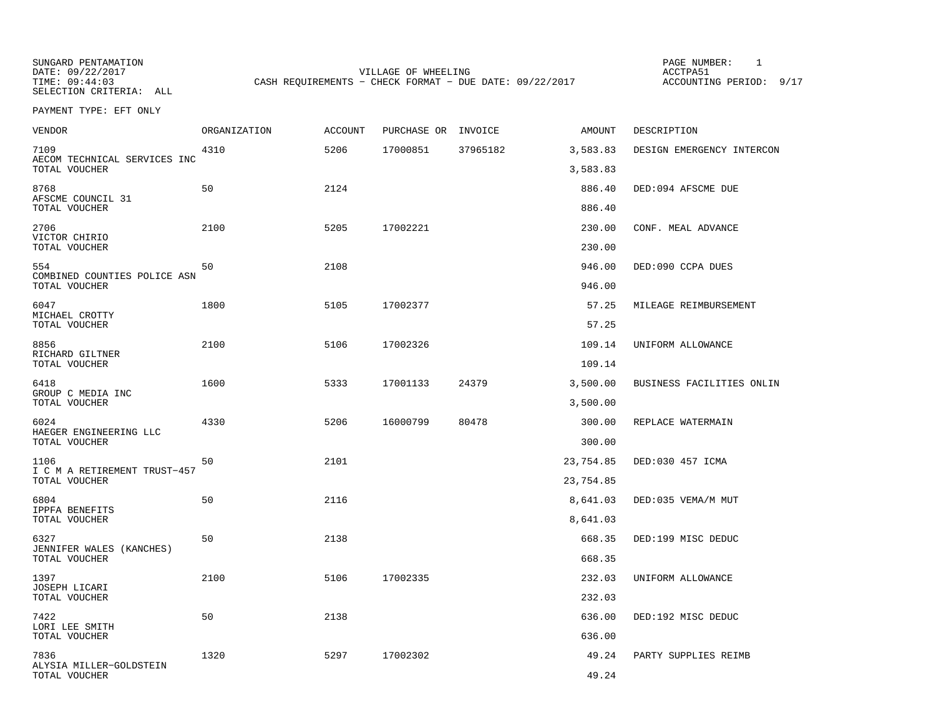SUNGARD PENTAMATION PAGE NUMBER: 1

VILLAGE OF WHEELING **ACCTPA51** TIME: 09:44:03 CASH REQUIREMENTS - CHECK FORMAT - DUE DATE: 09/22/2017

ACCOUNTING PERIOD: 9/17

SELECTION CRITERIA: ALLPAYMENT TYPE: EFT ONLY

| <b>VENDOR</b>                                 | <b>ORGANIZATION</b> | <b>ACCOUNT</b> | PURCHASE OR INVOICE |          | AMOUNT           | DESCRIPTION               |
|-----------------------------------------------|---------------------|----------------|---------------------|----------|------------------|---------------------------|
| 7109<br>AECOM TECHNICAL SERVICES INC          | 4310                | 5206           | 17000851            | 37965182 | 3,583.83         | DESIGN EMERGENCY INTERCON |
| TOTAL VOUCHER                                 |                     |                |                     |          | 3,583.83         |                           |
| 8768<br>AFSCME COUNCIL 31<br>TOTAL VOUCHER    | 50                  | 2124           |                     |          | 886.40<br>886.40 | DED:094 AFSCME DUE        |
| 2706                                          | 2100                | 5205           | 17002221            |          | 230.00           | CONF. MEAL ADVANCE        |
| VICTOR CHIRIO<br>TOTAL VOUCHER                |                     |                |                     |          | 230.00           |                           |
| 554                                           | 50                  | 2108           |                     |          | 946.00           | DED:090 CCPA DUES         |
| COMBINED COUNTIES POLICE ASN<br>TOTAL VOUCHER |                     |                |                     |          | 946.00           |                           |
| 6047                                          | 1800                | 5105           | 17002377            |          | 57.25            | MILEAGE REIMBURSEMENT     |
| MICHAEL CROTTY<br>TOTAL VOUCHER               |                     |                |                     |          | 57.25            |                           |
| 8856                                          | 2100                | 5106           | 17002326            |          | 109.14           | UNIFORM ALLOWANCE         |
| RICHARD GILTNER<br>TOTAL VOUCHER              |                     |                |                     |          | 109.14           |                           |
| 6418<br>GROUP C MEDIA INC                     | 1600                | 5333           | 17001133            | 24379    | 3,500.00         | BUSINESS FACILITIES ONLIN |
| TOTAL VOUCHER                                 |                     |                |                     |          | 3,500.00         |                           |
| 6024<br>HAEGER ENGINEERING LLC                | 4330                | 5206           | 16000799            | 80478    | 300.00           | REPLACE WATERMAIN         |
| TOTAL VOUCHER                                 |                     |                |                     |          | 300.00           |                           |
| 1106                                          | 50                  | 2101           |                     |          | 23,754.85        | DED:030 457 ICMA          |
| I C M A RETIREMENT TRUST-457<br>TOTAL VOUCHER |                     |                |                     |          | 23,754.85        |                           |
| 6804<br>IPPFA BENEFITS                        | 50                  | 2116           |                     |          | 8,641.03         | DED:035 VEMA/M MUT        |
| TOTAL VOUCHER                                 |                     |                |                     |          | 8,641.03         |                           |
| 6327                                          | 50                  | 2138           |                     |          | 668.35           | DED:199 MISC DEDUC        |
| JENNIFER WALES (KANCHES)<br>TOTAL VOUCHER     |                     |                |                     |          | 668.35           |                           |
| 1397                                          | 2100                | 5106           | 17002335            |          | 232.03           | UNIFORM ALLOWANCE         |
| JOSEPH LICARI<br>TOTAL VOUCHER                |                     |                |                     |          | 232.03           |                           |
| 7422<br>LORI LEE SMITH                        | 50                  | 2138           |                     |          | 636.00           | DED:192 MISC DEDUC        |
| TOTAL VOUCHER                                 |                     |                |                     |          | 636.00           |                           |
| 7836<br>ALYSIA MILLER-GOLDSTEIN               | 1320                | 5297           | 17002302            |          | 49.24            | PARTY SUPPLIES REIMB      |
| TOTAL VOUCHER                                 |                     |                |                     |          | 49.24            |                           |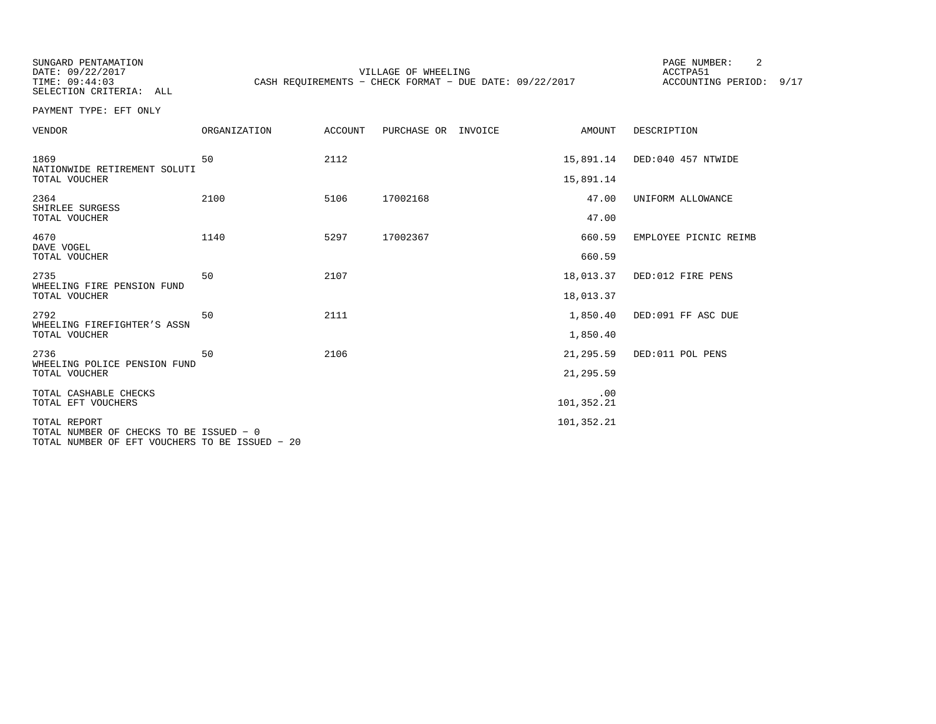SUNGARD PENTAMATION PAGE NUMBER: 2SELECTION CRITERIA: ALL

VILLAGE OF WHEELING **ACCTPA51** TIME: 09:44:03 CASH REQUIREMENTS - CHECK FORMAT - DUE DATE: 09/22/2017

ACCOUNTING PERIOD: 9/17

PAYMENT TYPE: EFT ONLY

| <b>VENDOR</b>                                                                                             | ORGANIZATION | ACCOUNT | PURCHASE OR | INVOICE | AMOUNT            | DESCRIPTION           |
|-----------------------------------------------------------------------------------------------------------|--------------|---------|-------------|---------|-------------------|-----------------------|
| 1869<br>NATIONWIDE RETIREMENT SOLUTI                                                                      | 50           | 2112    |             |         | 15,891.14         | DED:040 457 NTWIDE    |
| TOTAL VOUCHER                                                                                             |              |         |             |         | 15,891.14         |                       |
| 2364<br>SHIRLEE SURGESS                                                                                   | 2100         | 5106    | 17002168    |         | 47.00             | UNIFORM ALLOWANCE     |
| TOTAL VOUCHER                                                                                             |              |         |             |         | 47.00             |                       |
| 4670<br>DAVE VOGEL                                                                                        | 1140         | 5297    | 17002367    |         | 660.59            | EMPLOYEE PICNIC REIMB |
| TOTAL VOUCHER                                                                                             |              |         |             |         | 660.59            |                       |
| 2735<br>WHEELING FIRE PENSION FUND                                                                        | 50           | 2107    |             |         | 18,013.37         | DED:012 FIRE PENS     |
| TOTAL VOUCHER                                                                                             |              |         |             |         | 18,013.37         |                       |
| 2792<br>WHEELING FIREFIGHTER'S ASSN                                                                       | 50           | 2111    |             |         | 1,850.40          | DED:091 FF ASC DUE    |
| TOTAL VOUCHER                                                                                             |              |         |             |         | 1,850.40          |                       |
| 2736<br>WHEELING POLICE PENSION FUND                                                                      | 50           | 2106    |             |         | 21,295.59         | DED:011 POL PENS      |
| TOTAL VOUCHER                                                                                             |              |         |             |         | 21,295.59         |                       |
| TOTAL CASHABLE CHECKS<br>TOTAL EFT VOUCHERS                                                               |              |         |             |         | .00<br>101,352.21 |                       |
| TOTAL REPORT<br>TOTAL NUMBER OF CHECKS TO BE ISSUED - 0<br>TOTAL NUMBER OF EFT VOUCHERS TO BE ISSUED - 20 |              |         |             |         | 101,352.21        |                       |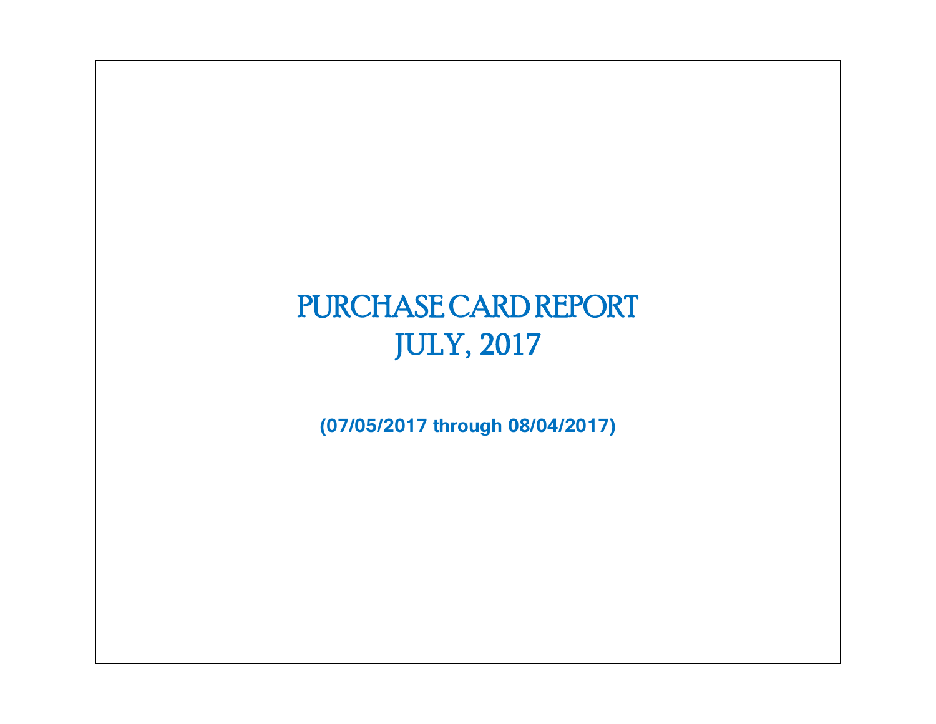# PURCHASE CARD REPORT JULY, 2017

**(07/05/2017 through 08/04/2017)**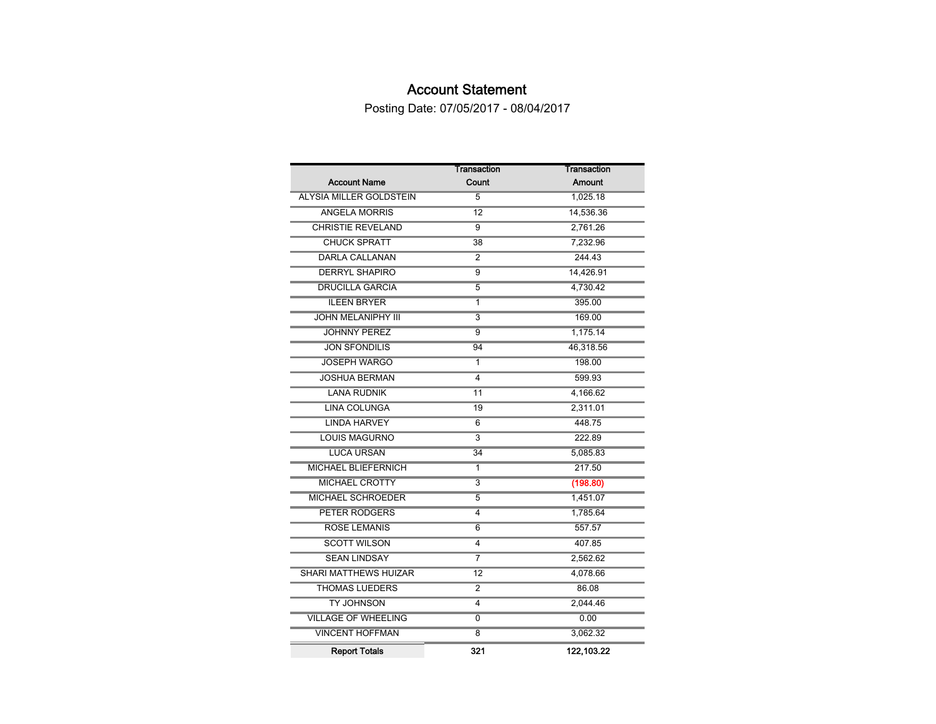## Account Statement

Posting Date: 07/05/2017 - 08/04/2017

|                                | <b>Transaction</b>        | Transaction |
|--------------------------------|---------------------------|-------------|
| <b>Account Name</b>            | Count                     | Amount      |
| <b>ALYSIA MILLER GOLDSTEIN</b> | 5                         | 1,025.18    |
| <b>ANGELA MORRIS</b>           | 12                        | 14,536.36   |
| <b>CHRISTIE REVELAND</b>       | 9                         | 2,761.26    |
| <b>CHUCK SPRATT</b>            | 38                        | 7,232.96    |
| <b>DARLA CALLANAN</b>          | 2                         | 244.43      |
| <b>DERRYL SHAPIRO</b>          | $\overline{9}$            | 14,426.91   |
| <b>DRUCILLA GARCIA</b>         | $\overline{5}$            | 4,730.42    |
| <b>ILEEN BRYER</b>             | 1                         | 395.00      |
| <b>JOHN MELANIPHY III</b>      | $\overline{\overline{3}}$ | 169.00      |
| <b>JOHNNY PEREZ</b>            | $\overline{9}$            | 1,175.14    |
| <b>JON SFONDILIS</b>           | 94                        | 46,318.56   |
| <b>JOSEPH WARGO</b>            | 1                         | 198.00      |
| <b>JOSHUA BERMAN</b>           | 4                         | 599.93      |
| <b>LANA RUDNIK</b>             | 11                        | 4,166.62    |
| <b>LINA COLUNGA</b>            | 19                        | 2,311.01    |
| <b>LINDA HARVEY</b>            | 6                         | 448.75      |
| <b>LOUIS MAGURNO</b>           | $\overline{3}$            | 222.89      |
| <b>LUCA URSAN</b>              | $\overline{34}$           | 5,085.83    |
| <b>MICHAEL BLIEFERNICH</b>     | 1                         | 217.50      |
| <b>MICHAEL CROTTY</b>          | $\overline{\overline{3}}$ | (198.80)    |
| <b>MICHAEL SCHROEDER</b>       | $\overline{5}$            | 1,451.07    |
| <b>PETER RODGERS</b>           | 4                         | 1,785.64    |
| <b>ROSE LEMANIS</b>            | 6                         | 557.57      |
| <b>SCOTT WILSON</b>            | 4                         | 407.85      |
| <b>SEAN LINDSAY</b>            | 7                         | 2,562.62    |
| <b>SHARI MATTHEWS HUIZAR</b>   | 12                        | 4,078.66    |
| <b>THOMAS LUEDERS</b>          | $\overline{2}$            | 86.08       |
| <b>TY JOHNSON</b>              | 4                         | 2,044.46    |
| <b>VILLAGE OF WHEELING</b>     | 0                         | 0.00        |
| <b>VINCENT HOFFMAN</b>         | $\overline{8}$            | 3,062.32    |
| <b>Report Totals</b>           | 321                       | 122,103.22  |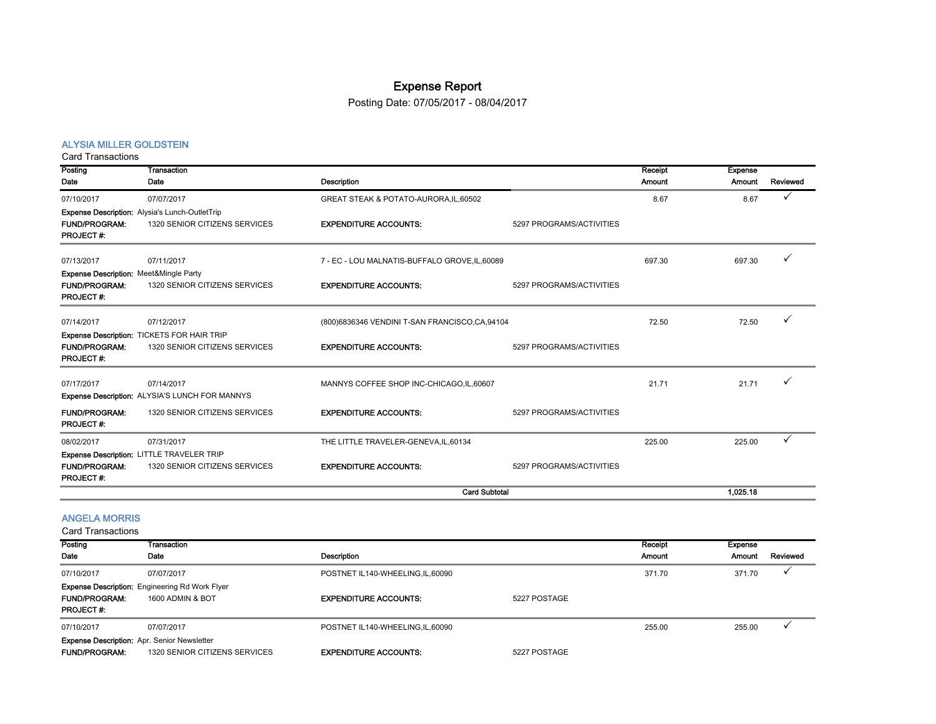## Expense Report

Posting Date: 07/05/2017 - 08/04/2017

#### ALYSIA MILLER GOLDSTEIN

Card Transactions

| Posting                                                                                       | Transaction                                                                     |                                                 |                          | Receipt | <b>Expense</b> |          |
|-----------------------------------------------------------------------------------------------|---------------------------------------------------------------------------------|-------------------------------------------------|--------------------------|---------|----------------|----------|
| Date                                                                                          | Date                                                                            | <b>Description</b>                              |                          | Amount  | Amount         | Reviewed |
| 07/10/2017                                                                                    | 07/07/2017                                                                      | GREAT STEAK & POTATO-AURORA, IL, 60502          |                          | 8.67    | 8.67           |          |
| <b>FUND/PROGRAM:</b><br>PROJECT#:                                                             | Expense Description: Alysia's Lunch-OutletTrip<br>1320 SENIOR CITIZENS SERVICES | <b>EXPENDITURE ACCOUNTS:</b>                    | 5297 PROGRAMS/ACTIVITIES |         |                |          |
| 07/13/2017                                                                                    | 07/11/2017                                                                      | 7 - EC - LOU MALNATIS-BUFFALO GROVE, IL, 60089  |                          | 697.30  | 697.30         |          |
| <b>Expense Description: Meet&amp;Mingle Party</b><br><b>FUND/PROGRAM:</b><br><b>PROJECT#:</b> | 1320 SENIOR CITIZENS SERVICES                                                   | <b>EXPENDITURE ACCOUNTS:</b>                    | 5297 PROGRAMS/ACTIVITIES |         |                |          |
| 07/14/2017                                                                                    | 07/12/2017                                                                      | (800)6836346 VENDINI T-SAN FRANCISCO, CA, 94104 |                          | 72.50   | 72.50          |          |
| <b>FUND/PROGRAM:</b><br>PROJECT#:                                                             | Expense Description: TICKETS FOR HAIR TRIP<br>1320 SENIOR CITIZENS SERVICES     | <b>EXPENDITURE ACCOUNTS:</b>                    | 5297 PROGRAMS/ACTIVITIES |         |                |          |
| 07/17/2017                                                                                    | 07/14/2017<br>Expense Description: ALYSIA'S LUNCH FOR MANNYS                    | MANNYS COFFEE SHOP INC-CHICAGO, IL, 60607       |                          | 21.71   | 21.71          |          |
| <b>FUND/PROGRAM:</b><br>PROJECT#:                                                             | 1320 SENIOR CITIZENS SERVICES                                                   | <b>EXPENDITURE ACCOUNTS:</b>                    | 5297 PROGRAMS/ACTIVITIES |         |                |          |
| 08/02/2017                                                                                    | 07/31/2017                                                                      | THE LITTLE TRAVELER-GENEVA, IL, 60134           |                          | 225.00  | 225.00         |          |
| <b>FUND/PROGRAM:</b><br>PROJECT#:                                                             | Expense Description: LITTLE TRAVELER TRIP<br>1320 SENIOR CITIZENS SERVICES      | <b>EXPENDITURE ACCOUNTS:</b>                    | 5297 PROGRAMS/ACTIVITIES |         |                |          |
|                                                                                               |                                                                                 | <b>Card Subtotal</b>                            |                          |         | 1.025.18       |          |

#### ANGELA MORRIS

| Posting              | Transaction                                           |                                   |              | Receipt       | Expense |          |
|----------------------|-------------------------------------------------------|-----------------------------------|--------------|---------------|---------|----------|
| Date                 | Date                                                  | <b>Description</b>                |              | <b>Amount</b> | Amount  | Reviewed |
| 07/10/2017           | 07/07/2017                                            | POSTNET IL140-WHEELING.IL.60090   |              | 371.70        | 371.70  |          |
|                      | <b>Expense Description:</b> Engineering Rd Work Flyer |                                   |              |               |         |          |
| <b>FUND/PROGRAM:</b> | 1600 ADMIN & BOT                                      | <b>EXPENDITURE ACCOUNTS:</b>      | 5227 POSTAGE |               |         |          |
| <b>PROJECT#:</b>     |                                                       |                                   |              |               |         |          |
| 07/10/2017           | 07/07/2017                                            | POSTNET IL140-WHEELING, IL, 60090 |              | 255.00        | 255.00  |          |
|                      | <b>Expense Description:</b> Apr. Senior Newsletter    |                                   |              |               |         |          |
| <b>FUND/PROGRAM:</b> | 1320 SENIOR CITIZENS SERVICES                         | <b>EXPENDITURE ACCOUNTS:</b>      | 5227 POSTAGE |               |         |          |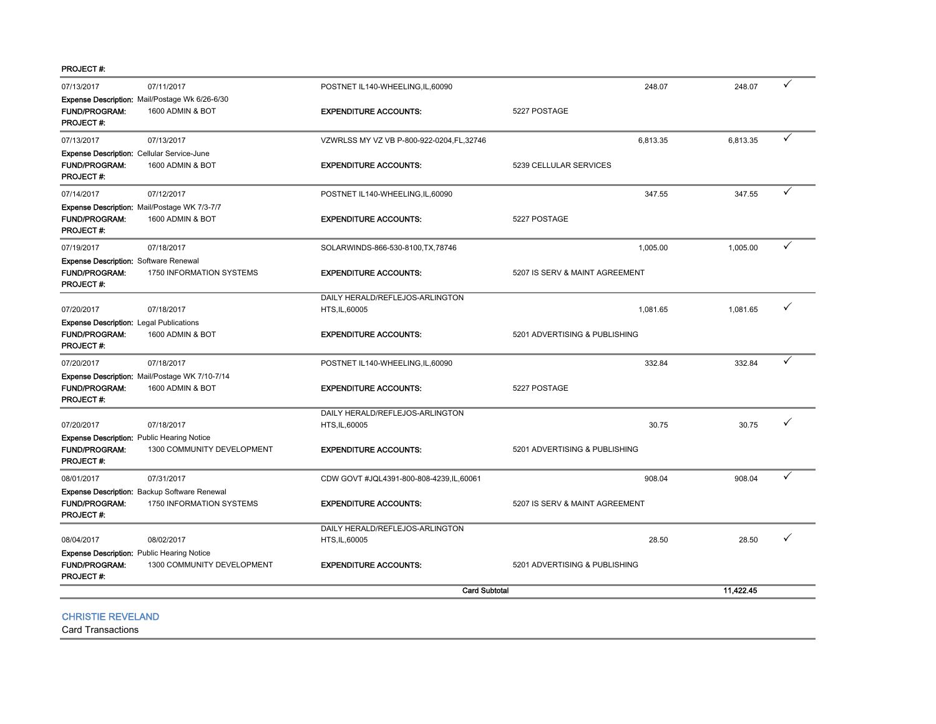PROJECT #:

| 07/13/2017                                                                                    | 07/11/2017                                                               | POSTNET IL140-WHEELING, IL, 60090          | 248.07                         | 248.07    | ✓ |
|-----------------------------------------------------------------------------------------------|--------------------------------------------------------------------------|--------------------------------------------|--------------------------------|-----------|---|
| <b>FUND/PROGRAM:</b><br><b>PROJECT#:</b>                                                      | Expense Description: Mail/Postage Wk 6/26-6/30<br>1600 ADMIN & BOT       | <b>EXPENDITURE ACCOUNTS:</b>               | 5227 POSTAGE                   |           |   |
| 07/13/2017                                                                                    | 07/13/2017                                                               | VZWRLSS MY VZ VB P-800-922-0204, FL, 32746 | 6,813.35                       | 6,813.35  | ✓ |
| Expense Description: Cellular Service-June<br>FUND/PROGRAM:<br><b>PROJECT#:</b>               | 1600 ADMIN & BOT                                                         | <b>EXPENDITURE ACCOUNTS:</b>               | 5239 CELLULAR SERVICES         |           |   |
| 07/14/2017                                                                                    | 07/12/2017                                                               | POSTNET IL140-WHEELING, IL, 60090          | 347.55                         | 347.55    | ✓ |
| FUND/PROGRAM:<br><b>PROJECT#:</b>                                                             | Expense Description: Mail/Postage WK 7/3-7/7<br>1600 ADMIN & BOT         | <b>EXPENDITURE ACCOUNTS:</b>               | 5227 POSTAGE                   |           |   |
| 07/19/2017                                                                                    | 07/18/2017                                                               | SOLARWINDS-866-530-8100, TX, 78746         | 1,005.00                       | 1,005.00  |   |
| <b>Expense Description: Software Renewal</b><br><b>FUND/PROGRAM:</b><br>PROJECT#:             | 1750 INFORMATION SYSTEMS                                                 | <b>EXPENDITURE ACCOUNTS:</b>               | 5207 IS SERV & MAINT AGREEMENT |           |   |
|                                                                                               |                                                                          | DAILY HERALD/REFLEJOS-ARLINGTON            |                                |           | ✓ |
| 07/20/2017<br><b>Expense Description: Legal Publications</b>                                  | 07/18/2017                                                               | HTS, IL, 60005                             | 1,081.65                       | 1,081.65  |   |
| <b>FUND/PROGRAM:</b><br>PROJECT#:                                                             | 1600 ADMIN & BOT                                                         | <b>EXPENDITURE ACCOUNTS:</b>               | 5201 ADVERTISING & PUBLISHING  |           |   |
| 07/20/2017                                                                                    | 07/18/2017                                                               | POSTNET IL140-WHEELING, IL, 60090          | 332.84                         | 332.84    |   |
| <b>FUND/PROGRAM:</b><br>PROJECT#:                                                             | Expense Description: Mail/Postage WK 7/10-7/14<br>1600 ADMIN & BOT       | <b>EXPENDITURE ACCOUNTS:</b>               | 5227 POSTAGE                   |           |   |
|                                                                                               |                                                                          | DAILY HERALD/REFLEJOS-ARLINGTON            |                                |           |   |
| 07/20/2017                                                                                    | 07/18/2017                                                               | HTS, IL, 60005                             | 30.75                          | 30.75     |   |
| <b>Expense Description: Public Hearing Notice</b><br><b>FUND/PROGRAM:</b><br>PROJECT#:        | 1300 COMMUNITY DEVELOPMENT                                               | <b>EXPENDITURE ACCOUNTS:</b>               | 5201 ADVERTISING & PUBLISHING  |           |   |
| 08/01/2017                                                                                    | 07/31/2017                                                               | CDW GOVT #JQL4391-800-808-4239, IL, 60061  | 908.04                         | 908.04    |   |
| <b>FUND/PROGRAM:</b><br><b>PROJECT#:</b>                                                      | Expense Description: Backup Software Renewal<br>1750 INFORMATION SYSTEMS | <b>EXPENDITURE ACCOUNTS:</b>               | 5207 IS SERV & MAINT AGREEMENT |           |   |
|                                                                                               |                                                                          | DAILY HERALD/REFLEJOS-ARLINGTON            |                                |           |   |
| 08/04/2017                                                                                    | 08/02/2017                                                               | HTS, IL, 60005                             | 28.50                          | 28.50     |   |
| <b>Expense Description: Public Hearing Notice</b><br><b>FUND/PROGRAM:</b><br><b>PROJECT#:</b> | 1300 COMMUNITY DEVELOPMENT                                               | <b>EXPENDITURE ACCOUNTS:</b>               | 5201 ADVERTISING & PUBLISHING  |           |   |
|                                                                                               |                                                                          | <b>Card Subtotal</b>                       |                                | 11.422.45 |   |

CHRISTIE REVELAND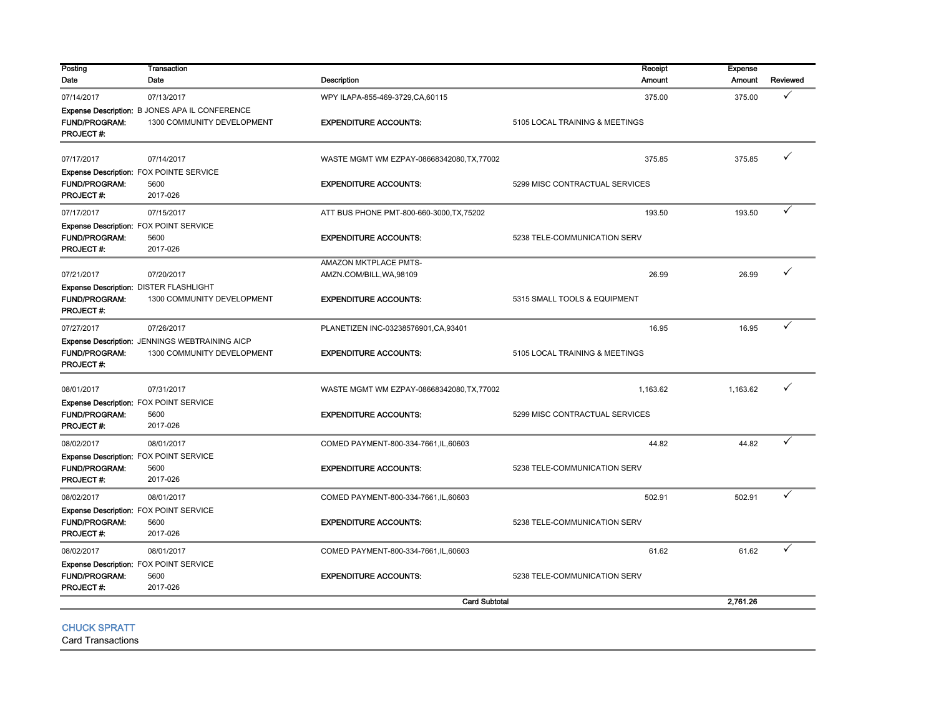| Posting<br>Date<br><b>FUND/PROGRAM:</b><br><b>PROJECT#:</b> | Date<br>07/13/2017<br>Expense Description: B JONES APA IL CONFERENCE<br>1300 COMMUNITY DEVELOPMENT | <b>Description</b><br>WPY ILAPA-855-469-3729, CA, 60115 | Amount<br>375.00               | Amount   | Reviewed |
|-------------------------------------------------------------|----------------------------------------------------------------------------------------------------|---------------------------------------------------------|--------------------------------|----------|----------|
| 07/14/2017                                                  |                                                                                                    |                                                         |                                |          |          |
|                                                             |                                                                                                    |                                                         |                                | 375.00   | ✓        |
|                                                             |                                                                                                    |                                                         |                                |          |          |
|                                                             |                                                                                                    | <b>EXPENDITURE ACCOUNTS:</b>                            | 5105 LOCAL TRAINING & MEETINGS |          |          |
|                                                             |                                                                                                    |                                                         |                                |          |          |
| 07/17/2017                                                  | 07/14/2017                                                                                         | WASTE MGMT WM EZPAY-08668342080, TX, 77002              | 375.85                         | 375.85   |          |
| Expense Description: FOX POINTE SERVICE                     |                                                                                                    |                                                         |                                |          |          |
| <b>FUND/PROGRAM:</b>                                        | 5600                                                                                               | <b>EXPENDITURE ACCOUNTS:</b>                            | 5299 MISC CONTRACTUAL SERVICES |          |          |
| <b>PROJECT#:</b>                                            | 2017-026                                                                                           |                                                         |                                |          |          |
| 07/17/2017                                                  | 07/15/2017                                                                                         | ATT BUS PHONE PMT-800-660-3000, TX, 75202               | 193.50                         | 193.50   |          |
| Expense Description: FOX POINT SERVICE                      |                                                                                                    |                                                         |                                |          |          |
| <b>FUND/PROGRAM:</b>                                        | 5600                                                                                               | <b>EXPENDITURE ACCOUNTS:</b>                            | 5238 TELE-COMMUNICATION SERV   |          |          |
| PROJECT#:                                                   | 2017-026                                                                                           |                                                         |                                |          |          |
| 07/21/2017                                                  | 07/20/2017                                                                                         | AMAZON MKTPLACE PMTS-                                   | 26.99                          | 26.99    |          |
|                                                             |                                                                                                    | AMZN.COM/BILL, WA, 98109                                |                                |          |          |
| Expense Description: DISTER FLASHLIGHT<br>FUND/PROGRAM:     | 1300 COMMUNITY DEVELOPMENT                                                                         | <b>EXPENDITURE ACCOUNTS:</b>                            | 5315 SMALL TOOLS & EQUIPMENT   |          |          |
| <b>PROJECT#:</b>                                            |                                                                                                    |                                                         |                                |          |          |
| 07/27/2017                                                  | 07/26/2017                                                                                         | PLANETIZEN INC-03238576901, CA, 93401                   | 16.95                          | 16.95    |          |
|                                                             | Expense Description: JENNINGS WEBTRAINING AICP                                                     |                                                         |                                |          |          |
| <b>FUND/PROGRAM:</b>                                        | 1300 COMMUNITY DEVELOPMENT                                                                         | <b>EXPENDITURE ACCOUNTS:</b>                            | 5105 LOCAL TRAINING & MEETINGS |          |          |
| PROJECT#:                                                   |                                                                                                    |                                                         |                                |          |          |
| 08/01/2017                                                  | 07/31/2017                                                                                         | WASTE MGMT WM EZPAY-08668342080, TX, 77002              | 1.163.62                       | 1.163.62 |          |
| Expense Description: FOX POINT SERVICE                      |                                                                                                    |                                                         |                                |          |          |
| FUND/PROGRAM:                                               | 5600                                                                                               | <b>EXPENDITURE ACCOUNTS:</b>                            | 5299 MISC CONTRACTUAL SERVICES |          |          |
| PROJECT#:                                                   | 2017-026                                                                                           |                                                         |                                |          |          |
| 08/02/2017                                                  | 08/01/2017                                                                                         | COMED PAYMENT-800-334-7661, IL, 60603                   | 44.82                          | 44.82    | ✓        |
| Expense Description: FOX POINT SERVICE                      |                                                                                                    |                                                         |                                |          |          |
| <b>FUND/PROGRAM:</b>                                        | 5600                                                                                               | <b>EXPENDITURE ACCOUNTS:</b>                            | 5238 TELE-COMMUNICATION SERV   |          |          |
| PROJECT #:                                                  | 2017-026                                                                                           |                                                         |                                |          |          |
| 08/02/2017                                                  | 08/01/2017                                                                                         | COMED PAYMENT-800-334-7661, IL, 60603                   | 502.91                         | 502.91   | ✓        |
| Expense Description: FOX POINT SERVICE                      |                                                                                                    |                                                         |                                |          |          |
| FUND/PROGRAM:                                               | 5600                                                                                               | <b>EXPENDITURE ACCOUNTS:</b>                            | 5238 TELE-COMMUNICATION SERV   |          |          |
| <b>PROJECT#:</b>                                            | 2017-026                                                                                           |                                                         |                                |          |          |
| 08/02/2017                                                  | 08/01/2017                                                                                         | COMED PAYMENT-800-334-7661, IL, 60603                   | 61.62                          | 61.62    |          |
| Expense Description: FOX POINT SERVICE                      |                                                                                                    |                                                         |                                |          |          |
| <b>FUND/PROGRAM:</b>                                        | 5600                                                                                               | <b>EXPENDITURE ACCOUNTS:</b>                            | 5238 TELE-COMMUNICATION SERV   |          |          |
| <b>PROJECT#:</b>                                            | 2017-026                                                                                           |                                                         |                                |          |          |
|                                                             |                                                                                                    | <b>Card Subtotal</b>                                    |                                | 2,761.26 |          |

CHUCK SPRATT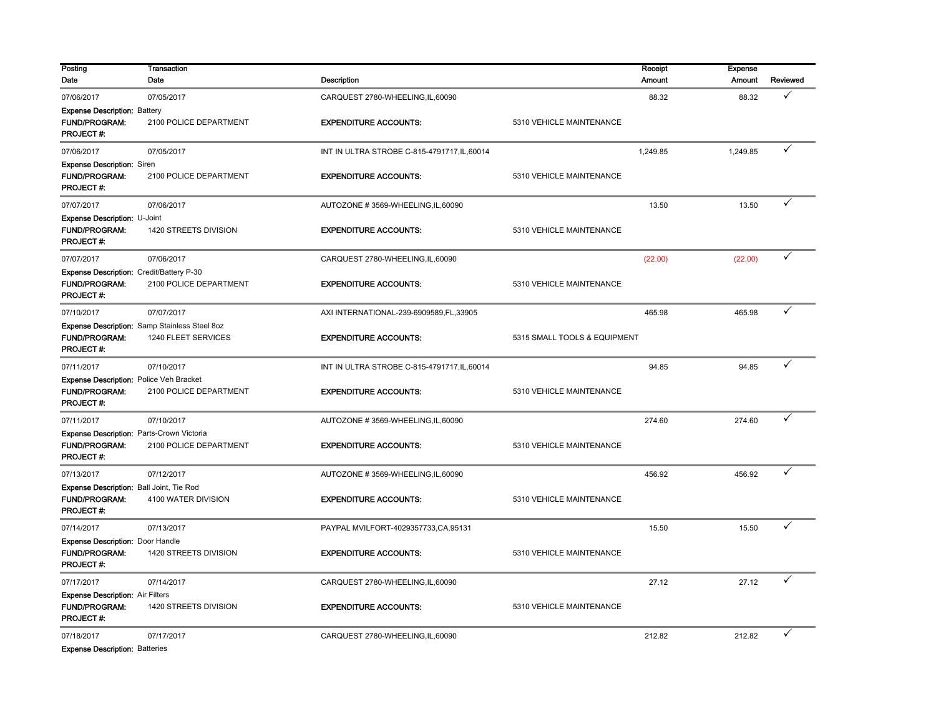| Posting                                   | <b>Transaction</b>                            |                                              | Receipt                      | <b>Expense</b> |          |
|-------------------------------------------|-----------------------------------------------|----------------------------------------------|------------------------------|----------------|----------|
| Date                                      | Date                                          | <b>Description</b>                           | <b>Amount</b>                | <b>Amount</b>  | Reviewed |
| 07/06/2017                                | 07/05/2017                                    | CARQUEST 2780-WHEELING, IL, 60090            | 88.32                        | 88.32          |          |
| <b>Expense Description: Battery</b>       |                                               |                                              |                              |                |          |
| <b>FUND/PROGRAM:</b><br>PROJECT#:         | 2100 POLICE DEPARTMENT                        | <b>EXPENDITURE ACCOUNTS:</b>                 | 5310 VEHICLE MAINTENANCE     |                |          |
| 07/06/2017                                | 07/05/2017                                    | INT IN ULTRA STROBE C-815-4791717, IL, 60014 | 1,249.85                     | 1,249.85       |          |
| <b>Expense Description: Siren</b>         |                                               |                                              |                              |                |          |
| <b>FUND/PROGRAM:</b><br>PROJECT#:         | 2100 POLICE DEPARTMENT                        | <b>EXPENDITURE ACCOUNTS:</b>                 | 5310 VEHICLE MAINTENANCE     |                |          |
| 07/07/2017                                | 07/06/2017                                    | AUTOZONE #3569-WHEELING,IL,60090             | 13.50                        | 13.50          |          |
| Expense Description: U-Joint              |                                               |                                              |                              |                |          |
| <b>FUND/PROGRAM:</b><br>PROJECT#:         | 1420 STREETS DIVISION                         | <b>EXPENDITURE ACCOUNTS:</b>                 | 5310 VEHICLE MAINTENANCE     |                |          |
| 07/07/2017                                | 07/06/2017                                    | CARQUEST 2780-WHEELING, IL, 60090            | (22.00)                      | (22.00)        | ✓        |
| Expense Description: Credit/Battery P-30  |                                               |                                              |                              |                |          |
| <b>FUND/PROGRAM:</b><br>PROJECT#:         | 2100 POLICE DEPARTMENT                        | <b>EXPENDITURE ACCOUNTS:</b>                 | 5310 VEHICLE MAINTENANCE     |                |          |
| 07/10/2017                                | 07/07/2017                                    | AXI INTERNATIONAL-239-6909589,FL,33905       | 465.98                       | 465.98         | ✓        |
|                                           | Expense Description: Samp Stainless Steel 8oz |                                              |                              |                |          |
| <b>FUND/PROGRAM:</b><br><b>PROJECT#:</b>  | 1240 FLEET SERVICES                           | <b>EXPENDITURE ACCOUNTS:</b>                 | 5315 SMALL TOOLS & EQUIPMENT |                |          |
| 07/11/2017                                | 07/10/2017                                    | INT IN ULTRA STROBE C-815-4791717, IL, 60014 | 94.85                        | 94.85          | ✓        |
| Expense Description: Police Veh Bracket   |                                               |                                              |                              |                |          |
| <b>FUND/PROGRAM:</b><br><b>PROJECT#:</b>  | 2100 POLICE DEPARTMENT                        | <b>EXPENDITURE ACCOUNTS:</b>                 | 5310 VEHICLE MAINTENANCE     |                |          |
| 07/11/2017                                | 07/10/2017                                    | AUTOZONE #3569-WHEELING,IL,60090             | 274.60                       | 274.60         |          |
| Expense Description: Parts-Crown Victoria |                                               |                                              |                              |                |          |
| <b>FUND/PROGRAM:</b><br>PROJECT#:         | 2100 POLICE DEPARTMENT                        | <b>EXPENDITURE ACCOUNTS:</b>                 | 5310 VEHICLE MAINTENANCE     |                |          |
| 07/13/2017                                | 07/12/2017                                    | AUTOZONE #3569-WHEELING,IL,60090             | 456.92                       | 456.92         |          |
| Expense Description: Ball Joint, Tie Rod  |                                               |                                              |                              |                |          |
| <b>FUND/PROGRAM:</b><br>PROJECT#:         | 4100 WATER DIVISION                           | <b>EXPENDITURE ACCOUNTS:</b>                 | 5310 VEHICLE MAINTENANCE     |                |          |
| 07/14/2017                                | 07/13/2017                                    | PAYPAL MVILFORT-4029357733,CA,95131          | 15.50                        | 15.50          |          |
| <b>Expense Description: Door Handle</b>   |                                               |                                              |                              |                |          |
| FUND/PROGRAM:<br>PROJECT#:                | 1420 STREETS DIVISION                         | <b>EXPENDITURE ACCOUNTS:</b>                 | 5310 VEHICLE MAINTENANCE     |                |          |
| 07/17/2017                                | 07/14/2017                                    | CARQUEST 2780-WHEELING,IL,60090              | 27.12                        | 27.12          | ✓        |
| <b>Expense Description: Air Filters</b>   |                                               |                                              |                              |                |          |
| <b>FUND/PROGRAM:</b><br>PROJECT#:         | 1420 STREETS DIVISION                         | <b>EXPENDITURE ACCOUNTS:</b>                 | 5310 VEHICLE MAINTENANCE     |                |          |
| 07/18/2017                                | 07/17/2017                                    | CARQUEST 2780-WHEELING,IL,60090              | 212.82                       | 212.82         | ✓        |
| <b>Expense Description: Batteries</b>     |                                               |                                              |                              |                |          |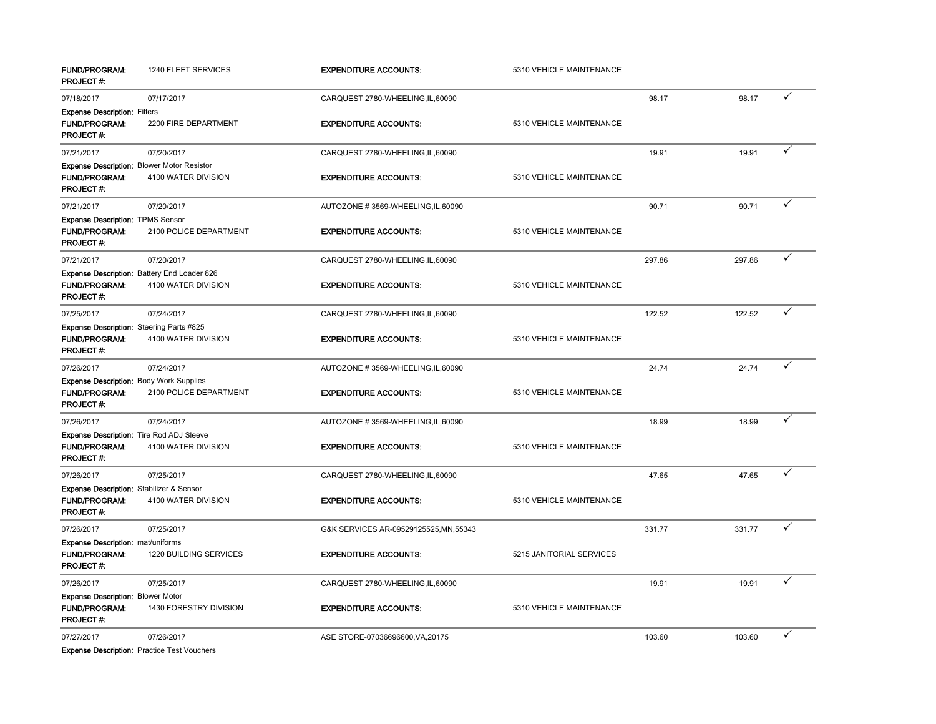| <b>FUND/PROGRAM:</b><br>PROJECT #:                                                          | 1240 FLEET SERVICES                                                | <b>EXPENDITURE ACCOUNTS:</b>           | 5310 VEHICLE MAINTENANCE |        |        |              |
|---------------------------------------------------------------------------------------------|--------------------------------------------------------------------|----------------------------------------|--------------------------|--------|--------|--------------|
| 07/18/2017                                                                                  | 07/17/2017                                                         | CARQUEST 2780-WHEELING,IL,60090        |                          | 98.17  | 98.17  | ✓            |
| <b>Expense Description: Filters</b><br>FUND/PROGRAM:<br><b>PROJECT#:</b>                    | 2200 FIRE DEPARTMENT                                               | <b>EXPENDITURE ACCOUNTS:</b>           | 5310 VEHICLE MAINTENANCE |        |        |              |
| 07/21/2017                                                                                  | 07/20/2017                                                         | CARQUEST 2780-WHEELING,IL,60090        |                          | 19.91  | 19.91  |              |
| <b>FUND/PROGRAM:</b><br>PROJECT #:                                                          | Expense Description: Blower Motor Resistor<br>4100 WATER DIVISION  | <b>EXPENDITURE ACCOUNTS:</b>           | 5310 VEHICLE MAINTENANCE |        |        |              |
| 07/21/2017                                                                                  | 07/20/2017                                                         | AUTOZONE #3569-WHEELING,IL,60090       |                          | 90.71  | 90.71  |              |
| Expense Description: TPMS Sensor<br><b>FUND/PROGRAM:</b><br>PROJECT#:                       | 2100 POLICE DEPARTMENT                                             | <b>EXPENDITURE ACCOUNTS:</b>           | 5310 VEHICLE MAINTENANCE |        |        |              |
| 07/21/2017                                                                                  | 07/20/2017                                                         | CARQUEST 2780-WHEELING,IL,60090        |                          | 297.86 | 297.86 |              |
| <b>FUND/PROGRAM:</b><br>PROJECT#:                                                           | Expense Description: Battery End Loader 826<br>4100 WATER DIVISION | <b>EXPENDITURE ACCOUNTS:</b>           | 5310 VEHICLE MAINTENANCE |        |        |              |
| 07/25/2017                                                                                  | 07/24/2017                                                         | CARQUEST 2780-WHEELING,IL,60090        |                          | 122.52 | 122.52 | ✓            |
| Expense Description: Steering Parts #825<br><b>FUND/PROGRAM:</b><br>PROJECT #:              | 4100 WATER DIVISION                                                | <b>EXPENDITURE ACCOUNTS:</b>           | 5310 VEHICLE MAINTENANCE |        |        |              |
| 07/26/2017                                                                                  | 07/24/2017                                                         | AUTOZONE #3569-WHEELING,IL,60090       |                          | 24.74  | 24.74  | $\checkmark$ |
| <b>Expense Description: Body Work Supplies</b><br>FUND/PROGRAM:<br>PROJECT#:                | 2100 POLICE DEPARTMENT                                             | <b>EXPENDITURE ACCOUNTS:</b>           | 5310 VEHICLE MAINTENANCE |        |        |              |
| 07/26/2017                                                                                  | 07/24/2017                                                         | AUTOZONE #3569-WHEELING,IL,60090       |                          | 18.99  | 18.99  |              |
| <b>Expense Description:</b> Tire Rod ADJ Sleeve<br><b>FUND/PROGRAM:</b><br><b>PROJECT#:</b> | 4100 WATER DIVISION                                                | <b>EXPENDITURE ACCOUNTS:</b>           | 5310 VEHICLE MAINTENANCE |        |        |              |
| 07/26/2017                                                                                  | 07/25/2017                                                         | CARQUEST 2780-WHEELING,IL,60090        |                          | 47.65  | 47.65  | ✓            |
| <b>Expense Description:</b> Stabilizer & Sensor<br><b>FUND/PROGRAM:</b><br>PROJECT#:        | 4100 WATER DIVISION                                                | <b>EXPENDITURE ACCOUNTS:</b>           | 5310 VEHICLE MAINTENANCE |        |        |              |
| 07/26/2017                                                                                  | 07/25/2017                                                         | G&K SERVICES AR-09529125525, MN, 55343 |                          | 331.77 | 331.77 | ✓            |
| <b>Expense Description: mat/uniforms</b><br><b>FUND/PROGRAM:</b><br>PROJECT #:              | 1220 BUILDING SERVICES                                             | <b>EXPENDITURE ACCOUNTS:</b>           | 5215 JANITORIAL SERVICES |        |        |              |
| 07/26/2017                                                                                  | 07/25/2017                                                         | CARQUEST 2780-WHEELING,IL,60090        |                          | 19.91  | 19.91  | ✓            |
| <b>Expense Description: Blower Motor</b><br><b>FUND/PROGRAM:</b><br>PROJECT#:               | 1430 FORESTRY DIVISION                                             | <b>EXPENDITURE ACCOUNTS:</b>           | 5310 VEHICLE MAINTENANCE |        |        |              |
| 07/27/2017                                                                                  | 07/26/2017                                                         | ASE STORE-07036696600, VA, 20175       |                          | 103.60 | 103.60 | $\checkmark$ |

**Expense Description: Practice Test Vouchers**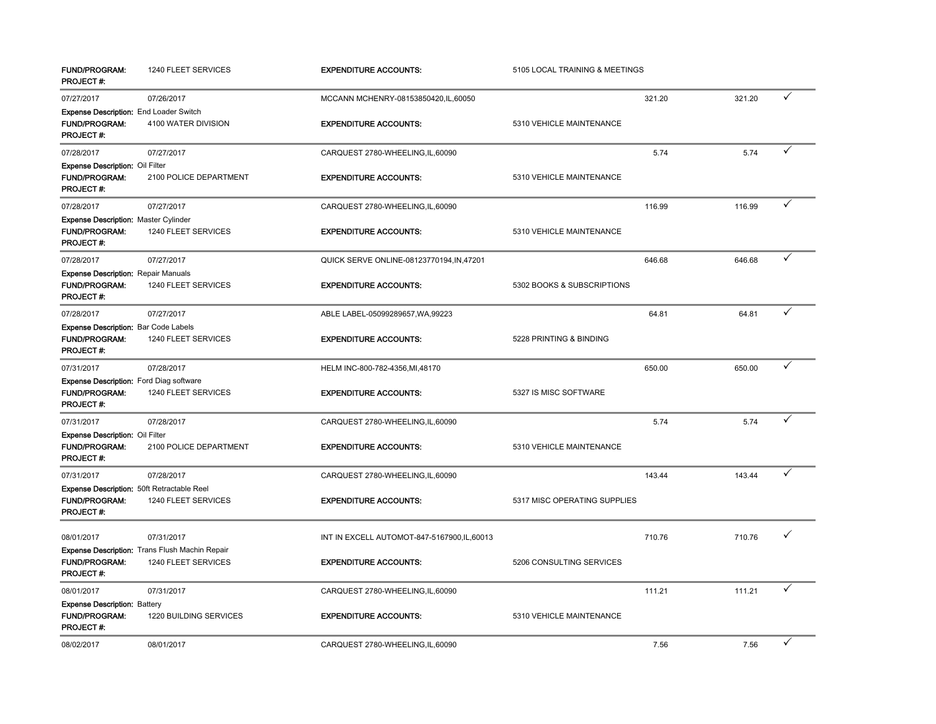| <b>FUND/PROGRAM:</b><br>PROJECT#:                                                          | 1240 FLEET SERVICES                                                   | <b>EXPENDITURE ACCOUNTS:</b>                 | 5105 LOCAL TRAINING & MEETINGS |        |        |              |
|--------------------------------------------------------------------------------------------|-----------------------------------------------------------------------|----------------------------------------------|--------------------------------|--------|--------|--------------|
| 07/27/2017                                                                                 | 07/26/2017                                                            | MCCANN MCHENRY-08153850420, IL, 60050        |                                | 321.20 | 321.20 | ✓            |
| Expense Description: End Loader Switch<br><b>FUND/PROGRAM:</b><br>PROJECT#:                | 4100 WATER DIVISION                                                   | <b>EXPENDITURE ACCOUNTS:</b>                 | 5310 VEHICLE MAINTENANCE       |        |        |              |
| 07/28/2017                                                                                 | 07/27/2017                                                            | CARQUEST 2780-WHEELING,IL,60090              |                                | 5.74   | 5.74   | ✓            |
| <b>Expense Description: Oil Filter</b><br><b>FUND/PROGRAM:</b><br>PROJECT#:                | 2100 POLICE DEPARTMENT                                                | <b>EXPENDITURE ACCOUNTS:</b>                 | 5310 VEHICLE MAINTENANCE       |        |        |              |
| 07/28/2017                                                                                 | 07/27/2017                                                            | CARQUEST 2780-WHEELING,IL,60090              |                                | 116.99 | 116.99 | ✓            |
| Expense Description: Master Cylinder<br>FUND/PROGRAM:<br>PROJECT#:                         | 1240 FLEET SERVICES                                                   | <b>EXPENDITURE ACCOUNTS:</b>                 | 5310 VEHICLE MAINTENANCE       |        |        |              |
| 07/28/2017                                                                                 | 07/27/2017                                                            | QUICK SERVE ONLINE-08123770194, IN, 47201    |                                | 646.68 | 646.68 | ✓            |
| <b>Expense Description: Repair Manuals</b><br><b>FUND/PROGRAM:</b><br>PROJECT#:            | 1240 FLEET SERVICES                                                   | <b>EXPENDITURE ACCOUNTS:</b>                 | 5302 BOOKS & SUBSCRIPTIONS     |        |        |              |
| 07/28/2017                                                                                 | 07/27/2017                                                            | ABLE LABEL-05099289657, WA, 99223            |                                | 64.81  | 64.81  | ✓            |
| <b>Expense Description: Bar Code Labels</b><br>FUND/PROGRAM:<br>PROJECT#:                  | 1240 FLEET SERVICES                                                   | <b>EXPENDITURE ACCOUNTS:</b>                 | 5228 PRINTING & BINDING        |        |        |              |
| 07/31/2017                                                                                 | 07/28/2017                                                            | HELM INC-800-782-4356, MI, 48170             |                                | 650.00 | 650.00 | $\checkmark$ |
| <b>Expense Description:</b> Ford Diag software<br><b>FUND/PROGRAM:</b><br><b>PROJECT#:</b> | 1240 FLEET SERVICES                                                   | <b>EXPENDITURE ACCOUNTS:</b>                 | 5327 IS MISC SOFTWARE          |        |        |              |
| 07/31/2017                                                                                 | 07/28/2017                                                            | CARQUEST 2780-WHEELING,IL,60090              |                                | 5.74   | 5.74   | ✓            |
| Expense Description: Oil Filter<br><b>FUND/PROGRAM:</b><br>PROJECT#:                       | 2100 POLICE DEPARTMENT                                                | <b>EXPENDITURE ACCOUNTS:</b>                 | 5310 VEHICLE MAINTENANCE       |        |        |              |
| 07/31/2017                                                                                 | 07/28/2017                                                            | CARQUEST 2780-WHEELING,IL,60090              |                                | 143.44 | 143.44 | $\checkmark$ |
| Expense Description: 50ft Retractable Reel<br><b>FUND/PROGRAM:</b><br>PROJECT #:           | 1240 FLEET SERVICES                                                   | <b>EXPENDITURE ACCOUNTS:</b>                 | 5317 MISC OPERATING SUPPLIES   |        |        |              |
| 08/01/2017                                                                                 | 07/31/2017                                                            | INT IN EXCELL AUTOMOT-847-5167900, IL, 60013 |                                | 710.76 | 710.76 | ✓            |
| <b>FUND/PROGRAM:</b><br>PROJECT#:                                                          | Expense Description: Trans Flush Machin Repair<br>1240 FLEET SERVICES | <b>EXPENDITURE ACCOUNTS:</b>                 | 5206 CONSULTING SERVICES       |        |        |              |
| 08/01/2017                                                                                 | 07/31/2017                                                            | CARQUEST 2780-WHEELING,IL,60090              |                                | 111.21 | 111.21 | ✓            |
| Expense Description: Battery<br>FUND/PROGRAM:<br>PROJECT#:                                 | 1220 BUILDING SERVICES                                                | <b>EXPENDITURE ACCOUNTS:</b>                 | 5310 VEHICLE MAINTENANCE       |        |        |              |
| 08/02/2017                                                                                 | 08/01/2017                                                            | CARQUEST 2780-WHEELING, IL, 60090            |                                | 7.56   | 7.56   | ✓            |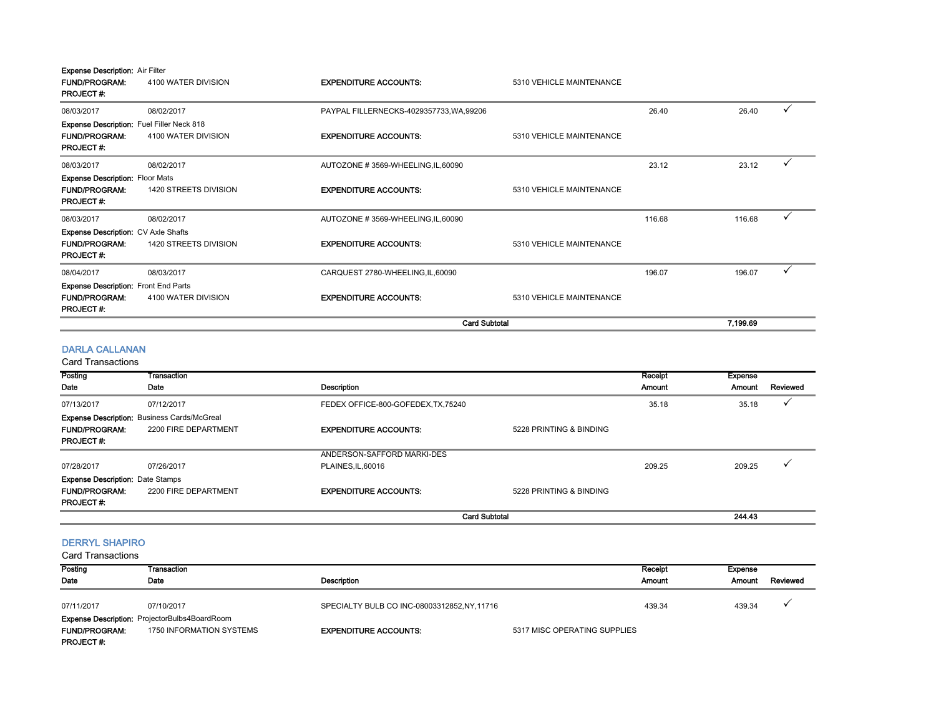| <b>Expense Description: Air Filter</b><br><b>FUND/PROGRAM:</b><br><b>PROJECT#:</b>           | 4100 WATER DIVISION   | <b>EXPENDITURE ACCOUNTS:</b>             | 5310 VEHICLE MAINTENANCE |        |          |   |
|----------------------------------------------------------------------------------------------|-----------------------|------------------------------------------|--------------------------|--------|----------|---|
| 08/03/2017                                                                                   | 08/02/2017            | PAYPAL FILLERNECKS-4029357733, WA, 99206 |                          | 26.40  | 26.40    |   |
| <b>Expense Description:</b> Fuel Filler Neck 818<br><b>FUND/PROGRAM:</b><br><b>PROJECT#:</b> | 4100 WATER DIVISION   | <b>EXPENDITURE ACCOUNTS:</b>             | 5310 VEHICLE MAINTENANCE |        |          |   |
| 08/03/2017                                                                                   | 08/02/2017            | AUTOZONE #3569-WHEELING, IL, 60090       |                          | 23.12  | 23.12    | ✓ |
| <b>Expense Description: Floor Mats</b><br><b>FUND/PROGRAM:</b><br><b>PROJECT#:</b>           | 1420 STREETS DIVISION | <b>EXPENDITURE ACCOUNTS:</b>             | 5310 VEHICLE MAINTENANCE |        |          |   |
| 08/03/2017                                                                                   | 08/02/2017            | AUTOZONE #3569-WHEELING,IL,60090         |                          | 116.68 | 116.68   |   |
| <b>Expense Description: CV Axle Shafts</b>                                                   |                       |                                          |                          |        |          |   |
| <b>FUND/PROGRAM:</b><br><b>PROJECT#:</b>                                                     | 1420 STREETS DIVISION | <b>EXPENDITURE ACCOUNTS:</b>             | 5310 VEHICLE MAINTENANCE |        |          |   |
| 08/04/2017                                                                                   | 08/03/2017            | CARQUEST 2780-WHEELING, IL, 60090        |                          | 196.07 | 196.07   |   |
| <b>Expense Description: Front End Parts</b>                                                  |                       |                                          |                          |        |          |   |
| <b>FUND/PROGRAM:</b><br><b>PROJECT#:</b>                                                     | 4100 WATER DIVISION   | <b>EXPENDITURE ACCOUNTS:</b>             | 5310 VEHICLE MAINTENANCE |        |          |   |
|                                                                                              |                       | <b>Card Subtotal</b>                     |                          |        | 7,199.69 |   |

## DARLA CALLANAN

Card Transactions

| Posting                                 | <b>Transaction</b>                                 |                                     |                         | Receipt | Expense |          |
|-----------------------------------------|----------------------------------------------------|-------------------------------------|-------------------------|---------|---------|----------|
| Date                                    | Date                                               | <b>Description</b>                  |                         | Amount  | Amount  | Reviewed |
| 07/13/2017                              | 07/12/2017                                         | FEDEX OFFICE-800-GOFEDEX, TX, 75240 |                         | 35.18   | 35.18   |          |
|                                         | <b>Expense Description: Business Cards/McGreal</b> |                                     |                         |         |         |          |
| <b>FUND/PROGRAM:</b>                    | 2200 FIRE DEPARTMENT                               | <b>EXPENDITURE ACCOUNTS:</b>        | 5228 PRINTING & BINDING |         |         |          |
| <b>PROJECT#:</b>                        |                                                    |                                     |                         |         |         |          |
|                                         |                                                    | ANDERSON-SAFFORD MARKI-DES          |                         |         |         |          |
| 07/28/2017                              | 07/26/2017                                         | PLAINES.IL.60016                    |                         | 209.25  | 209.25  |          |
| <b>Expense Description: Date Stamps</b> |                                                    |                                     |                         |         |         |          |
| <b>FUND/PROGRAM:</b>                    | 2200 FIRE DEPARTMENT                               | <b>EXPENDITURE ACCOUNTS:</b>        | 5228 PRINTING & BINDING |         |         |          |
| <b>PROJECT#:</b>                        |                                                    |                                     |                         |         |         |          |
|                                         |                                                    |                                     | <b>Card Subtotal</b>    |         | 244.43  |          |

#### DERRYL SHAPIRO

| <b>Card Transactions</b> |                                                      |                                            |                              |         |                |          |
|--------------------------|------------------------------------------------------|--------------------------------------------|------------------------------|---------|----------------|----------|
| Posting                  | Transaction                                          |                                            |                              | Receipt | <b>Expense</b> |          |
| Date                     | Date                                                 | Description                                |                              | Amount  | Amount         | Reviewed |
| 07/11/2017               | 07/10/2017                                           | SPECIALTY BULB CO INC-08003312852,NY,11716 |                              | 439.34  | 439.34         |          |
|                          | <b>Expense Description: ProjectorBulbs4BoardRoom</b> |                                            |                              |         |                |          |
| <b>FUND/PROGRAM:</b>     | 1750 INFORMATION SYSTEMS                             | <b>EXPENDITURE ACCOUNTS:</b>               | 5317 MISC OPERATING SUPPLIES |         |                |          |
| <b>PROJECT#:</b>         |                                                      |                                            |                              |         |                |          |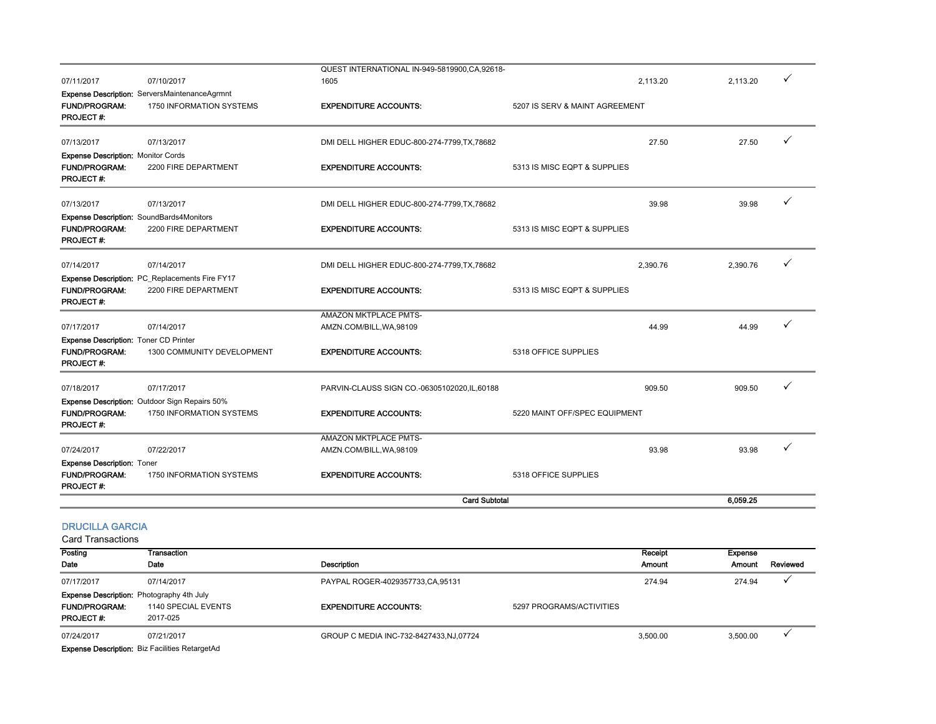|                                                                        |                                                                  | <b>Card Subtotal</b>                         |                                | 6,059.25 |  |
|------------------------------------------------------------------------|------------------------------------------------------------------|----------------------------------------------|--------------------------------|----------|--|
| <b>Expense Description: Toner</b><br><b>FUND/PROGRAM:</b><br>PROJECT#: | 1750 INFORMATION SYSTEMS                                         | <b>EXPENDITURE ACCOUNTS:</b>                 | 5318 OFFICE SUPPLIES           |          |  |
| 07/24/2017                                                             | 07/22/2017                                                       | AMZN.COM/BILL, WA, 98109                     | 93.98                          | 93.98    |  |
|                                                                        |                                                                  | <b>AMAZON MKTPLACE PMTS-</b>                 |                                |          |  |
| <b>FUND/PROGRAM:</b><br>PROJECT#:                                      | 1750 INFORMATION SYSTEMS                                         | <b>EXPENDITURE ACCOUNTS:</b>                 | 5220 MAINT OFF/SPEC EQUIPMENT  |          |  |
|                                                                        | <b>Expense Description:</b> Outdoor Sign Repairs 50%             |                                              |                                |          |  |
| 07/18/2017                                                             | 07/17/2017                                                       | PARVIN-CLAUSS SIGN CO.-06305102020,IL,60188  | 909.50                         | 909.50   |  |
| <b>FUND/PROGRAM:</b><br><b>PROJECT#:</b>                               | 1300 COMMUNITY DEVELOPMENT                                       | <b>EXPENDITURE ACCOUNTS:</b>                 | 5318 OFFICE SUPPLIES           |          |  |
| <b>Expense Description: Toner CD Printer</b>                           |                                                                  |                                              |                                |          |  |
| 07/17/2017                                                             | 07/14/2017                                                       | AMZN.COM/BILL, WA, 98109                     | 44.99                          | 44.99    |  |
|                                                                        |                                                                  | AMAZON MKTPLACE PMTS-                        |                                |          |  |
| <b>FUND/PROGRAM:</b><br><b>PROJECT#:</b>                               | 2200 FIRE DEPARTMENT                                             | <b>EXPENDITURE ACCOUNTS:</b>                 | 5313 IS MISC EQPT & SUPPLIES   |          |  |
|                                                                        | Expense Description: PC_Replacements Fire FY17                   |                                              |                                |          |  |
| 07/14/2017                                                             | 07/14/2017                                                       | DMI DELL HIGHER EDUC-800-274-7799, TX, 78682 | 2,390.76                       | 2,390.76 |  |
| <b>FUND/PROGRAM:</b><br><b>PROJECT#:</b>                               | Expense Description: SoundBards4Monitors<br>2200 FIRE DEPARTMENT | <b>EXPENDITURE ACCOUNTS:</b>                 | 5313 IS MISC EQPT & SUPPLIES   |          |  |
| 07/13/2017                                                             | 07/13/2017                                                       | DMI DELL HIGHER EDUC-800-274-7799, TX, 78682 | 39.98                          | 39.98    |  |
|                                                                        |                                                                  |                                              |                                |          |  |
| <b>FUND/PROGRAM:</b><br>PROJECT#:                                      | 2200 FIRE DEPARTMENT                                             | <b>EXPENDITURE ACCOUNTS:</b>                 | 5313 IS MISC EQPT & SUPPLIES   |          |  |
| <b>Expense Description: Monitor Cords</b>                              |                                                                  |                                              |                                |          |  |
| 07/13/2017                                                             | 07/13/2017                                                       | DMI DELL HIGHER EDUC-800-274-7799, TX, 78682 | 27.50                          | 27.50    |  |
| <b>FUND/PROGRAM:</b><br><b>PROJECT#:</b>                               | 1750 INFORMATION SYSTEMS                                         | <b>EXPENDITURE ACCOUNTS:</b>                 | 5207 IS SERV & MAINT AGREEMENT |          |  |
|                                                                        | Expense Description: ServersMaintenanceAgrmnt                    |                                              |                                |          |  |
| 07/11/2017                                                             | 07/10/2017                                                       | 1605                                         | 2,113.20                       | 2,113.20 |  |
|                                                                        |                                                                  | QUEST INTERNATIONAL IN-949-5819900,CA,92618- |                                |          |  |

#### DRUCILLA GARCIA

Card Transactions

| Posting                                          | Transaction         |                                          |                          | Receipt  | Expense  |          |
|--------------------------------------------------|---------------------|------------------------------------------|--------------------------|----------|----------|----------|
| Date                                             | Date                | Description                              |                          | Amount   | Amount   | Reviewed |
| 07/17/2017                                       | 07/14/2017          | PAYPAL ROGER-4029357733,CA,95131         |                          | 274.94   | 274.94   |          |
| <b>Expense Description:</b> Photography 4th July |                     |                                          |                          |          |          |          |
| <b>FUND/PROGRAM:</b>                             | 1140 SPECIAL EVENTS | <b>EXPENDITURE ACCOUNTS:</b>             | 5297 PROGRAMS/ACTIVITIES |          |          |          |
| <b>PROJECT#:</b>                                 | 2017-025            |                                          |                          |          |          |          |
| 07/24/2017                                       | 07/21/2017          | GROUP C MEDIA INC-732-8427433, NJ, 07724 |                          | 3.500.00 | 3,500.00 |          |
| $\sim$                                           |                     |                                          |                          |          |          |          |

Expense Description: Biz Facilities RetargetAd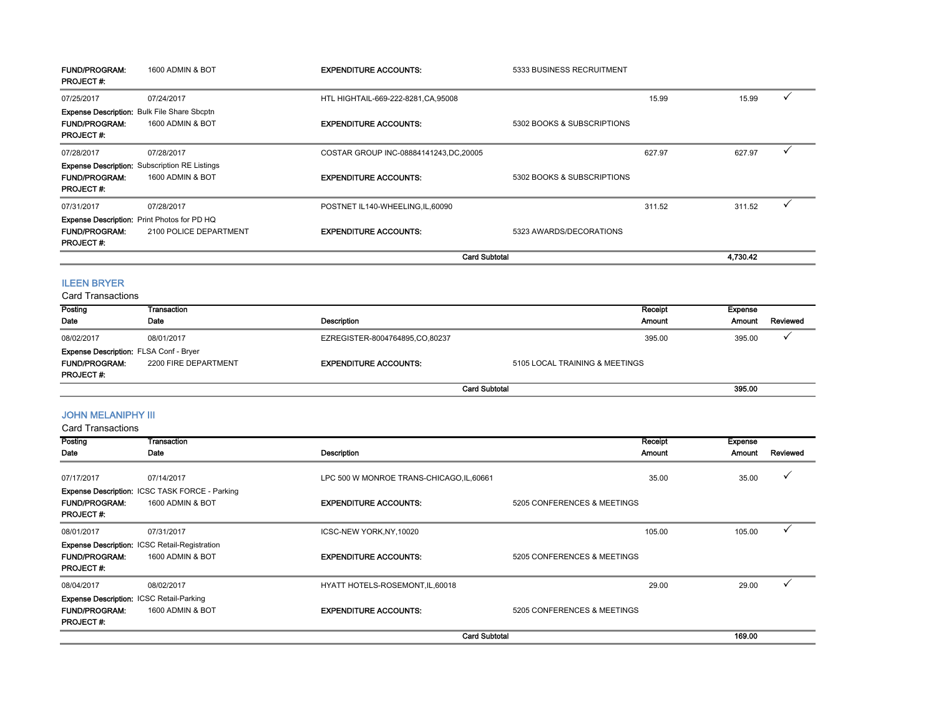| <b>FUND/PROGRAM:</b><br><b>PROJECT#:</b>                                                | 1600 ADMIN & BOT                                                   | <b>EXPENDITURE ACCOUNTS:</b>            | 5333 BUSINESS RECRUITMENT  |        |          |   |
|-----------------------------------------------------------------------------------------|--------------------------------------------------------------------|-----------------------------------------|----------------------------|--------|----------|---|
| 07/25/2017                                                                              | 07/24/2017                                                         | HTL HIGHTAIL-669-222-8281, CA, 95008    |                            | 15.99  | 15.99    | ✓ |
| Expense Description: Bulk File Share Sbcptn<br><b>FUND/PROGRAM:</b><br><b>PROJECT#:</b> | 1600 ADMIN & BOT                                                   | <b>EXPENDITURE ACCOUNTS:</b>            | 5302 BOOKS & SUBSCRIPTIONS |        |          |   |
| 07/28/2017                                                                              | 07/28/2017<br><b>Expense Description:</b> Subscription RE Listings | COSTAR GROUP INC-08884141243, DC, 20005 |                            | 627.97 | 627.97   | ✓ |
| <b>FUND/PROGRAM:</b><br><b>PROJECT#:</b>                                                | 1600 ADMIN & BOT                                                   | <b>EXPENDITURE ACCOUNTS:</b>            | 5302 BOOKS & SUBSCRIPTIONS |        |          |   |
| 07/31/2017                                                                              | 07/28/2017<br>Expense Description: Print Photos for PD HQ          | POSTNET IL140-WHEELING, IL, 60090       |                            | 311.52 | 311.52   | ✓ |
| <b>FUND/PROGRAM:</b><br><b>PROJECT#:</b>                                                | 2100 POLICE DEPARTMENT                                             | <b>EXPENDITURE ACCOUNTS:</b>            | 5323 AWARDS/DECORATIONS    |        |          |   |
|                                                                                         |                                                                    |                                         | <b>Card Subtotal</b>       |        | 4,730.42 |   |
| <b>ILEEN BRYER</b>                                                                      |                                                                    |                                         |                            |        |          |   |

Card Transactions

| Posting<br>Date                                                                           | Transaction<br>Date  | Description                    | Receipt<br>Amount              | Expense<br><b>Amount</b> | Reviewed |
|-------------------------------------------------------------------------------------------|----------------------|--------------------------------|--------------------------------|--------------------------|----------|
| 08/02/2017                                                                                | 08/01/2017           | EZREGISTER-8004764895,CO,80237 | 395.00                         | 395.00                   |          |
| <b>Expense Description: FLSA Conf - Bryer</b><br><b>FUND/PROGRAM:</b><br><b>PROJECT#:</b> | 2200 FIRE DEPARTMENT | <b>EXPENDITURE ACCOUNTS:</b>   | 5105 LOCAL TRAINING & MEETINGS |                          |          |
|                                                                                           |                      |                                | <b>Card Subtotal</b>           | 395.00                   |          |

## JOHN MELANIPHY III

| Posting<br>Date                                                                             | Transaction<br>Date                                                       | Description                               | Receipt<br><b>Amount</b>    | <b>Expense</b><br>Amount | Reviewed     |
|---------------------------------------------------------------------------------------------|---------------------------------------------------------------------------|-------------------------------------------|-----------------------------|--------------------------|--------------|
| 07/17/2017                                                                                  | 07/14/2017                                                                | LPC 500 W MONROE TRANS-CHICAGO, IL, 60661 | 35.00                       | 35.00                    | ✓            |
| <b>FUND/PROGRAM:</b><br><b>PROJECT#:</b>                                                    | <b>Expense Description: ICSC TASK FORCE - Parking</b><br>1600 ADMIN & BOT | <b>EXPENDITURE ACCOUNTS:</b>              | 5205 CONFERENCES & MEETINGS |                          |              |
| 08/01/2017                                                                                  | 07/31/2017                                                                | ICSC-NEW YORK, NY, 10020                  | 105.00                      | 105.00                   |              |
| <b>FUND/PROGRAM:</b><br><b>PROJECT#:</b>                                                    | <b>Expense Description: ICSC Retail-Registration</b><br>1600 ADMIN & BOT  | <b>EXPENDITURE ACCOUNTS:</b>              | 5205 CONFERENCES & MEETINGS |                          |              |
| 08/04/2017                                                                                  | 08/02/2017                                                                | HYATT HOTELS-ROSEMONT, IL, 60018          | 29.00                       | 29.00                    | $\checkmark$ |
| <b>Expense Description: ICSC Retail-Parking</b><br><b>FUND/PROGRAM:</b><br><b>PROJECT#:</b> | 1600 ADMIN & BOT                                                          | <b>EXPENDITURE ACCOUNTS:</b>              | 5205 CONFERENCES & MEETINGS |                          |              |
|                                                                                             |                                                                           | <b>Card Subtotal</b>                      |                             | 169.00                   |              |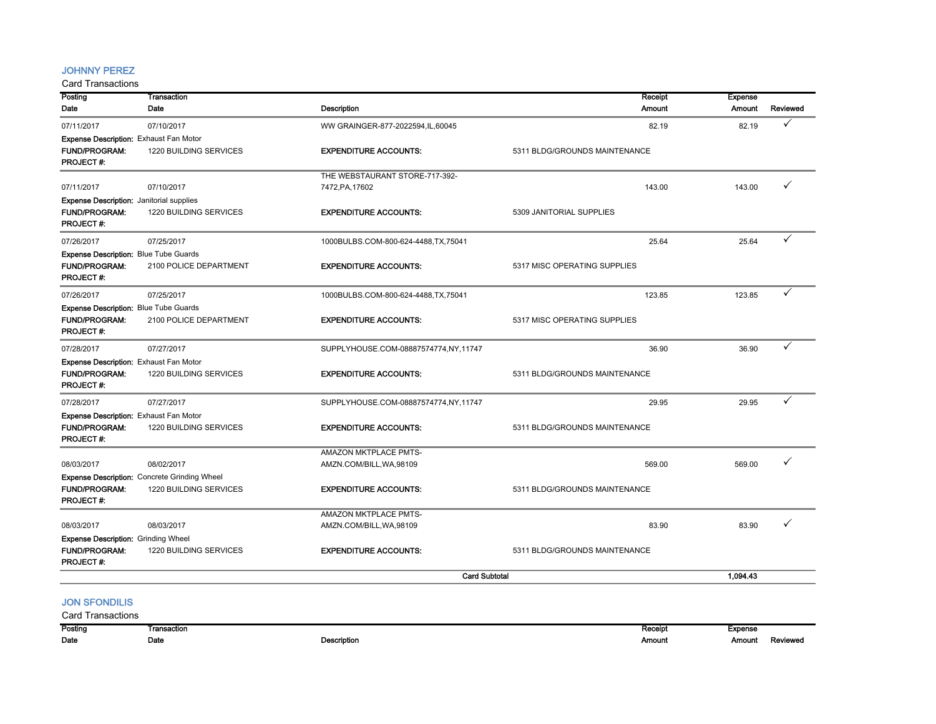#### JOHNNY PEREZ

| Posting                                         | <b>Transaction</b>                                  |                                                   | Receipt                       | <b>Expense</b> |          |
|-------------------------------------------------|-----------------------------------------------------|---------------------------------------------------|-------------------------------|----------------|----------|
| Date                                            | Date                                                | <b>Description</b>                                | Amount                        | <b>Amount</b>  | Reviewed |
| 07/11/2017                                      | 07/10/2017                                          | WW GRAINGER-877-2022594, IL, 60045                | 82.19                         | 82.19          | ✓        |
| <b>Expense Description: Exhaust Fan Motor</b>   |                                                     |                                                   |                               |                |          |
| FUND/PROGRAM:                                   | 1220 BUILDING SERVICES                              | <b>EXPENDITURE ACCOUNTS:</b>                      | 5311 BLDG/GROUNDS MAINTENANCE |                |          |
| PROJECT#:                                       |                                                     |                                                   |                               |                |          |
|                                                 |                                                     | THE WEBSTAURANT STORE-717-392-                    |                               |                |          |
| 07/11/2017                                      | 07/10/2017                                          | 7472, PA, 17602                                   | 143.00                        | 143.00         | ✓        |
| <b>Expense Description:</b> Janitorial supplies |                                                     |                                                   |                               |                |          |
| <b>FUND/PROGRAM:</b>                            | 1220 BUILDING SERVICES                              | <b>EXPENDITURE ACCOUNTS:</b>                      | 5309 JANITORIAL SUPPLIES      |                |          |
| <b>PROJECT#:</b>                                |                                                     |                                                   |                               |                |          |
| 07/26/2017                                      | 07/25/2017                                          | 1000BULBS.COM-800-624-4488, TX, 75041             | 25.64                         | 25.64          | ✓        |
| Expense Description: Blue Tube Guards           |                                                     |                                                   |                               |                |          |
| FUND/PROGRAM:                                   | 2100 POLICE DEPARTMENT                              | <b>EXPENDITURE ACCOUNTS:</b>                      | 5317 MISC OPERATING SUPPLIES  |                |          |
| PROJECT#:                                       |                                                     |                                                   |                               |                |          |
| 07/26/2017                                      | 07/25/2017                                          | 1000BULBS.COM-800-624-4488, TX, 75041             | 123.85                        | 123.85         | ✓        |
| Expense Description: Blue Tube Guards           |                                                     |                                                   |                               |                |          |
| <b>FUND/PROGRAM:</b>                            | 2100 POLICE DEPARTMENT                              | <b>EXPENDITURE ACCOUNTS:</b>                      | 5317 MISC OPERATING SUPPLIES  |                |          |
| <b>PROJECT#:</b>                                |                                                     |                                                   |                               |                |          |
| 07/28/2017                                      | 07/27/2017                                          | SUPPLYHOUSE.COM-08887574774,NY,11747              | 36.90                         | 36.90          | ✓        |
| <b>Expense Description: Exhaust Fan Motor</b>   |                                                     |                                                   |                               |                |          |
| FUND/PROGRAM:                                   | 1220 BUILDING SERVICES                              | <b>EXPENDITURE ACCOUNTS:</b>                      | 5311 BLDG/GROUNDS MAINTENANCE |                |          |
| PROJECT#:                                       |                                                     |                                                   |                               |                |          |
| 07/28/2017                                      | 07/27/2017                                          | SUPPLYHOUSE.COM-08887574774,NY,11747              | 29.95                         | 29.95          | ✓        |
| Expense Description: Exhaust Fan Motor          |                                                     |                                                   |                               |                |          |
| <b>FUND/PROGRAM:</b>                            | 1220 BUILDING SERVICES                              | <b>EXPENDITURE ACCOUNTS:</b>                      | 5311 BLDG/GROUNDS MAINTENANCE |                |          |
| PROJECT#:                                       |                                                     |                                                   |                               |                |          |
|                                                 |                                                     | AMAZON MKTPLACE PMTS-                             |                               |                |          |
| 08/03/2017                                      | 08/02/2017                                          | AMZN.COM/BILL, WA, 98109                          | 569.00                        | 569.00         | ✓        |
|                                                 | <b>Expense Description:</b> Concrete Grinding Wheel |                                                   |                               |                |          |
| <b>FUND/PROGRAM:</b>                            | 1220 BUILDING SERVICES                              | <b>EXPENDITURE ACCOUNTS:</b>                      | 5311 BLDG/GROUNDS MAINTENANCE |                |          |
| <b>PROJECT#:</b>                                |                                                     |                                                   |                               |                |          |
| 08/03/2017                                      | 08/03/2017                                          | AMAZON MKTPLACE PMTS-<br>AMZN.COM/BILL, WA, 98109 | 83.90                         | 83.90          |          |
| <b>Expense Description: Grinding Wheel</b>      |                                                     |                                                   |                               |                |          |
| <b>FUND/PROGRAM:</b>                            | 1220 BUILDING SERVICES                              | <b>EXPENDITURE ACCOUNTS:</b>                      | 5311 BLDG/GROUNDS MAINTENANCE |                |          |
| <b>PROJECT#:</b>                                |                                                     |                                                   |                               |                |          |
|                                                 |                                                     | <b>Card Subtotal</b>                              |                               | 1.094.43       |          |
|                                                 |                                                     |                                                   |                               |                |          |
| <b>JON SFONDILIS</b>                            |                                                     |                                                   |                               |                |          |
| <b>Card Transactions</b>                        |                                                     |                                                   |                               |                |          |

| Posting | Transaction |                                                    | naudil | Expense |                |
|---------|-------------|----------------------------------------------------|--------|---------|----------------|
| Date    | Date        | Description<br>the contract of the contract of the | Amoun  | Amount  | <b>Reviewe</b> |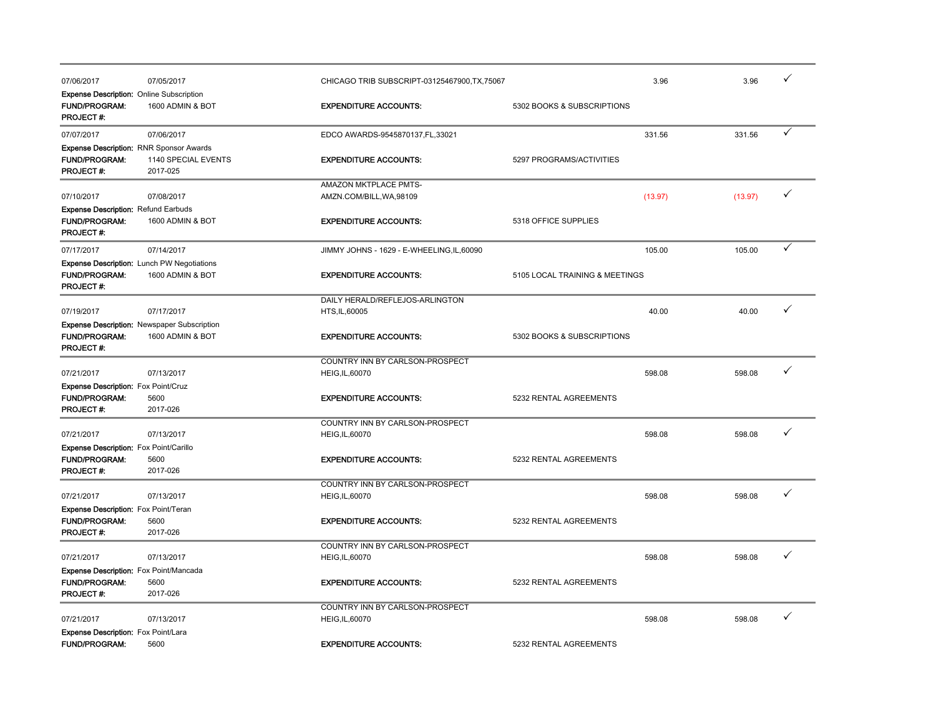| 07/06/2017                                                         | 07/05/2017                                         | CHICAGO TRIB SUBSCRIPT-03125467900, TX, 75067 | 3.96                           | 3.96    | ✓ |
|--------------------------------------------------------------------|----------------------------------------------------|-----------------------------------------------|--------------------------------|---------|---|
| Expense Description: Online Subscription                           |                                                    |                                               |                                |         |   |
| <b>FUND/PROGRAM:</b>                                               | 1600 ADMIN & BOT                                   | <b>EXPENDITURE ACCOUNTS:</b>                  | 5302 BOOKS & SUBSCRIPTIONS     |         |   |
| PROJECT#:                                                          |                                                    |                                               |                                |         |   |
| 07/07/2017                                                         | 07/06/2017                                         | EDCO AWARDS-9545870137,FL,33021               | 331.56                         | 331.56  | ✓ |
|                                                                    | <b>Expense Description: RNR Sponsor Awards</b>     |                                               |                                |         |   |
| <b>FUND/PROGRAM:</b>                                               | 1140 SPECIAL EVENTS                                | <b>EXPENDITURE ACCOUNTS:</b>                  | 5297 PROGRAMS/ACTIVITIES       |         |   |
| <b>PROJECT#:</b>                                                   | 2017-025                                           |                                               |                                |         |   |
|                                                                    |                                                    | AMAZON MKTPLACE PMTS-                         |                                |         |   |
| 07/10/2017                                                         | 07/08/2017                                         | AMZN.COM/BILL, WA, 98109                      | (13.97)                        | (13.97) | ✓ |
| <b>Expense Description: Refund Earbuds</b>                         |                                                    |                                               |                                |         |   |
| <b>FUND/PROGRAM:</b>                                               | 1600 ADMIN & BOT                                   | <b>EXPENDITURE ACCOUNTS:</b>                  | 5318 OFFICE SUPPLIES           |         |   |
| <b>PROJECT#:</b>                                                   |                                                    |                                               |                                |         |   |
| 07/17/2017                                                         | 07/14/2017                                         | JIMMY JOHNS - 1629 - E-WHEELING, IL, 60090    | 105.00                         | 105.00  | ✓ |
|                                                                    | <b>Expense Description: Lunch PW Negotiations</b>  |                                               |                                |         |   |
| <b>FUND/PROGRAM:</b>                                               | 1600 ADMIN & BOT                                   | <b>EXPENDITURE ACCOUNTS:</b>                  | 5105 LOCAL TRAINING & MEETINGS |         |   |
| PROJECT#:                                                          |                                                    |                                               |                                |         |   |
|                                                                    |                                                    | DAILY HERALD/REFLEJOS-ARLINGTON               |                                |         |   |
| 07/19/2017                                                         | 07/17/2017                                         | HTS, IL, 60005                                | 40.00                          | 40.00   | ✓ |
|                                                                    | <b>Expense Description: Newspaper Subscription</b> |                                               |                                |         |   |
| FUND/PROGRAM:                                                      | 1600 ADMIN & BOT                                   | <b>EXPENDITURE ACCOUNTS:</b>                  | 5302 BOOKS & SUBSCRIPTIONS     |         |   |
| PROJECT #:                                                         |                                                    |                                               |                                |         |   |
|                                                                    |                                                    | COUNTRY INN BY CARLSON-PROSPECT               |                                |         |   |
| 07/21/2017                                                         | 07/13/2017                                         | HEIG, IL, 60070                               | 598.08                         | 598.08  | ✓ |
|                                                                    |                                                    |                                               |                                |         |   |
| <b>Expense Description: Fox Point/Cruz</b><br><b>FUND/PROGRAM:</b> | 5600                                               | <b>EXPENDITURE ACCOUNTS:</b>                  | 5232 RENTAL AGREEMENTS         |         |   |
| PROJECT#:                                                          | 2017-026                                           |                                               |                                |         |   |
|                                                                    |                                                    |                                               |                                |         |   |
|                                                                    | 07/13/2017                                         | COUNTRY INN BY CARLSON-PROSPECT               | 598.08                         | 598.08  | ✓ |
| 07/21/2017                                                         |                                                    | HEIG, IL, 60070                               |                                |         |   |
| <b>Expense Description:</b> Fox Point/Carillo                      |                                                    |                                               |                                |         |   |
| <b>FUND/PROGRAM:</b>                                               | 5600<br>2017-026                                   | <b>EXPENDITURE ACCOUNTS:</b>                  | 5232 RENTAL AGREEMENTS         |         |   |
| PROJECT#:                                                          |                                                    |                                               |                                |         |   |
|                                                                    |                                                    | COUNTRY INN BY CARLSON-PROSPECT               |                                |         | ✓ |
| 07/21/2017                                                         | 07/13/2017                                         | HEIG, IL, 60070                               | 598.08                         | 598.08  |   |
| Expense Description: Fox Point/Teran                               |                                                    |                                               |                                |         |   |
| <b>FUND/PROGRAM:</b>                                               | 5600                                               | <b>EXPENDITURE ACCOUNTS:</b>                  | 5232 RENTAL AGREEMENTS         |         |   |
| PROJECT#:                                                          | 2017-026                                           |                                               |                                |         |   |
|                                                                    |                                                    | COUNTRY INN BY CARLSON-PROSPECT               |                                |         |   |
| 07/21/2017                                                         | 07/13/2017                                         | <b>HEIG, IL, 60070</b>                        | 598.08                         | 598.08  | ✓ |
| <b>Expense Description:</b> Fox Point/Mancada                      |                                                    |                                               |                                |         |   |
| <b>FUND/PROGRAM:</b>                                               | 5600                                               | <b>EXPENDITURE ACCOUNTS:</b>                  | 5232 RENTAL AGREEMENTS         |         |   |
| PROJECT#:                                                          | 2017-026                                           |                                               |                                |         |   |
|                                                                    |                                                    | COUNTRY INN BY CARLSON-PROSPECT               |                                |         |   |
| 07/21/2017                                                         | 07/13/2017                                         | HEIG, IL, 60070                               | 598.08                         | 598.08  | ✓ |
| Expense Description: Fox Point/Lara                                |                                                    |                                               |                                |         |   |
| <b>FUND/PROGRAM:</b>                                               | 5600                                               | <b>EXPENDITURE ACCOUNTS:</b>                  | 5232 RENTAL AGREEMENTS         |         |   |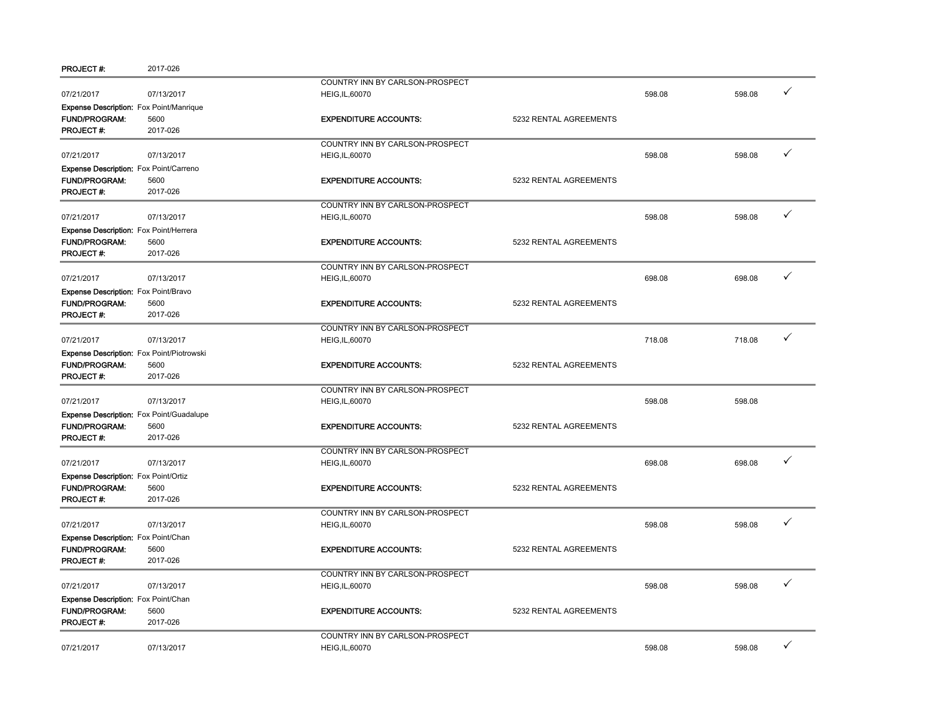| PROJECT #:                                     | 2017-026                                        |                                 |                        |        |        |              |
|------------------------------------------------|-------------------------------------------------|---------------------------------|------------------------|--------|--------|--------------|
|                                                |                                                 | COUNTRY INN BY CARLSON-PROSPECT |                        |        |        |              |
| 07/21/2017                                     | 07/13/2017                                      | HEIG, IL, 60070                 |                        | 598.08 | 598.08 | ✓            |
| <b>Expense Description:</b> Fox Point/Manrique |                                                 |                                 |                        |        |        |              |
| <b>FUND/PROGRAM:</b>                           | 5600                                            | <b>EXPENDITURE ACCOUNTS:</b>    | 5232 RENTAL AGREEMENTS |        |        |              |
| <b>PROJECT#:</b>                               | 2017-026                                        |                                 |                        |        |        |              |
|                                                |                                                 | COUNTRY INN BY CARLSON-PROSPECT |                        |        |        |              |
| 07/21/2017                                     | 07/13/2017                                      | <b>HEIG, IL, 60070</b>          |                        | 598.08 | 598.08 | $\checkmark$ |
| Expense Description: Fox Point/Carreno         |                                                 |                                 |                        |        |        |              |
| FUND/PROGRAM:                                  | 5600                                            | <b>EXPENDITURE ACCOUNTS:</b>    | 5232 RENTAL AGREEMENTS |        |        |              |
| PROJECT#:                                      | 2017-026                                        |                                 |                        |        |        |              |
|                                                |                                                 | COUNTRY INN BY CARLSON-PROSPECT |                        |        |        |              |
| 07/21/2017                                     | 07/13/2017                                      | <b>HEIG, IL, 60070</b>          |                        | 598.08 | 598.08 | ✓            |
| <b>Expense Description:</b> Fox Point/Herrera  |                                                 |                                 |                        |        |        |              |
| <b>FUND/PROGRAM:</b>                           | 5600                                            | <b>EXPENDITURE ACCOUNTS:</b>    | 5232 RENTAL AGREEMENTS |        |        |              |
| PROJECT #:                                     | 2017-026                                        |                                 |                        |        |        |              |
|                                                |                                                 |                                 |                        |        |        |              |
|                                                |                                                 | COUNTRY INN BY CARLSON-PROSPECT |                        |        |        | ✓            |
| 07/21/2017                                     | 07/13/2017                                      | HEIG, IL, 60070                 |                        | 698.08 | 698.08 |              |
| Expense Description: Fox Point/Bravo           |                                                 |                                 |                        |        |        |              |
| <b>FUND/PROGRAM:</b>                           | 5600                                            | <b>EXPENDITURE ACCOUNTS:</b>    | 5232 RENTAL AGREEMENTS |        |        |              |
| PROJECT#:                                      | 2017-026                                        |                                 |                        |        |        |              |
|                                                |                                                 | COUNTRY INN BY CARLSON-PROSPECT |                        |        |        |              |
| 07/21/2017                                     | 07/13/2017                                      | <b>HEIG, IL, 60070</b>          |                        | 718.08 | 718.08 | ✓            |
| Expense Description: Fox Point/Piotrowski      |                                                 |                                 |                        |        |        |              |
| <b>FUND/PROGRAM:</b>                           | 5600                                            | <b>EXPENDITURE ACCOUNTS:</b>    | 5232 RENTAL AGREEMENTS |        |        |              |
| <b>PROJECT#:</b>                               | 2017-026                                        |                                 |                        |        |        |              |
|                                                |                                                 | COUNTRY INN BY CARLSON-PROSPECT |                        |        |        |              |
| 07/21/2017                                     | 07/13/2017                                      | HEIG, IL, 60070                 |                        | 598.08 | 598.08 |              |
|                                                | <b>Expense Description:</b> Fox Point/Guadalupe |                                 |                        |        |        |              |
| <b>FUND/PROGRAM:</b>                           | 5600                                            | <b>EXPENDITURE ACCOUNTS:</b>    | 5232 RENTAL AGREEMENTS |        |        |              |
| PROJECT#:                                      | 2017-026                                        |                                 |                        |        |        |              |
|                                                |                                                 |                                 |                        |        |        |              |
| 07/21/2017                                     | 07/13/2017                                      | COUNTRY INN BY CARLSON-PROSPECT |                        | 698.08 | 698.08 | ✓            |
|                                                |                                                 | HEIG, IL, 60070                 |                        |        |        |              |
| <b>Expense Description:</b> Fox Point/Ortiz    |                                                 |                                 |                        |        |        |              |
| <b>FUND/PROGRAM:</b>                           | 5600                                            | <b>EXPENDITURE ACCOUNTS:</b>    | 5232 RENTAL AGREEMENTS |        |        |              |
| PROJECT#:                                      | 2017-026                                        |                                 |                        |        |        |              |
|                                                |                                                 | COUNTRY INN BY CARLSON-PROSPECT |                        |        |        |              |
| 07/21/2017                                     | 07/13/2017                                      | HEIG, IL, 60070                 |                        | 598.08 | 598.08 | ✓            |
| Expense Description: Fox Point/Chan            |                                                 |                                 |                        |        |        |              |
| <b>FUND/PROGRAM:</b>                           | 5600                                            | <b>EXPENDITURE ACCOUNTS:</b>    | 5232 RENTAL AGREEMENTS |        |        |              |
| PROJECT#:                                      | 2017-026                                        |                                 |                        |        |        |              |
|                                                |                                                 | COUNTRY INN BY CARLSON-PROSPECT |                        |        |        |              |
| 07/21/2017                                     | 07/13/2017                                      | <b>HEIG, IL, 60070</b>          |                        | 598.08 | 598.08 | ✓            |
| Expense Description: Fox Point/Chan            |                                                 |                                 |                        |        |        |              |
| <b>FUND/PROGRAM:</b>                           | 5600                                            | <b>EXPENDITURE ACCOUNTS:</b>    | 5232 RENTAL AGREEMENTS |        |        |              |
| <b>PROJECT#:</b>                               | 2017-026                                        |                                 |                        |        |        |              |
|                                                |                                                 |                                 |                        |        |        |              |
|                                                |                                                 | COUNTRY INN BY CARLSON-PROSPECT |                        |        |        | ✓            |
| 07/21/2017                                     | 07/13/2017                                      | HEIG, IL, 60070                 |                        | 598.08 | 598.08 |              |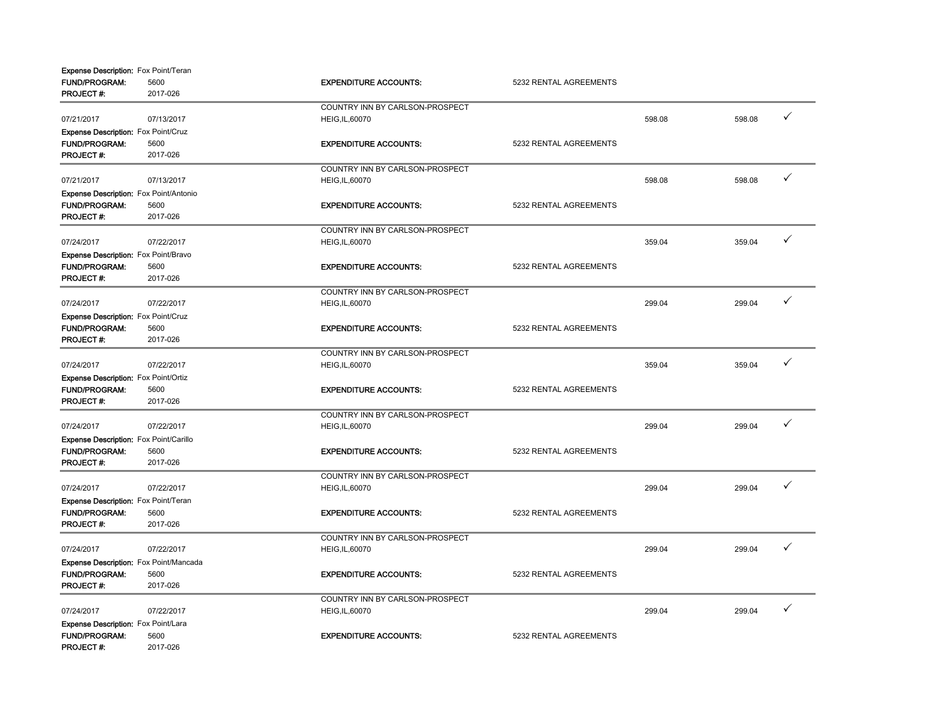| <b>Expense Description:</b> Fox Point/Teran |            |                                 |                        |        |        |   |
|---------------------------------------------|------------|---------------------------------|------------------------|--------|--------|---|
| <b>FUND/PROGRAM:</b>                        | 5600       | <b>EXPENDITURE ACCOUNTS:</b>    | 5232 RENTAL AGREEMENTS |        |        |   |
| <b>PROJECT#:</b>                            | 2017-026   |                                 |                        |        |        |   |
|                                             |            | COUNTRY INN BY CARLSON-PROSPECT |                        |        |        |   |
| 07/21/2017                                  | 07/13/2017 | <b>HEIG, IL, 60070</b>          |                        | 598.08 | 598.08 | ✓ |
| <b>Expense Description:</b> Fox Point/Cruz  |            |                                 |                        |        |        |   |
| <b>FUND/PROGRAM:</b>                        | 5600       | <b>EXPENDITURE ACCOUNTS:</b>    | 5232 RENTAL AGREEMENTS |        |        |   |
| <b>PROJECT#:</b>                            | 2017-026   |                                 |                        |        |        |   |
|                                             |            | COUNTRY INN BY CARLSON-PROSPECT |                        |        |        |   |
| 07/21/2017                                  | 07/13/2017 | <b>HEIG, IL, 60070</b>          |                        | 598.08 | 598.08 | ✓ |
| Expense Description: Fox Point/Antonio      |            |                                 |                        |        |        |   |
| FUND/PROGRAM:                               | 5600       | <b>EXPENDITURE ACCOUNTS:</b>    | 5232 RENTAL AGREEMENTS |        |        |   |
| <b>PROJECT#:</b>                            | 2017-026   |                                 |                        |        |        |   |
|                                             |            |                                 |                        |        |        |   |
|                                             |            | COUNTRY INN BY CARLSON-PROSPECT |                        |        |        | ✓ |
| 07/24/2017                                  | 07/22/2017 | <b>HEIG, IL, 60070</b>          |                        | 359.04 | 359.04 |   |
| Expense Description: Fox Point/Bravo        |            |                                 |                        |        |        |   |
| FUND/PROGRAM:                               | 5600       | <b>EXPENDITURE ACCOUNTS:</b>    | 5232 RENTAL AGREEMENTS |        |        |   |
| <b>PROJECT#:</b>                            | 2017-026   |                                 |                        |        |        |   |
|                                             |            | COUNTRY INN BY CARLSON-PROSPECT |                        |        |        |   |
| 07/24/2017                                  | 07/22/2017 | HEIG, IL, 60070                 |                        | 299.04 | 299.04 | ✓ |
| <b>Expense Description:</b> Fox Point/Cruz  |            |                                 |                        |        |        |   |
| <b>FUND/PROGRAM:</b>                        | 5600       | <b>EXPENDITURE ACCOUNTS:</b>    | 5232 RENTAL AGREEMENTS |        |        |   |
| PROJECT#:                                   | 2017-026   |                                 |                        |        |        |   |
|                                             |            | COUNTRY INN BY CARLSON-PROSPECT |                        |        |        |   |
| 07/24/2017                                  | 07/22/2017 | <b>HEIG, IL, 60070</b>          |                        | 359.04 | 359.04 | ✓ |
|                                             |            |                                 |                        |        |        |   |
| <b>Expense Description:</b> Fox Point/Ortiz |            |                                 |                        |        |        |   |
| FUND/PROGRAM:                               | 5600       | <b>EXPENDITURE ACCOUNTS:</b>    | 5232 RENTAL AGREEMENTS |        |        |   |
| <b>PROJECT#:</b>                            | 2017-026   |                                 |                        |        |        |   |
|                                             |            | COUNTRY INN BY CARLSON-PROSPECT |                        |        |        |   |
| 07/24/2017                                  | 07/22/2017 | <b>HEIG,IL,60070</b>            |                        | 299.04 | 299.04 | ✓ |
| Expense Description: Fox Point/Carillo      |            |                                 |                        |        |        |   |
| <b>FUND/PROGRAM:</b>                        | 5600       | <b>EXPENDITURE ACCOUNTS:</b>    | 5232 RENTAL AGREEMENTS |        |        |   |
| <b>PROJECT#:</b>                            | 2017-026   |                                 |                        |        |        |   |
|                                             |            | COUNTRY INN BY CARLSON-PROSPECT |                        |        |        |   |
| 07/24/2017                                  | 07/22/2017 | <b>HEIG, IL, 60070</b>          |                        | 299.04 | 299.04 | ✓ |
| Expense Description: Fox Point/Teran        |            |                                 |                        |        |        |   |
| <b>FUND/PROGRAM:</b>                        | 5600       | <b>EXPENDITURE ACCOUNTS:</b>    | 5232 RENTAL AGREEMENTS |        |        |   |
| PROJECT#:                                   | 2017-026   |                                 |                        |        |        |   |
|                                             |            |                                 |                        |        |        |   |
|                                             |            | COUNTRY INN BY CARLSON-PROSPECT |                        |        |        | ✓ |
| 07/24/2017                                  | 07/22/2017 | HEIG, IL, 60070                 |                        | 299.04 | 299.04 |   |
| Expense Description: Fox Point/Mancada      |            |                                 |                        |        |        |   |
| <b>FUND/PROGRAM:</b>                        | 5600       | <b>EXPENDITURE ACCOUNTS:</b>    | 5232 RENTAL AGREEMENTS |        |        |   |
| <b>PROJECT#:</b>                            | 2017-026   |                                 |                        |        |        |   |
|                                             |            | COUNTRY INN BY CARLSON-PROSPECT |                        |        |        |   |
| 07/24/2017                                  | 07/22/2017 | <b>HEIG, IL, 60070</b>          |                        | 299.04 | 299.04 | ✓ |
| Expense Description: Fox Point/Lara         |            |                                 |                        |        |        |   |
| <b>FUND/PROGRAM:</b>                        | 5600       | <b>EXPENDITURE ACCOUNTS:</b>    | 5232 RENTAL AGREEMENTS |        |        |   |
| <b>PROJECT#:</b>                            | 2017-026   |                                 |                        |        |        |   |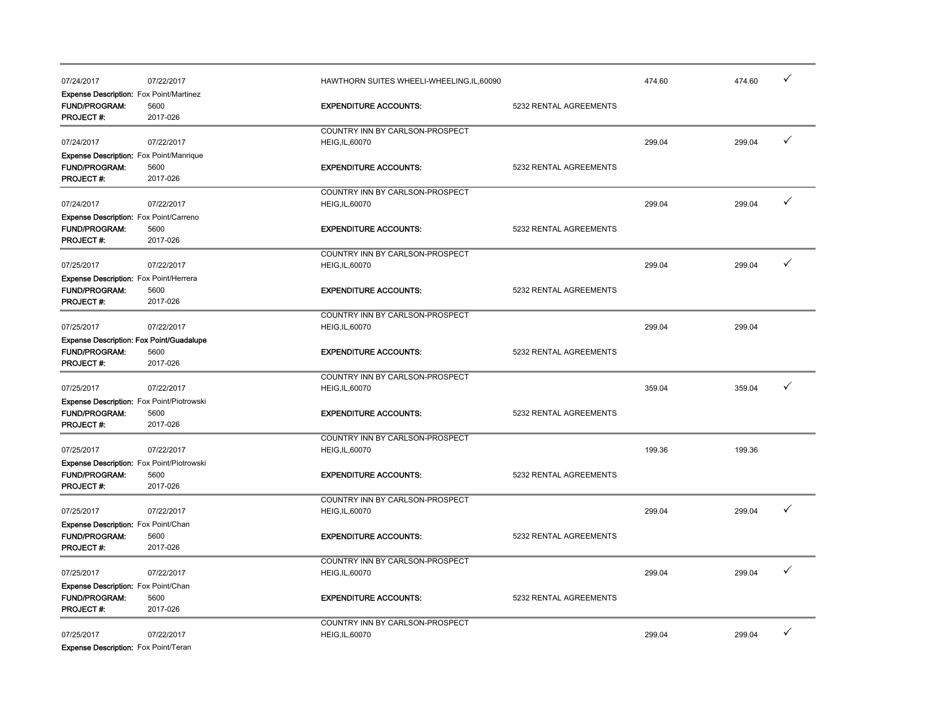| 07/24/2017                                      | 07/22/2017       | HAWTHORN SUITES WHEELI-WHEELING, IL, 60090 |                        | 474.60 | 474.60 | ✓ |
|-------------------------------------------------|------------------|--------------------------------------------|------------------------|--------|--------|---|
| Expense Description: Fox Point/Martinez         |                  |                                            |                        |        |        |   |
| FUND/PROGRAM:                                   | 5600             | <b>EXPENDITURE ACCOUNTS:</b>               | 5232 RENTAL AGREEMENTS |        |        |   |
| <b>PROJECT#:</b>                                | 2017-026         |                                            |                        |        |        |   |
|                                                 |                  | COUNTRY INN BY CARLSON-PROSPECT            |                        |        |        |   |
| 07/24/2017                                      | 07/22/2017       | <b>HEIG, IL, 60070</b>                     |                        | 299.04 | 299.04 | ✓ |
| <b>Expense Description:</b> Fox Point/Manrique  |                  |                                            |                        |        |        |   |
| <b>FUND/PROGRAM:</b>                            | 5600             | <b>EXPENDITURE ACCOUNTS:</b>               | 5232 RENTAL AGREEMENTS |        |        |   |
| PROJECT#:                                       | 2017-026         |                                            |                        |        |        |   |
|                                                 |                  | COUNTRY INN BY CARLSON-PROSPECT            |                        |        |        |   |
| 07/24/2017                                      | 07/22/2017       | <b>HEIG, IL, 60070</b>                     |                        | 299.04 | 299.04 | ✓ |
|                                                 |                  |                                            |                        |        |        |   |
| Expense Description: Fox Point/Carreno          |                  |                                            |                        |        |        |   |
| <b>FUND/PROGRAM:</b><br><b>PROJECT#:</b>        | 5600<br>2017-026 | <b>EXPENDITURE ACCOUNTS:</b>               | 5232 RENTAL AGREEMENTS |        |        |   |
|                                                 |                  |                                            |                        |        |        |   |
|                                                 |                  | COUNTRY INN BY CARLSON-PROSPECT            |                        |        |        |   |
| 07/25/2017                                      | 07/22/2017       | <b>HEIG, IL, 60070</b>                     |                        | 299.04 | 299.04 |   |
| Expense Description: Fox Point/Herrera          |                  |                                            |                        |        |        |   |
| <b>FUND/PROGRAM:</b>                            | 5600             | <b>EXPENDITURE ACCOUNTS:</b>               | 5232 RENTAL AGREEMENTS |        |        |   |
| PROJECT#:                                       | 2017-026         |                                            |                        |        |        |   |
|                                                 |                  | COUNTRY INN BY CARLSON-PROSPECT            |                        |        |        |   |
| 07/25/2017                                      | 07/22/2017       | <b>HEIG, IL, 60070</b>                     |                        | 299.04 | 299.04 |   |
| <b>Expense Description: Fox Point/Guadalupe</b> |                  |                                            |                        |        |        |   |
| <b>FUND/PROGRAM:</b>                            | 5600             | <b>EXPENDITURE ACCOUNTS:</b>               | 5232 RENTAL AGREEMENTS |        |        |   |
| <b>PROJECT#:</b>                                | 2017-026         |                                            |                        |        |        |   |
|                                                 |                  | COUNTRY INN BY CARLSON-PROSPECT            |                        |        |        |   |
| 07/25/2017                                      | 07/22/2017       | <b>HEIG, IL, 60070</b>                     |                        | 359.04 | 359.04 | ✓ |
| Expense Description: Fox Point/Piotrowski       |                  |                                            |                        |        |        |   |
| FUND/PROGRAM:                                   | 5600             | <b>EXPENDITURE ACCOUNTS:</b>               | 5232 RENTAL AGREEMENTS |        |        |   |
| PROJECT#:                                       | 2017-026         |                                            |                        |        |        |   |
|                                                 |                  | COUNTRY INN BY CARLSON-PROSPECT            |                        |        |        |   |
| 07/25/2017                                      | 07/22/2017       | <b>HEIG, IL, 60070</b>                     |                        | 199.36 | 199.36 |   |
| Expense Description: Fox Point/Piotrowski       |                  |                                            |                        |        |        |   |
| FUND/PROGRAM:                                   | 5600             | <b>EXPENDITURE ACCOUNTS:</b>               | 5232 RENTAL AGREEMENTS |        |        |   |
| PROJECT#:                                       | 2017-026         |                                            |                        |        |        |   |
|                                                 |                  | COUNTRY INN BY CARLSON-PROSPECT            |                        |        |        |   |
| 07/25/2017                                      | 07/22/2017       | <b>HEIG, IL, 60070</b>                     |                        | 299.04 | 299.04 |   |
| <b>Expense Description:</b> Fox Point/Chan      |                  |                                            |                        |        |        |   |
| <b>FUND/PROGRAM:</b>                            | 5600             | <b>EXPENDITURE ACCOUNTS:</b>               | 5232 RENTAL AGREEMENTS |        |        |   |
| PROJECT #:                                      | 2017-026         |                                            |                        |        |        |   |
|                                                 |                  |                                            |                        |        |        |   |
|                                                 |                  | COUNTRY INN BY CARLSON-PROSPECT            |                        |        |        | ✓ |
| 07/25/2017                                      | 07/22/2017       | <b>HEIG, IL, 60070</b>                     |                        | 299.04 | 299.04 |   |
| Expense Description: Fox Point/Chan             |                  |                                            |                        |        |        |   |
| <b>FUND/PROGRAM:</b>                            | 5600             | <b>EXPENDITURE ACCOUNTS:</b>               | 5232 RENTAL AGREEMENTS |        |        |   |
| PROJECT #:                                      | 2017-026         |                                            |                        |        |        |   |
|                                                 |                  | COUNTRY INN BY CARLSON-PROSPECT            |                        |        |        |   |
| 07/25/2017                                      | 07/22/2017       | <b>HEIG, IL, 60070</b>                     |                        | 299.04 | 299.04 | ✓ |
| <b>Expense Description:</b> Fox Point/Teran     |                  |                                            |                        |        |        |   |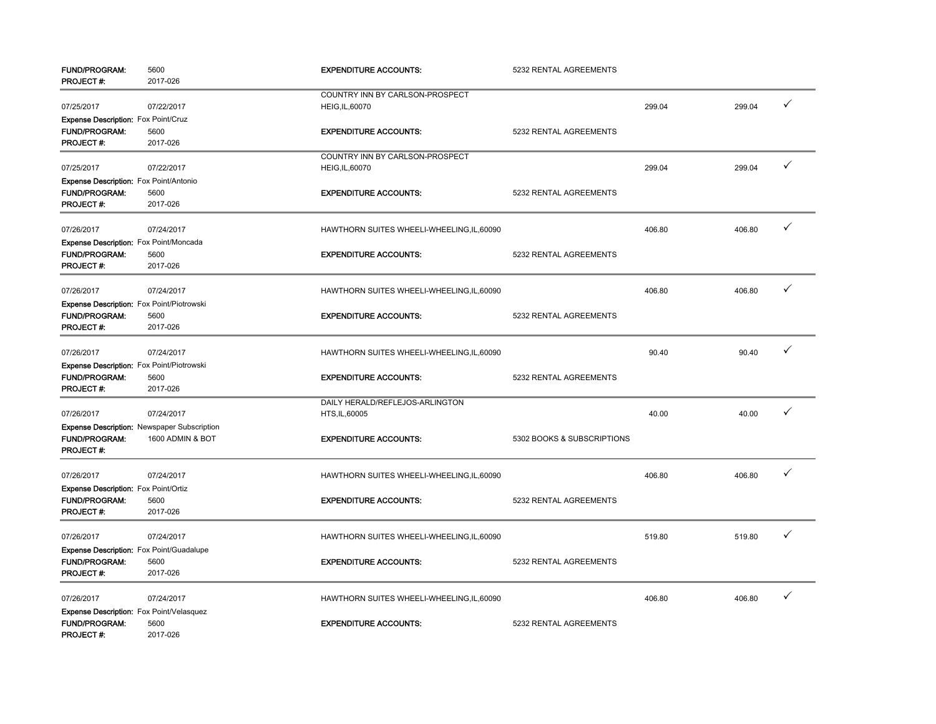| <b>FUND/PROGRAM:</b><br>PROJECT#:               | 5600<br>2017-026                                   | <b>EXPENDITURE ACCOUNTS:</b>               | 5232 RENTAL AGREEMENTS     |        |        |              |
|-------------------------------------------------|----------------------------------------------------|--------------------------------------------|----------------------------|--------|--------|--------------|
|                                                 |                                                    | COUNTRY INN BY CARLSON-PROSPECT            |                            |        |        |              |
| 07/25/2017                                      | 07/22/2017                                         | HEIG, IL, 60070                            |                            | 299.04 | 299.04 | $\checkmark$ |
| <b>Expense Description: Fox Point/Cruz</b>      |                                                    |                                            |                            |        |        |              |
| <b>FUND/PROGRAM:</b>                            | 5600                                               | <b>EXPENDITURE ACCOUNTS:</b>               | 5232 RENTAL AGREEMENTS     |        |        |              |
| PROJECT#:                                       | 2017-026                                           |                                            |                            |        |        |              |
|                                                 |                                                    | COUNTRY INN BY CARLSON-PROSPECT            |                            |        |        |              |
| 07/25/2017                                      | 07/22/2017                                         | HEIG, IL, 60070                            |                            | 299.04 | 299.04 | $\checkmark$ |
| Expense Description: Fox Point/Antonio          |                                                    |                                            |                            |        |        |              |
| <b>FUND/PROGRAM:</b>                            | 5600                                               | <b>EXPENDITURE ACCOUNTS:</b>               | 5232 RENTAL AGREEMENTS     |        |        |              |
| PROJECT#:                                       | 2017-026                                           |                                            |                            |        |        |              |
|                                                 |                                                    |                                            |                            |        |        | $\checkmark$ |
| 07/26/2017                                      | 07/24/2017                                         | HAWTHORN SUITES WHEELI-WHEELING, IL, 60090 |                            | 406.80 | 406.80 |              |
| Expense Description: Fox Point/Moncada          |                                                    |                                            |                            |        |        |              |
| <b>FUND/PROGRAM:</b><br>PROJECT #:              | 5600                                               | <b>EXPENDITURE ACCOUNTS:</b>               | 5232 RENTAL AGREEMENTS     |        |        |              |
|                                                 | 2017-026                                           |                                            |                            |        |        |              |
| 07/26/2017                                      | 07/24/2017                                         | HAWTHORN SUITES WHEELI-WHEELING, IL, 60090 |                            | 406.80 | 406.80 | $\checkmark$ |
| Expense Description: Fox Point/Piotrowski       |                                                    |                                            |                            |        |        |              |
| <b>FUND/PROGRAM:</b>                            | 5600                                               | <b>EXPENDITURE ACCOUNTS:</b>               | 5232 RENTAL AGREEMENTS     |        |        |              |
| PROJECT#:                                       | 2017-026                                           |                                            |                            |        |        |              |
|                                                 |                                                    |                                            |                            |        |        |              |
| 07/26/2017                                      | 07/24/2017                                         | HAWTHORN SUITES WHEELI-WHEELING, IL, 60090 |                            | 90.40  | 90.40  | $\checkmark$ |
| Expense Description: Fox Point/Piotrowski       |                                                    |                                            |                            |        |        |              |
| <b>FUND/PROGRAM:</b>                            | 5600                                               | <b>EXPENDITURE ACCOUNTS:</b>               | 5232 RENTAL AGREEMENTS     |        |        |              |
| <b>PROJECT#:</b>                                | 2017-026                                           |                                            |                            |        |        |              |
|                                                 |                                                    | DAILY HERALD/REFLEJOS-ARLINGTON            |                            |        |        |              |
| 07/26/2017                                      | 07/24/2017                                         | HTS, IL, 60005                             |                            | 40.00  | 40.00  | $\checkmark$ |
|                                                 | <b>Expense Description: Newspaper Subscription</b> |                                            |                            |        |        |              |
| <b>FUND/PROGRAM:</b>                            | 1600 ADMIN & BOT                                   | <b>EXPENDITURE ACCOUNTS:</b>               | 5302 BOOKS & SUBSCRIPTIONS |        |        |              |
| <b>PROJECT#:</b>                                |                                                    |                                            |                            |        |        |              |
| 07/26/2017                                      | 07/24/2017                                         | HAWTHORN SUITES WHEELI-WHEELING, IL, 60090 |                            | 406.80 | 406.80 | $\checkmark$ |
| Expense Description: Fox Point/Ortiz            |                                                    |                                            |                            |        |        |              |
| <b>FUND/PROGRAM:</b>                            | 5600                                               | <b>EXPENDITURE ACCOUNTS:</b>               | 5232 RENTAL AGREEMENTS     |        |        |              |
| PROJECT#:                                       | 2017-026                                           |                                            |                            |        |        |              |
|                                                 |                                                    |                                            |                            |        |        |              |
| 07/26/2017                                      | 07/24/2017                                         | HAWTHORN SUITES WHEELI-WHEELING, IL, 60090 |                            | 519.80 | 519.80 | $\checkmark$ |
| <b>Expense Description:</b> Fox Point/Guadalupe |                                                    |                                            |                            |        |        |              |
| <b>FUND/PROGRAM:</b>                            | 5600                                               | <b>EXPENDITURE ACCOUNTS:</b>               | 5232 RENTAL AGREEMENTS     |        |        |              |
| <b>PROJECT#:</b>                                | 2017-026                                           |                                            |                            |        |        |              |
| 07/26/2017                                      | 07/24/2017                                         | HAWTHORN SUITES WHEELI-WHEELING, IL, 60090 |                            | 406.80 | 406.80 | $\checkmark$ |
| Expense Description: Fox Point/Velasquez        |                                                    |                                            |                            |        |        |              |
| <b>FUND/PROGRAM:</b>                            | 5600                                               | <b>EXPENDITURE ACCOUNTS:</b>               | 5232 RENTAL AGREEMENTS     |        |        |              |
| <b>PROJECT#:</b>                                | 2017-026                                           |                                            |                            |        |        |              |
|                                                 |                                                    |                                            |                            |        |        |              |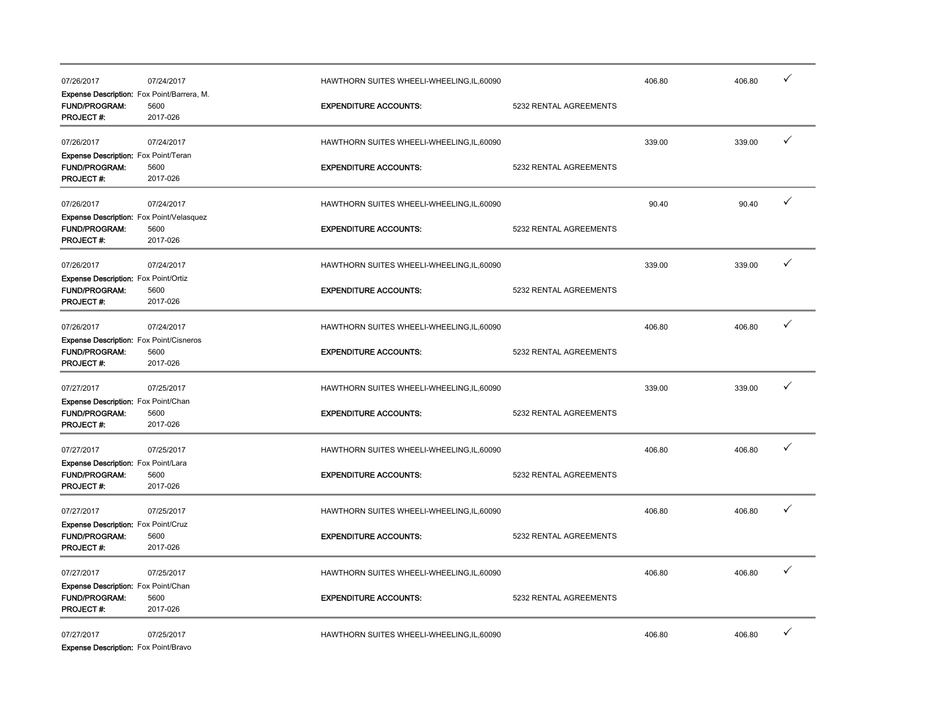| 07/26/2017                                                                              | 07/24/2017       | HAWTHORN SUITES WHEELI-WHEELING.IL.60090   |                        | 406.80 | 406.80 |   |
|-----------------------------------------------------------------------------------------|------------------|--------------------------------------------|------------------------|--------|--------|---|
| Expense Description: Fox Point/Barrera, M.<br>FUND/PROGRAM:<br><b>PROJECT#:</b>         | 5600<br>2017-026 | <b>EXPENDITURE ACCOUNTS:</b>               | 5232 RENTAL AGREEMENTS |        |        |   |
| 07/26/2017                                                                              | 07/24/2017       | HAWTHORN SUITES WHEELI-WHEELING, IL, 60090 |                        | 339.00 | 339.00 | ✓ |
| <b>Expense Description:</b> Fox Point/Teran<br><b>FUND/PROGRAM:</b><br><b>PROJECT#:</b> | 5600<br>2017-026 | <b>EXPENDITURE ACCOUNTS:</b>               | 5232 RENTAL AGREEMENTS |        |        |   |
| 07/26/2017                                                                              | 07/24/2017       | HAWTHORN SUITES WHEELI-WHEELING, IL, 60090 |                        | 90.40  | 90.40  | ✓ |
| Expense Description: Fox Point/Velasquez<br><b>FUND/PROGRAM:</b><br>PROJECT#:           | 5600<br>2017-026 | <b>EXPENDITURE ACCOUNTS:</b>               | 5232 RENTAL AGREEMENTS |        |        |   |
| 07/26/2017                                                                              | 07/24/2017       | HAWTHORN SUITES WHEELI-WHEELING, IL, 60090 |                        | 339.00 | 339.00 | ✓ |
| Expense Description: Fox Point/Ortiz<br>FUND/PROGRAM:<br><b>PROJECT#:</b>               | 5600<br>2017-026 | <b>EXPENDITURE ACCOUNTS:</b>               | 5232 RENTAL AGREEMENTS |        |        |   |
| 07/26/2017                                                                              | 07/24/2017       | HAWTHORN SUITES WHEELI-WHEELING, IL, 60090 |                        | 406.80 | 406.80 | ✓ |
| <b>Expense Description: Fox Point/Cisneros</b><br><b>FUND/PROGRAM:</b><br>PROJECT#:     | 5600<br>2017-026 | <b>EXPENDITURE ACCOUNTS:</b>               | 5232 RENTAL AGREEMENTS |        |        |   |
| 07/27/2017                                                                              | 07/25/2017       | HAWTHORN SUITES WHEELI-WHEELING, IL, 60090 |                        | 339.00 | 339.00 | ✓ |
| Expense Description: Fox Point/Chan<br><b>FUND/PROGRAM:</b><br>PROJECT#:                | 5600<br>2017-026 | <b>EXPENDITURE ACCOUNTS:</b>               | 5232 RENTAL AGREEMENTS |        |        |   |
| 07/27/2017                                                                              | 07/25/2017       | HAWTHORN SUITES WHEELI-WHEELING, IL, 60090 |                        | 406.80 | 406.80 | ✓ |
| Expense Description: Fox Point/Lara<br><b>FUND/PROGRAM:</b><br>PROJECT#:                | 5600<br>2017-026 | <b>EXPENDITURE ACCOUNTS:</b>               | 5232 RENTAL AGREEMENTS |        |        |   |
| 07/27/2017                                                                              | 07/25/2017       | HAWTHORN SUITES WHEELI-WHEELING, IL, 60090 |                        | 406.80 | 406.80 | ✓ |
| Expense Description: Fox Point/Cruz<br><b>FUND/PROGRAM:</b><br>PROJECT #:               | 5600<br>2017-026 | <b>EXPENDITURE ACCOUNTS:</b>               | 5232 RENTAL AGREEMENTS |        |        |   |
| 07/27/2017                                                                              | 07/25/2017       | HAWTHORN SUITES WHEELI-WHEELING.IL.60090   |                        | 406.80 | 406.80 | ✓ |
| Expense Description: Fox Point/Chan<br><b>FUND/PROGRAM:</b><br>PROJECT #:               | 5600<br>2017-026 | <b>EXPENDITURE ACCOUNTS:</b>               | 5232 RENTAL AGREEMENTS |        |        |   |
| 07/27/2017                                                                              | 07/25/2017       | HAWTHORN SUITES WHEELI-WHEELING.IL.60090   |                        | 406.80 | 406.80 | ✓ |

**Expense Description:** Fox Point/Bravo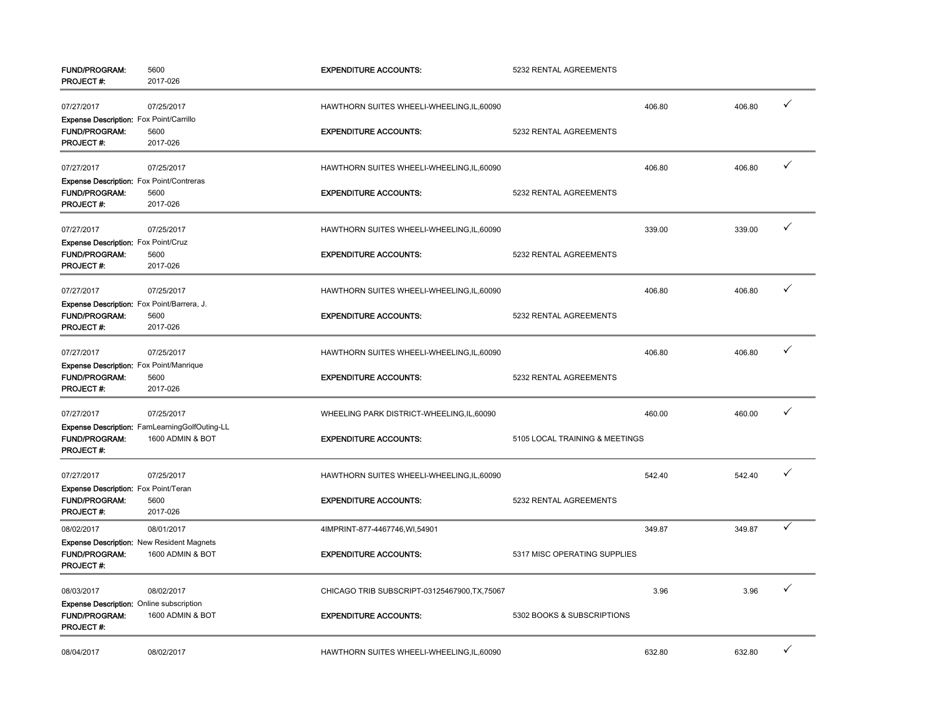| FUND/PROGRAM:<br>PROJECT #:                                     | 5600<br>2017-026                              | <b>EXPENDITURE ACCOUNTS:</b>                  | 5232 RENTAL AGREEMENTS         |        |        |              |
|-----------------------------------------------------------------|-----------------------------------------------|-----------------------------------------------|--------------------------------|--------|--------|--------------|
| 07/27/2017                                                      | 07/25/2017                                    | HAWTHORN SUITES WHEELI-WHEELING, IL, 60090    |                                | 406.80 | 406.80 | $\checkmark$ |
| Expense Description: Fox Point/Carrillo                         |                                               |                                               |                                |        |        |              |
| FUND/PROGRAM:                                                   | 5600                                          | <b>EXPENDITURE ACCOUNTS:</b>                  | 5232 RENTAL AGREEMENTS         |        |        |              |
| PROJECT#:                                                       | 2017-026                                      |                                               |                                |        |        |              |
| 07/27/2017                                                      | 07/25/2017                                    | HAWTHORN SUITES WHEELI-WHEELING, IL, 60090    |                                | 406.80 | 406.80 | ✓            |
| <b>Expense Description:</b> Fox Point/Contreras                 |                                               |                                               |                                |        |        |              |
| <b>FUND/PROGRAM:</b>                                            | 5600                                          | <b>EXPENDITURE ACCOUNTS:</b>                  | 5232 RENTAL AGREEMENTS         |        |        |              |
| PROJECT#:                                                       | 2017-026                                      |                                               |                                |        |        |              |
| 07/27/2017                                                      | 07/25/2017                                    | HAWTHORN SUITES WHEELI-WHEELING, IL, 60090    |                                | 339.00 | 339.00 | ✓            |
| <b>Expense Description: Fox Point/Cruz</b>                      |                                               |                                               |                                |        |        |              |
| <b>FUND/PROGRAM:</b>                                            | 5600                                          | <b>EXPENDITURE ACCOUNTS:</b>                  | 5232 RENTAL AGREEMENTS         |        |        |              |
| PROJECT#:                                                       | 2017-026                                      |                                               |                                |        |        |              |
| 07/27/2017                                                      | 07/25/2017                                    | HAWTHORN SUITES WHEELI-WHEELING, IL, 60090    |                                | 406.80 | 406.80 | ✓            |
| <b>Expense Description:</b> Fox Point/Barrera, J.               |                                               |                                               |                                |        |        |              |
| <b>FUND/PROGRAM:</b>                                            | 5600                                          | <b>EXPENDITURE ACCOUNTS:</b>                  | 5232 RENTAL AGREEMENTS         |        |        |              |
| PROJECT#:                                                       | 2017-026                                      |                                               |                                |        |        |              |
|                                                                 |                                               |                                               |                                |        |        | ✓            |
| 07/27/2017                                                      | 07/25/2017                                    | HAWTHORN SUITES WHEELI-WHEELING, IL, 60090    |                                | 406.80 | 406.80 |              |
| Expense Description: Fox Point/Manrique<br><b>FUND/PROGRAM:</b> |                                               | <b>EXPENDITURE ACCOUNTS:</b>                  | 5232 RENTAL AGREEMENTS         |        |        |              |
| PROJECT #:                                                      | 5600<br>2017-026                              |                                               |                                |        |        |              |
|                                                                 |                                               |                                               |                                |        |        |              |
| 07/27/2017                                                      | 07/25/2017                                    | WHEELING PARK DISTRICT-WHEELING, IL, 60090    |                                | 460.00 | 460.00 | $\checkmark$ |
|                                                                 | Expense Description: FamLearningGolfOuting-LL |                                               |                                |        |        |              |
| FUND/PROGRAM:                                                   | 1600 ADMIN & BOT                              | <b>EXPENDITURE ACCOUNTS:</b>                  | 5105 LOCAL TRAINING & MEETINGS |        |        |              |
| PROJECT#:                                                       |                                               |                                               |                                |        |        |              |
| 07/27/2017                                                      | 07/25/2017                                    | HAWTHORN SUITES WHEELI-WHEELING, IL, 60090    |                                | 542.40 | 542.40 | ✓            |
| Expense Description: Fox Point/Teran                            |                                               |                                               |                                |        |        |              |
| FUND/PROGRAM:                                                   | 5600                                          | <b>EXPENDITURE ACCOUNTS:</b>                  | 5232 RENTAL AGREEMENTS         |        |        |              |
| <b>PROJECT#:</b>                                                | 2017-026                                      |                                               |                                |        |        |              |
| 08/02/2017                                                      | 08/01/2017                                    | 4IMPRINT-877-4467746, WI, 54901               |                                | 349.87 | 349.87 | $\checkmark$ |
| <b>Expense Description: New Resident Magnets</b>                |                                               |                                               |                                |        |        |              |
| FUND/PROGRAM:<br>PROJECT#:                                      | 1600 ADMIN & BOT                              | <b>EXPENDITURE ACCOUNTS:</b>                  | 5317 MISC OPERATING SUPPLIES   |        |        |              |
| 08/03/2017                                                      | 08/02/2017                                    | CHICAGO TRIB SUBSCRIPT-03125467900, TX, 75067 |                                | 3.96   | 3.96   | ✓            |
| Expense Description: Online subscription                        |                                               |                                               |                                |        |        |              |
| FUND/PROGRAM:                                                   | 1600 ADMIN & BOT                              | <b>EXPENDITURE ACCOUNTS:</b>                  | 5302 BOOKS & SUBSCRIPTIONS     |        |        |              |
| <b>PROJECT#:</b>                                                |                                               |                                               |                                |        |        |              |
|                                                                 |                                               |                                               |                                |        |        | ✓            |
| 08/04/2017                                                      | 08/02/2017                                    | HAWTHORN SUITES WHEELI-WHEELING, IL, 60090    |                                | 632.80 | 632.80 |              |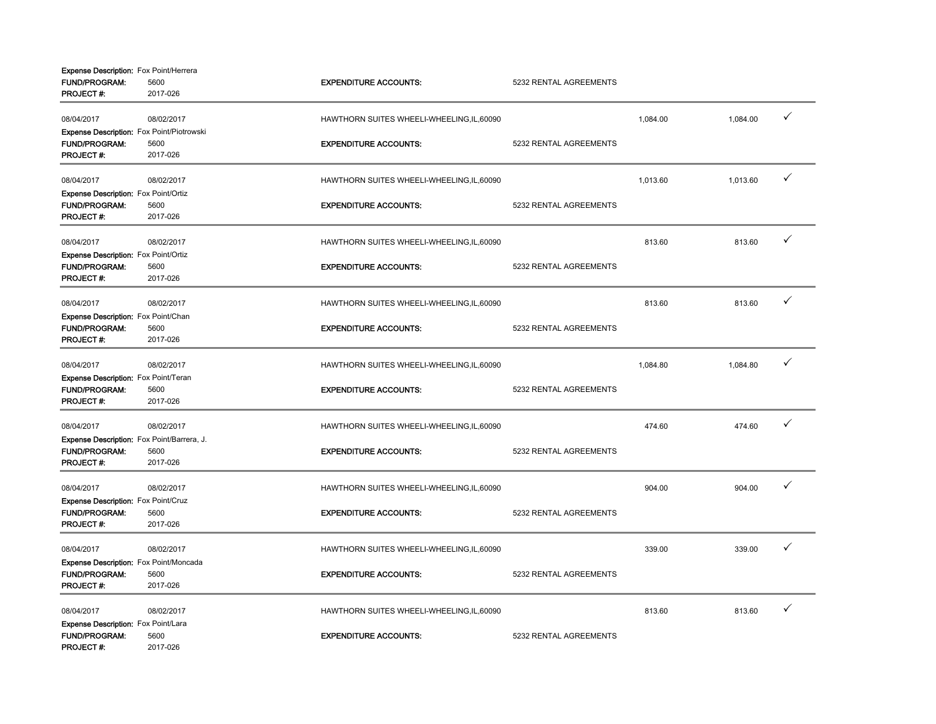| <b>Expense Description:</b> Fox Point/Herrera |                  |                                            |                        |          |          |   |
|-----------------------------------------------|------------------|--------------------------------------------|------------------------|----------|----------|---|
| <b>FUND/PROGRAM:</b><br>PROJECT#:             | 5600<br>2017-026 | <b>EXPENDITURE ACCOUNTS:</b>               | 5232 RENTAL AGREEMENTS |          |          |   |
| 08/04/2017                                    | 08/02/2017       | HAWTHORN SUITES WHEELI-WHEELING, IL, 60090 |                        | 1,084.00 | 1,084.00 | ✓ |
| Expense Description: Fox Point/Piotrowski     |                  |                                            |                        |          |          |   |
| <b>FUND/PROGRAM:</b>                          | 5600             | <b>EXPENDITURE ACCOUNTS:</b>               | 5232 RENTAL AGREEMENTS |          |          |   |
| <b>PROJECT#:</b>                              | 2017-026         |                                            |                        |          |          |   |
| 08/04/2017                                    | 08/02/2017       | HAWTHORN SUITES WHEELI-WHEELING, IL, 60090 |                        | 1,013.60 | 1,013.60 | ✓ |
| Expense Description: Fox Point/Ortiz          |                  |                                            |                        |          |          |   |
| FUND/PROGRAM:                                 | 5600             | <b>EXPENDITURE ACCOUNTS:</b>               | 5232 RENTAL AGREEMENTS |          |          |   |
| PROJECT#:                                     | 2017-026         |                                            |                        |          |          |   |
| 08/04/2017                                    | 08/02/2017       | HAWTHORN SUITES WHEELI-WHEELING, IL, 60090 |                        | 813.60   | 813.60   | ✓ |
| Expense Description: Fox Point/Ortiz          |                  |                                            |                        |          |          |   |
| <b>FUND/PROGRAM:</b>                          | 5600             | <b>EXPENDITURE ACCOUNTS:</b>               | 5232 RENTAL AGREEMENTS |          |          |   |
| PROJECT#:                                     | 2017-026         |                                            |                        |          |          |   |
| 08/04/2017                                    | 08/02/2017       | HAWTHORN SUITES WHEELI-WHEELING, IL, 60090 |                        | 813.60   | 813.60   | ✓ |
| Expense Description: Fox Point/Chan           |                  |                                            |                        |          |          |   |
| <b>FUND/PROGRAM:</b>                          | 5600             | <b>EXPENDITURE ACCOUNTS:</b>               | 5232 RENTAL AGREEMENTS |          |          |   |
| <b>PROJECT#:</b>                              | 2017-026         |                                            |                        |          |          |   |
| 08/04/2017                                    | 08/02/2017       | HAWTHORN SUITES WHEELI-WHEELING, IL, 60090 |                        | 1,084.80 | 1,084.80 | ✓ |
| Expense Description: Fox Point/Teran          |                  |                                            |                        |          |          |   |
| <b>FUND/PROGRAM:</b>                          | 5600             | <b>EXPENDITURE ACCOUNTS:</b>               | 5232 RENTAL AGREEMENTS |          |          |   |
| PROJECT#:                                     | 2017-026         |                                            |                        |          |          |   |
| 08/04/2017                                    | 08/02/2017       | HAWTHORN SUITES WHEELI-WHEELING, IL, 60090 |                        | 474.60   | 474.60   | ✓ |
| Expense Description: Fox Point/Barrera, J.    |                  |                                            |                        |          |          |   |
| FUND/PROGRAM:                                 | 5600             | <b>EXPENDITURE ACCOUNTS:</b>               | 5232 RENTAL AGREEMENTS |          |          |   |
| <b>PROJECT#:</b>                              | 2017-026         |                                            |                        |          |          |   |
| 08/04/2017                                    | 08/02/2017       | HAWTHORN SUITES WHEELI-WHEELING, IL, 60090 |                        | 904.00   | 904.00   | ✓ |
| Expense Description: Fox Point/Cruz           |                  |                                            |                        |          |          |   |
| <b>FUND/PROGRAM:</b>                          | 5600             | <b>EXPENDITURE ACCOUNTS:</b>               | 5232 RENTAL AGREEMENTS |          |          |   |
| <b>PROJECT#:</b>                              | 2017-026         |                                            |                        |          |          |   |
| 08/04/2017                                    | 08/02/2017       | HAWTHORN SUITES WHEELI-WHEELING, IL, 60090 |                        | 339.00   | 339.00   | ✓ |
| Expense Description: Fox Point/Moncada        |                  |                                            |                        |          |          |   |
| FUND/PROGRAM:                                 | 5600             | <b>EXPENDITURE ACCOUNTS:</b>               | 5232 RENTAL AGREEMENTS |          |          |   |
| PROJECT#:                                     | 2017-026         |                                            |                        |          |          |   |
| 08/04/2017                                    | 08/02/2017       | HAWTHORN SUITES WHEELI-WHEELING, IL, 60090 |                        | 813.60   | 813.60   | ✓ |
| Expense Description: Fox Point/Lara           |                  |                                            |                        |          |          |   |
| <b>FUND/PROGRAM:</b>                          | 5600             | <b>EXPENDITURE ACCOUNTS:</b>               | 5232 RENTAL AGREEMENTS |          |          |   |
| <b>PROJECT#:</b>                              | 2017-026         |                                            |                        |          |          |   |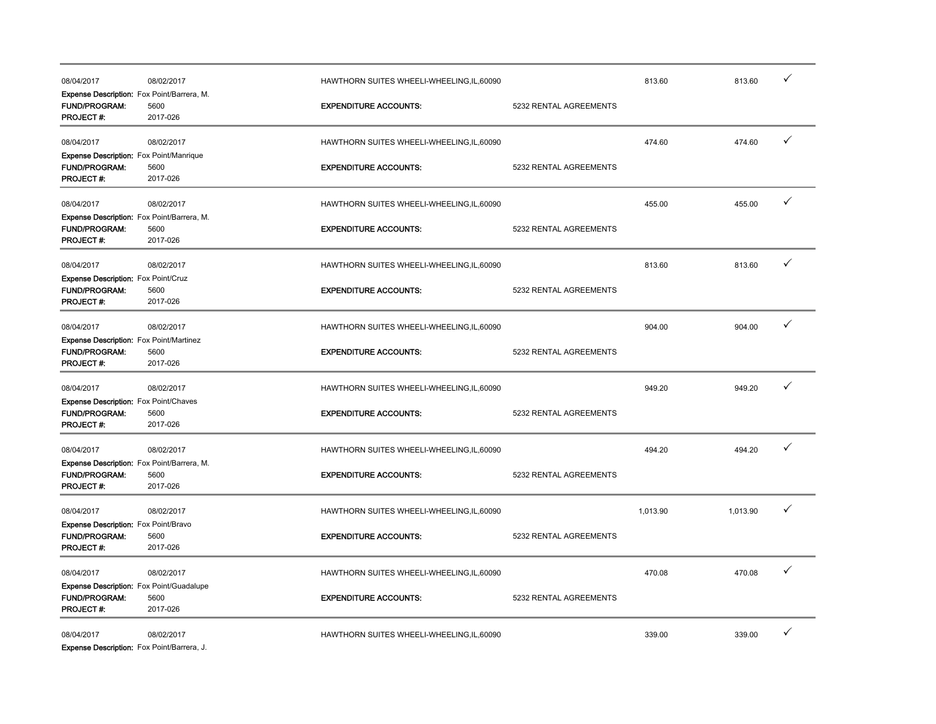| 08/04/2017                                                                                 | 08/02/2017       | HAWTHORN SUITES WHEELI-WHEELING.IL.60090   |                        | 813.60   | 813.60   | ✓ |
|--------------------------------------------------------------------------------------------|------------------|--------------------------------------------|------------------------|----------|----------|---|
| Expense Description: Fox Point/Barrera, M.<br><b>FUND/PROGRAM:</b><br>PROJECT#:            | 5600<br>2017-026 | <b>EXPENDITURE ACCOUNTS:</b>               | 5232 RENTAL AGREEMENTS |          |          |   |
| 08/04/2017                                                                                 | 08/02/2017       | HAWTHORN SUITES WHEELI-WHEELING, IL, 60090 |                        | 474.60   | 474.60   | ✓ |
| <b>Expense Description:</b> Fox Point/Manrique<br><b>FUND/PROGRAM:</b><br><b>PROJECT#:</b> | 5600<br>2017-026 | <b>EXPENDITURE ACCOUNTS:</b>               | 5232 RENTAL AGREEMENTS |          |          |   |
| 08/04/2017                                                                                 | 08/02/2017       | HAWTHORN SUITES WHEELI-WHEELING, IL, 60090 |                        | 455.00   | 455.00   | ✓ |
| Expense Description: Fox Point/Barrera, M.<br><b>FUND/PROGRAM:</b><br>PROJECT#:            | 5600<br>2017-026 | <b>EXPENDITURE ACCOUNTS:</b>               | 5232 RENTAL AGREEMENTS |          |          |   |
| 08/04/2017                                                                                 | 08/02/2017       | HAWTHORN SUITES WHEELI-WHEELING, IL, 60090 |                        | 813.60   | 813.60   | ✓ |
| <b>Expense Description: Fox Point/Cruz</b><br>FUND/PROGRAM:<br>PROJECT#:                   | 5600<br>2017-026 | <b>EXPENDITURE ACCOUNTS:</b>               | 5232 RENTAL AGREEMENTS |          |          |   |
| 08/04/2017                                                                                 | 08/02/2017       | HAWTHORN SUITES WHEELI-WHEELING, IL, 60090 |                        | 904.00   | 904.00   | ✓ |
| <b>Expense Description:</b> Fox Point/Martinez<br><b>FUND/PROGRAM:</b><br><b>PROJECT#:</b> | 5600<br>2017-026 | <b>EXPENDITURE ACCOUNTS:</b>               | 5232 RENTAL AGREEMENTS |          |          |   |
| 08/04/2017                                                                                 | 08/02/2017       | HAWTHORN SUITES WHEELI-WHEELING, IL, 60090 |                        | 949.20   | 949.20   | ✓ |
| <b>Expense Description:</b> Fox Point/Chaves<br><b>FUND/PROGRAM:</b><br><b>PROJECT#:</b>   | 5600<br>2017-026 | <b>EXPENDITURE ACCOUNTS:</b>               | 5232 RENTAL AGREEMENTS |          |          |   |
| 08/04/2017                                                                                 | 08/02/2017       | HAWTHORN SUITES WHEELI-WHEELING, IL, 60090 |                        | 494.20   | 494.20   | ✓ |
| Expense Description: Fox Point/Barrera, M.<br>FUND/PROGRAM:<br>PROJECT #:                  | 5600<br>2017-026 | <b>EXPENDITURE ACCOUNTS:</b>               | 5232 RENTAL AGREEMENTS |          |          |   |
| 08/04/2017                                                                                 | 08/02/2017       | HAWTHORN SUITES WHEELI-WHEELING, IL, 60090 |                        | 1,013.90 | 1,013.90 | ✓ |
| Expense Description: Fox Point/Bravo<br>FUND/PROGRAM:<br>PROJECT #:                        | 5600<br>2017-026 | <b>EXPENDITURE ACCOUNTS:</b>               | 5232 RENTAL AGREEMENTS |          |          |   |
| 08/04/2017                                                                                 | 08/02/2017       | HAWTHORN SUITES WHEELI-WHEELING, IL, 60090 |                        | 470.08   | 470.08   | ✓ |
| Expense Description: Fox Point/Guadalupe<br>FUND/PROGRAM:<br><b>PROJECT#:</b>              | 5600<br>2017-026 | <b>EXPENDITURE ACCOUNTS:</b>               | 5232 RENTAL AGREEMENTS |          |          |   |
| 08/04/2017                                                                                 | 08/02/2017       | HAWTHORN SUITES WHEELI-WHEELING, IL, 60090 |                        | 339.00   | 339.00   | ✓ |

Expense Description: Fox Point/Barrera, J.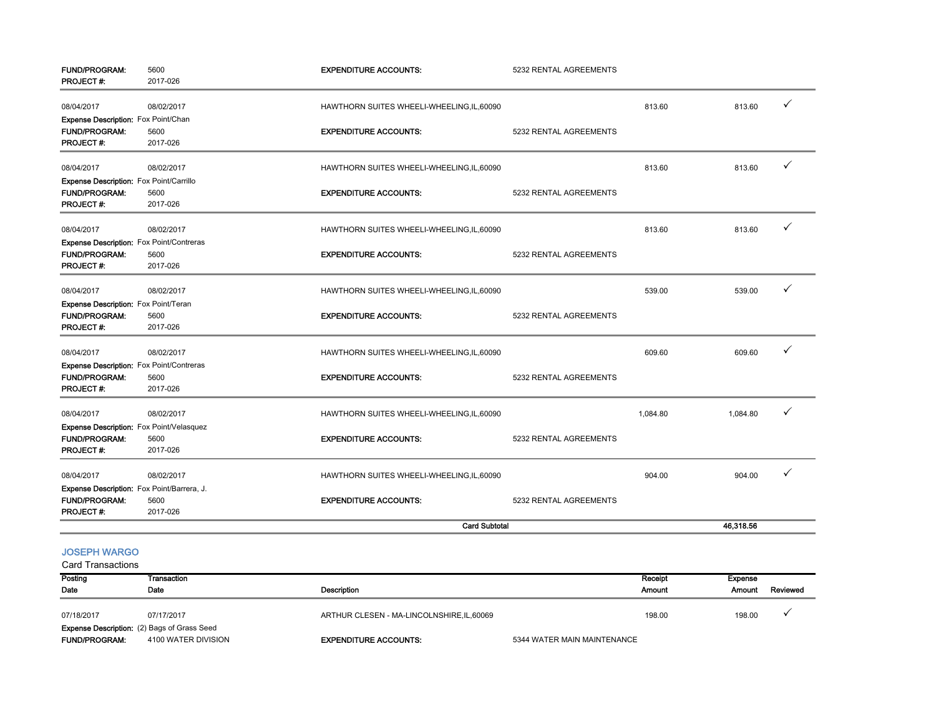| <b>FUND/PROGRAM:</b><br>PROJECT#:          | 5600<br>2017-026 | <b>EXPENDITURE ACCOUNTS:</b>               | 5232 RENTAL AGREEMENTS |          |           |   |
|--------------------------------------------|------------------|--------------------------------------------|------------------------|----------|-----------|---|
| 08/04/2017                                 | 08/02/2017       | HAWTHORN SUITES WHEELI-WHEELING, IL, 60090 |                        | 813.60   | 813.60    | ✓ |
| Expense Description: Fox Point/Chan        |                  |                                            |                        |          |           |   |
| <b>FUND/PROGRAM:</b>                       | 5600             | <b>EXPENDITURE ACCOUNTS:</b>               | 5232 RENTAL AGREEMENTS |          |           |   |
| <b>PROJECT#:</b>                           | 2017-026         |                                            |                        |          |           |   |
| 08/04/2017                                 | 08/02/2017       | HAWTHORN SUITES WHEELI-WHEELING, IL, 60090 |                        | 813.60   | 813.60    | ✓ |
| Expense Description: Fox Point/Carrillo    |                  |                                            |                        |          |           |   |
| FUND/PROGRAM:                              | 5600             | <b>EXPENDITURE ACCOUNTS:</b>               | 5232 RENTAL AGREEMENTS |          |           |   |
| PROJECT#:                                  | 2017-026         |                                            |                        |          |           |   |
| 08/04/2017                                 | 08/02/2017       | HAWTHORN SUITES WHEELI-WHEELING, IL, 60090 |                        | 813.60   | 813.60    | ✓ |
| Expense Description: Fox Point/Contreras   |                  |                                            |                        |          |           |   |
| <b>FUND/PROGRAM:</b>                       | 5600             | <b>EXPENDITURE ACCOUNTS:</b>               | 5232 RENTAL AGREEMENTS |          |           |   |
| <b>PROJECT#:</b>                           | 2017-026         |                                            |                        |          |           |   |
| 08/04/2017                                 | 08/02/2017       | HAWTHORN SUITES WHEELI-WHEELING, IL, 60090 |                        | 539.00   | 539.00    | ✓ |
| Expense Description: Fox Point/Teran       |                  |                                            |                        |          |           |   |
| <b>FUND/PROGRAM:</b>                       | 5600             | <b>EXPENDITURE ACCOUNTS:</b>               | 5232 RENTAL AGREEMENTS |          |           |   |
| PROJECT#:                                  | 2017-026         |                                            |                        |          |           |   |
| 08/04/2017                                 | 08/02/2017       | HAWTHORN SUITES WHEELI-WHEELING, IL, 60090 |                        | 609.60   | 609.60    | ✓ |
| Expense Description: Fox Point/Contreras   |                  |                                            |                        |          |           |   |
| <b>FUND/PROGRAM:</b>                       | 5600             | <b>EXPENDITURE ACCOUNTS:</b>               | 5232 RENTAL AGREEMENTS |          |           |   |
| <b>PROJECT#:</b>                           | 2017-026         |                                            |                        |          |           |   |
| 08/04/2017                                 | 08/02/2017       | HAWTHORN SUITES WHEELI-WHEELING, IL, 60090 |                        | 1,084.80 | 1,084.80  | ✓ |
| Expense Description: Fox Point/Velasquez   |                  |                                            |                        |          |           |   |
| <b>FUND/PROGRAM:</b>                       | 5600             | <b>EXPENDITURE ACCOUNTS:</b>               | 5232 RENTAL AGREEMENTS |          |           |   |
| PROJECT#:                                  | 2017-026         |                                            |                        |          |           |   |
| 08/04/2017                                 | 08/02/2017       | HAWTHORN SUITES WHEELI-WHEELING, IL, 60090 |                        | 904.00   | 904.00    |   |
| Expense Description: Fox Point/Barrera, J. |                  |                                            |                        |          |           |   |
| <b>FUND/PROGRAM:</b>                       | 5600             | <b>EXPENDITURE ACCOUNTS:</b>               | 5232 RENTAL AGREEMENTS |          |           |   |
| <b>PROJECT#:</b>                           | 2017-026         |                                            |                        |          |           |   |
| <b>Card Subtotal</b>                       |                  |                                            |                        |          | 46,318.56 |   |

## JOSEPH WARGO

| Posting                                            | Transaction         |                                            |                             | Receipt<br>Expense |          |
|----------------------------------------------------|---------------------|--------------------------------------------|-----------------------------|--------------------|----------|
| Date                                               | Date                | Description                                |                             | Amount<br>Amount   | Reviewed |
| 07/18/2017                                         | 07/17/2017          | ARTHUR CLESEN - MA-LINCOLNSHIRE, IL, 60069 |                             | 198.00<br>198.00   |          |
| <b>Expense Description:</b> (2) Bags of Grass Seed |                     |                                            |                             |                    |          |
| <b>FUND/PROGRAM:</b>                               | 4100 WATER DIVISION | <b>EXPENDITURE ACCOUNTS:</b>               | 5344 WATER MAIN MAINTENANCE |                    |          |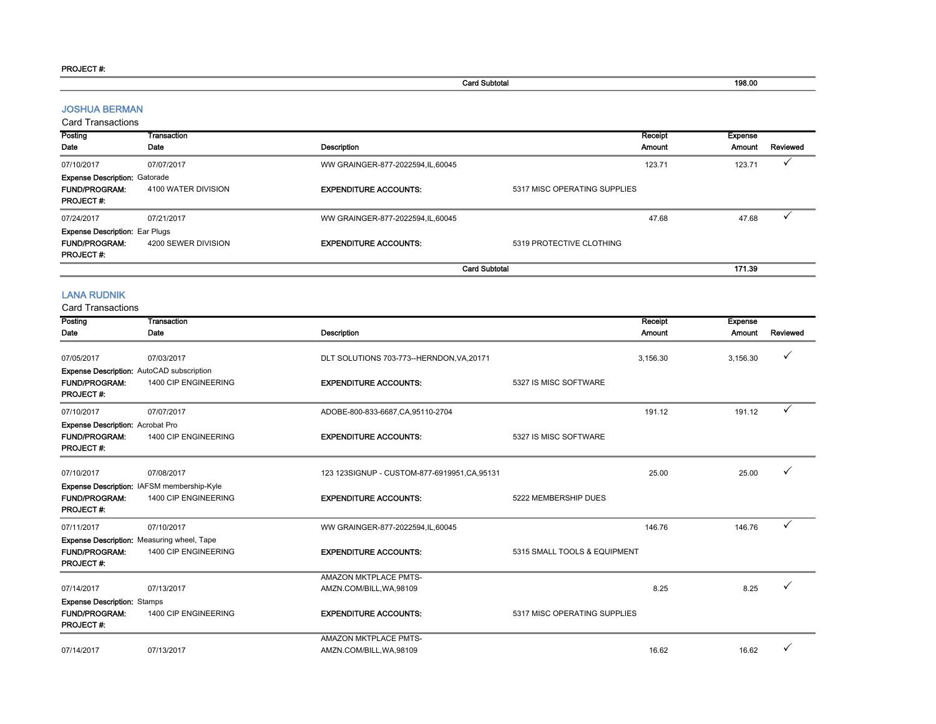#### PROJECT #:

Card Subtotal 198.00

#### JOSHUA BERMAN

Card Transactions

| Posting                               | Transaction         |                                    |                              | Receipt | <b>Expense</b> |          |
|---------------------------------------|---------------------|------------------------------------|------------------------------|---------|----------------|----------|
| Date                                  | Date                | <b>Description</b>                 |                              | Amount  | Amount         | Reviewed |
| 07/10/2017                            | 07/07/2017          | WW GRAINGER-877-2022594,IL,60045   |                              | 123.71  | 123.71         |          |
| <b>Expense Description: Gatorade</b>  |                     |                                    |                              |         |                |          |
| <b>FUND/PROGRAM:</b>                  | 4100 WATER DIVISION | <b>EXPENDITURE ACCOUNTS:</b>       | 5317 MISC OPERATING SUPPLIES |         |                |          |
| <b>PROJECT#:</b>                      |                     |                                    |                              |         |                |          |
| 07/24/2017                            | 07/21/2017          | WW GRAINGER-877-2022594, IL, 60045 |                              | 47.68   | 47.68          |          |
| <b>Expense Description: Ear Plugs</b> |                     |                                    |                              |         |                |          |
| <b>FUND/PROGRAM:</b>                  | 4200 SEWER DIVISION | <b>EXPENDITURE ACCOUNTS:</b>       | 5319 PROTECTIVE CLOTHING     |         |                |          |
| <b>PROJECT#:</b>                      |                     |                                    |                              |         |                |          |
|                                       |                     | <b>Card Subtotal</b>               |                              |         | 171.39         |          |

#### LANA RUDNIK

| Posting                                  | Transaction                                       |                                               |                              | Receipt<br><b>Expense</b>      |          |
|------------------------------------------|---------------------------------------------------|-----------------------------------------------|------------------------------|--------------------------------|----------|
| Date                                     | Date                                              | <b>Description</b>                            |                              | <b>Amount</b><br><b>Amount</b> | Reviewed |
| 07/05/2017                               | 07/03/2017                                        | DLT SOLUTIONS 703-773--HERNDON, VA, 20171     |                              | 3,156.30<br>3,156.30           | ✓        |
|                                          |                                                   |                                               |                              |                                |          |
|                                          | Expense Description: AutoCAD subscription         |                                               |                              |                                |          |
| <b>FUND/PROGRAM:</b><br><b>PROJECT#:</b> | 1400 CIP ENGINEERING                              | <b>EXPENDITURE ACCOUNTS:</b>                  | 5327 IS MISC SOFTWARE        |                                |          |
| 07/10/2017                               | 07/07/2017                                        | ADOBE-800-833-6687, CA, 95110-2704            |                              | 191.12<br>191.12               |          |
| <b>Expense Description: Acrobat Pro</b>  |                                                   |                                               |                              |                                |          |
| <b>FUND/PROGRAM:</b><br><b>PROJECT#:</b> | 1400 CIP ENGINEERING                              | <b>EXPENDITURE ACCOUNTS:</b>                  | 5327 IS MISC SOFTWARE        |                                |          |
| 07/10/2017                               | 07/08/2017                                        | 123 123SIGNUP - CUSTOM-877-6919951, CA, 95131 |                              | 25.00<br>25.00                 |          |
|                                          | Expense Description: IAFSM membership-Kyle        |                                               |                              |                                |          |
| <b>FUND/PROGRAM:</b><br><b>PROJECT#:</b> | 1400 CIP ENGINEERING                              | <b>EXPENDITURE ACCOUNTS:</b>                  | 5222 MEMBERSHIP DUES         |                                |          |
| 07/11/2017                               | 07/10/2017                                        | WW GRAINGER-877-2022594, IL, 60045            |                              | 146.76<br>146.76               | ✓        |
|                                          | <b>Expense Description:</b> Measuring wheel, Tape |                                               |                              |                                |          |
| <b>FUND/PROGRAM:</b><br><b>PROJECT#:</b> | 1400 CIP ENGINEERING                              | <b>EXPENDITURE ACCOUNTS:</b>                  | 5315 SMALL TOOLS & EQUIPMENT |                                |          |
|                                          |                                                   | AMAZON MKTPLACE PMTS-                         |                              |                                |          |
| 07/14/2017                               | 07/13/2017                                        | AMZN.COM/BILL, WA, 98109                      |                              | 8.25<br>8.25                   |          |
| <b>Expense Description: Stamps</b>       |                                                   |                                               |                              |                                |          |
| <b>FUND/PROGRAM:</b><br><b>PROJECT#:</b> | 1400 CIP ENGINEERING                              | <b>EXPENDITURE ACCOUNTS:</b>                  | 5317 MISC OPERATING SUPPLIES |                                |          |
|                                          |                                                   | AMAZON MKTPLACE PMTS-                         |                              |                                |          |
| 07/14/2017                               | 07/13/2017                                        | AMZN.COM/BILL, WA, 98109                      |                              | 16.62<br>16.62                 |          |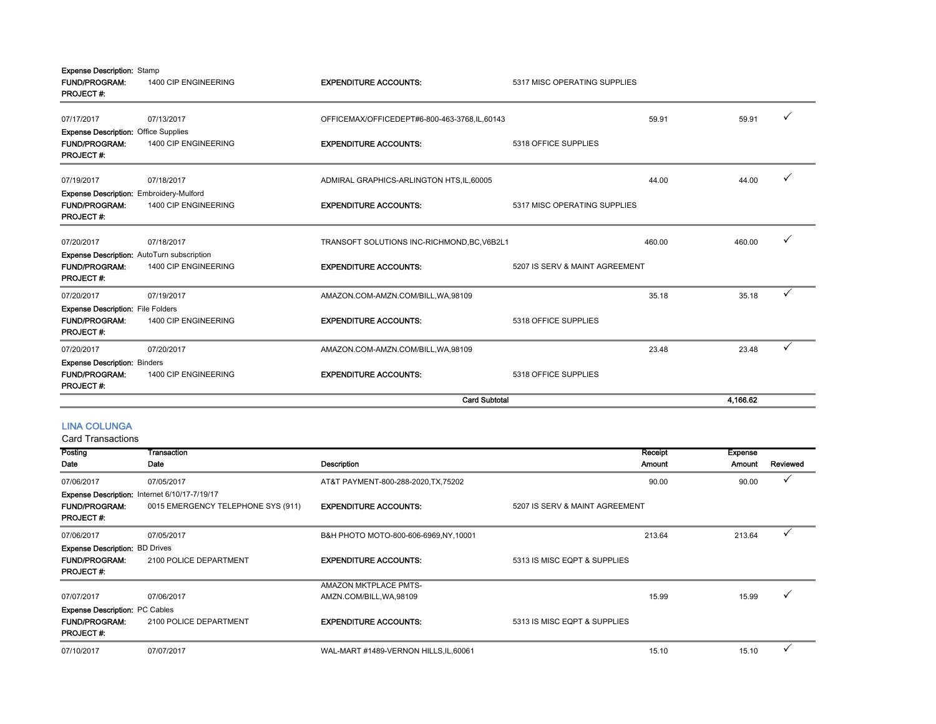| <b>Expense Description: Stamp</b><br><b>FUND/PROGRAM:</b><br><b>PROJECT#:</b>                 | 1400 CIP ENGINEERING | <b>EXPENDITURE ACCOUNTS:</b>                 | 5317 MISC OPERATING SUPPLIES   |        |          |   |
|-----------------------------------------------------------------------------------------------|----------------------|----------------------------------------------|--------------------------------|--------|----------|---|
| 07/17/2017                                                                                    | 07/13/2017           | OFFICEMAX/OFFICEDEPT#6-800-463-3768,IL,60143 |                                | 59.91  | 59.91    |   |
| <b>Expense Description: Office Supplies</b>                                                   |                      |                                              |                                |        |          |   |
| <b>FUND/PROGRAM:</b><br><b>PROJECT#:</b>                                                      | 1400 CIP ENGINEERING | <b>EXPENDITURE ACCOUNTS:</b>                 | 5318 OFFICE SUPPLIES           |        |          |   |
| 07/19/2017                                                                                    | 07/18/2017           | ADMIRAL GRAPHICS-ARLINGTON HTS, IL, 60005    |                                | 44.00  | 44.00    |   |
| <b>Expense Description: Embroidery-Mulford</b><br><b>FUND/PROGRAM:</b><br><b>PROJECT#:</b>    | 1400 CIP ENGINEERING | <b>EXPENDITURE ACCOUNTS:</b>                 | 5317 MISC OPERATING SUPPLIES   |        |          |   |
| 07/20/2017                                                                                    | 07/18/2017           | TRANSOFT SOLUTIONS INC-RICHMOND, BC, V6B2L1  |                                | 460.00 | 460.00   |   |
| <b>Expense Description:</b> AutoTurn subscription<br><b>FUND/PROGRAM:</b><br><b>PROJECT#:</b> | 1400 CIP ENGINEERING | <b>EXPENDITURE ACCOUNTS:</b>                 | 5207 IS SERV & MAINT AGREEMENT |        |          |   |
| 07/20/2017                                                                                    | 07/19/2017           | AMAZON.COM-AMZN.COM/BILL, WA, 98109          |                                | 35.18  | 35.18    |   |
| <b>Expense Description: File Folders</b><br><b>FUND/PROGRAM:</b><br><b>PROJECT#:</b>          | 1400 CIP ENGINEERING | <b>EXPENDITURE ACCOUNTS:</b>                 | 5318 OFFICE SUPPLIES           |        |          |   |
| 07/20/2017                                                                                    | 07/20/2017           | AMAZON.COM-AMZN.COM/BILL, WA, 98109          |                                | 23.48  | 23.48    | ✓ |
| <b>Expense Description: Binders</b>                                                           |                      |                                              |                                |        |          |   |
| <b>FUND/PROGRAM:</b><br><b>PROJECT#:</b>                                                      | 1400 CIP ENGINEERING | <b>EXPENDITURE ACCOUNTS:</b>                 | 5318 OFFICE SUPPLIES           |        |          |   |
|                                                                                               |                      | <b>Card Subtotal</b>                         |                                |        | 4.166.62 |   |

#### LINA COLUNGA

| Posting                                       | Transaction                        |                                        | Receipt                        | <b>Expense</b> |          |
|-----------------------------------------------|------------------------------------|----------------------------------------|--------------------------------|----------------|----------|
| Date                                          | Date                               | Description                            | Amount                         | Amount         | Reviewed |
| 07/06/2017                                    | 07/05/2017                         | AT&T PAYMENT-800-288-2020.TX.75202     | 90.00                          | 90.00          |          |
| Expense Description: Internet 6/10/17-7/19/17 |                                    |                                        |                                |                |          |
| <b>FUND/PROGRAM:</b><br><b>PROJECT#:</b>      | 0015 EMERGENCY TELEPHONE SYS (911) | <b>EXPENDITURE ACCOUNTS:</b>           | 5207 IS SERV & MAINT AGREEMENT |                |          |
| 07/06/2017                                    | 07/05/2017                         | B&H PHOTO MOTO-800-606-6969, NY, 10001 | 213.64                         | 213.64         |          |
| <b>Expense Description: BD Drives</b>         |                                    |                                        |                                |                |          |
| <b>FUND/PROGRAM:</b>                          | 2100 POLICE DEPARTMENT             | <b>EXPENDITURE ACCOUNTS:</b>           | 5313 IS MISC EQPT & SUPPLIES   |                |          |
| <b>PROJECT#:</b>                              |                                    |                                        |                                |                |          |
|                                               |                                    | <b>AMAZON MKTPLACE PMTS-</b>           |                                |                |          |
| 07/07/2017                                    | 07/06/2017                         | AMZN.COM/BILL, WA, 98109               |                                | 15.99<br>15.99 |          |
| <b>Expense Description: PC Cables</b>         |                                    |                                        |                                |                |          |
| <b>FUND/PROGRAM:</b><br><b>PROJECT#:</b>      | 2100 POLICE DEPARTMENT             | <b>EXPENDITURE ACCOUNTS:</b>           | 5313 IS MISC EQPT & SUPPLIES   |                |          |
| 07/10/2017                                    | 07/07/2017                         | WAL-MART #1489-VERNON HILLS, IL, 60061 |                                | 15.10<br>15.10 |          |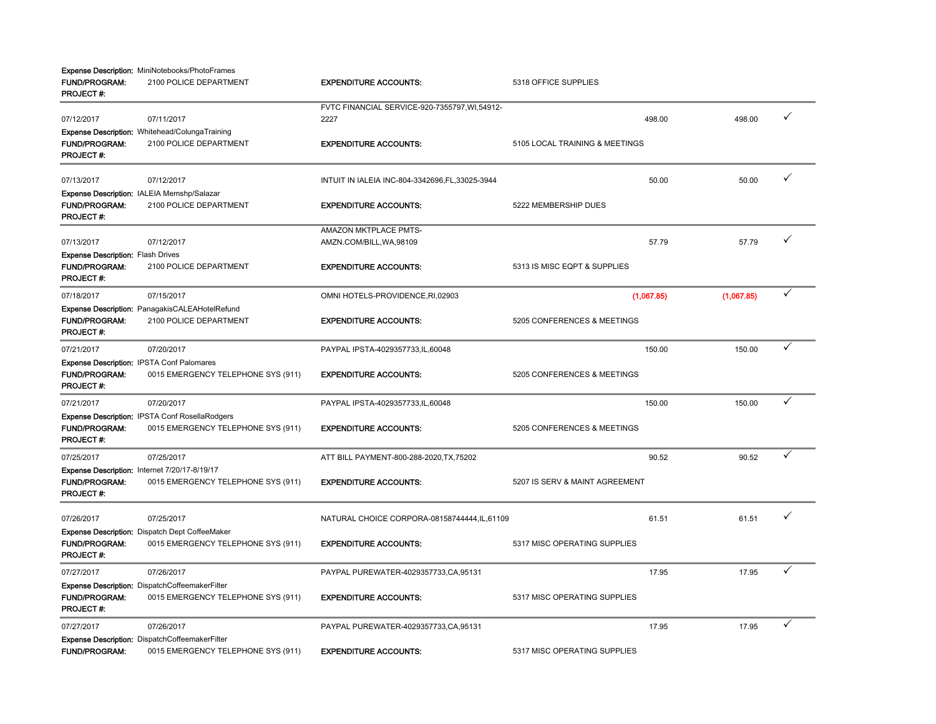|                                                                               | Expense Description: MiniNotebooks/PhotoFrames                                              |                                                  |                                |            |              |
|-------------------------------------------------------------------------------|---------------------------------------------------------------------------------------------|--------------------------------------------------|--------------------------------|------------|--------------|
| <b>FUND/PROGRAM:</b><br>PROJECT#:                                             | 2100 POLICE DEPARTMENT                                                                      | <b>EXPENDITURE ACCOUNTS:</b>                     | 5318 OFFICE SUPPLIES           |            |              |
|                                                                               |                                                                                             | FVTC FINANCIAL SERVICE-920-7355797, WI, 54912-   |                                |            | ✓            |
| 07/12/2017                                                                    | 07/11/2017                                                                                  | 2227                                             | 498.00                         | 498.00     |              |
| FUND/PROGRAM:<br><b>PROJECT#</b>                                              | Expense Description: Whitehead/ColungaTraining<br>2100 POLICE DEPARTMENT                    | <b>EXPENDITURE ACCOUNTS:</b>                     | 5105 LOCAL TRAINING & MEETINGS |            |              |
| 07/13/2017                                                                    | 07/12/2017                                                                                  | INTUIT IN IALEIA INC-804-3342696, FL, 33025-3944 | 50.00                          | 50.00      | ✓            |
| <b>FUND/PROGRAM:</b><br><b>PROJECT#:</b>                                      | Expense Description: IALEIA Memshp/Salazar<br>2100 POLICE DEPARTMENT                        | <b>EXPENDITURE ACCOUNTS:</b>                     | 5222 MEMBERSHIP DUES           |            |              |
|                                                                               |                                                                                             | AMAZON MKTPLACE PMTS-                            |                                |            |              |
| 07/13/2017                                                                    | 07/12/2017                                                                                  | AMZN.COM/BILL, WA, 98109                         | 57.79                          | 57.79      | ✓            |
| <b>Expense Description: Flash Drives</b><br><b>FUND/PROGRAM:</b><br>PROJECT#: | 2100 POLICE DEPARTMENT                                                                      | <b>EXPENDITURE ACCOUNTS:</b>                     | 5313 IS MISC EQPT & SUPPLIES   |            |              |
| 07/18/2017                                                                    | 07/15/2017                                                                                  | OMNI HOTELS-PROVIDENCE, RI, 02903                | (1,067.85)                     | (1,067.85) | ✓            |
| FUND/PROGRAM:<br>PROJECT#:                                                    | <b>Expense Description: PanagakisCALEAHotelRefund</b><br>2100 POLICE DEPARTMENT             | <b>EXPENDITURE ACCOUNTS:</b>                     | 5205 CONFERENCES & MEETINGS    |            |              |
| 07/21/2017                                                                    | 07/20/2017                                                                                  | PAYPAL IPSTA-4029357733,IL,60048                 | 150.00                         | 150.00     | ✓            |
| <b>FUND/PROGRAM:</b><br>PROJECT#:                                             | Expense Description: IPSTA Conf Palomares<br>0015 EMERGENCY TELEPHONE SYS (911)             | <b>EXPENDITURE ACCOUNTS:</b>                     | 5205 CONFERENCES & MEETINGS    |            |              |
| 07/21/2017                                                                    | 07/20/2017                                                                                  | PAYPAL IPSTA-4029357733,IL,60048                 | 150.00                         | 150.00     | $\checkmark$ |
| <b>FUND/PROGRAM:</b><br><b>PROJECT#:</b>                                      | <b>Expense Description: IPSTA Conf RosellaRodgers</b><br>0015 EMERGENCY TELEPHONE SYS (911) | <b>EXPENDITURE ACCOUNTS:</b>                     | 5205 CONFERENCES & MEETINGS    |            |              |
| 07/25/2017                                                                    | 07/25/2017                                                                                  | ATT BILL PAYMENT-800-288-2020, TX, 75202         | 90.52                          | 90.52      | ✓            |
| <b>FUND/PROGRAM:</b><br><b>PROJECT#:</b>                                      | Expense Description: Internet 7/20/17-8/19/17<br>0015 EMERGENCY TELEPHONE SYS (911)         | <b>EXPENDITURE ACCOUNTS:</b>                     | 5207 IS SERV & MAINT AGREEMENT |            |              |
| 07/26/2017                                                                    | 07/25/2017                                                                                  | NATURAL CHOICE CORPORA-08158744444, IL, 61109    | 61.51                          | 61.51      | ✓            |
| <b>FUND/PROGRAM:</b><br><b>PROJECT#:</b>                                      | Expense Description: Dispatch Dept CoffeeMaker<br>0015 EMERGENCY TELEPHONE SYS (911)        | <b>EXPENDITURE ACCOUNTS:</b>                     | 5317 MISC OPERATING SUPPLIES   |            |              |
| 07/27/2017                                                                    | 07/26/2017                                                                                  | PAYPAL PUREWATER-4029357733, CA, 95131           | 17.95                          | 17.95      | ✓            |
| <b>FUND/PROGRAM:</b><br>PROJECT#:                                             | Expense Description: DispatchCoffeemakerFilter<br>0015 EMERGENCY TELEPHONE SYS (911)        | <b>EXPENDITURE ACCOUNTS:</b>                     | 5317 MISC OPERATING SUPPLIES   |            |              |
| 07/27/2017                                                                    | 07/26/2017                                                                                  | PAYPAL PUREWATER-4029357733, CA, 95131           | 17.95                          | 17.95      | ✓            |
| <b>FUND/PROGRAM:</b>                                                          | Expense Description: DispatchCoffeemakerFilter<br>0015 EMERGENCY TELEPHONE SYS (911)        | <b>EXPENDITURE ACCOUNTS:</b>                     | 5317 MISC OPERATING SUPPLIES   |            |              |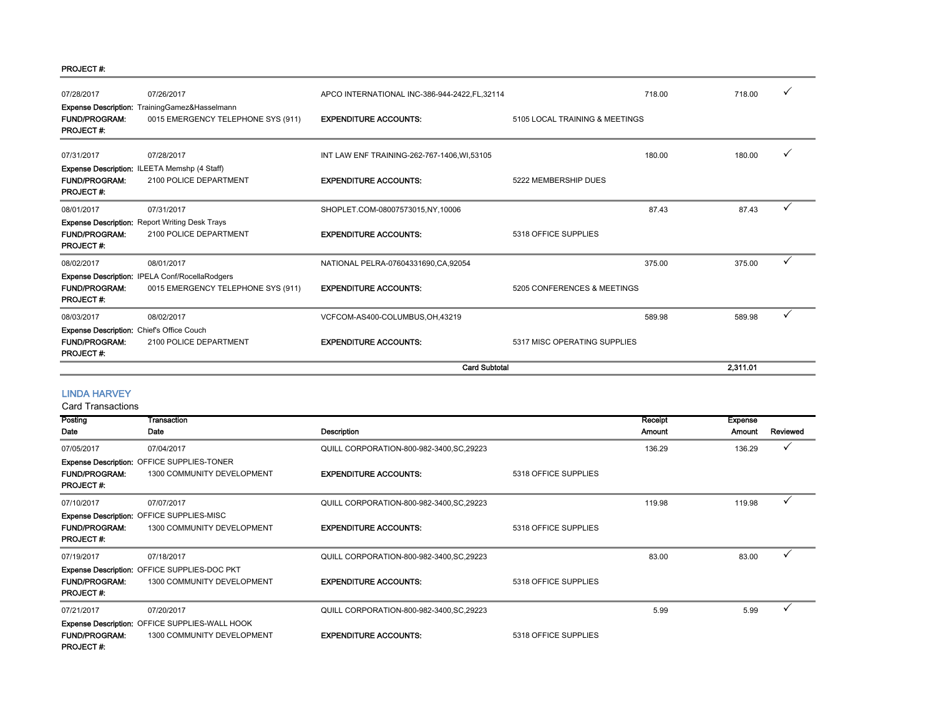#### PROJECT #:

| 07/28/2017                                                                                   | 07/26/2017                                                                           | APCO INTERNATIONAL INC-386-944-2422, FL, 32114 |                                | 718.00 | 718.00   |   |
|----------------------------------------------------------------------------------------------|--------------------------------------------------------------------------------------|------------------------------------------------|--------------------------------|--------|----------|---|
| <b>FUND/PROGRAM:</b><br><b>PROJECT#:</b>                                                     | Expense Description: TrainingGamez&Hasselmann<br>0015 EMERGENCY TELEPHONE SYS (911)  | <b>EXPENDITURE ACCOUNTS:</b>                   | 5105 LOCAL TRAINING & MEETINGS |        |          |   |
| 07/31/2017                                                                                   | 07/28/2017                                                                           | INT LAW ENF TRAINING-262-767-1406, WI, 53105   |                                | 180.00 | 180.00   |   |
| <b>FUND/PROGRAM:</b><br><b>PROJECT#:</b>                                                     | <b>Expense Description: ILEETA Memshp (4 Staff)</b><br>2100 POLICE DEPARTMENT        | <b>EXPENDITURE ACCOUNTS:</b>                   | 5222 MEMBERSHIP DUES           |        |          |   |
| 08/01/2017                                                                                   | 07/31/2017                                                                           | SHOPLET.COM-08007573015,NY,10006               |                                | 87.43  | 87.43    |   |
| <b>FUND/PROGRAM:</b><br><b>PROJECT#:</b>                                                     | <b>Expense Description:</b> Report Writing Desk Trays<br>2100 POLICE DEPARTMENT      | <b>EXPENDITURE ACCOUNTS:</b>                   | 5318 OFFICE SUPPLIES           |        |          |   |
| 08/02/2017                                                                                   | 08/01/2017                                                                           | NATIONAL PELRA-07604331690, CA, 92054          |                                | 375.00 | 375.00   | ✓ |
| <b>FUND/PROGRAM:</b><br><b>PROJECT#:</b>                                                     | Expense Description: IPELA Conf/RocellaRodgers<br>0015 EMERGENCY TELEPHONE SYS (911) | <b>EXPENDITURE ACCOUNTS:</b>                   | 5205 CONFERENCES & MEETINGS    |        |          |   |
| 08/03/2017                                                                                   | 08/02/2017                                                                           | VCFCOM-AS400-COLUMBUS, OH, 43219               |                                | 589.98 | 589.98   |   |
| <b>Expense Description:</b> Chief's Office Couch<br><b>FUND/PROGRAM:</b><br><b>PROJECT#:</b> | 2100 POLICE DEPARTMENT                                                               | <b>EXPENDITURE ACCOUNTS:</b>                   | 5317 MISC OPERATING SUPPLIES   |        |          |   |
|                                                                                              |                                                                                      | <b>Card Subtotal</b>                           |                                |        | 2,311.01 |   |

#### LINDA HARVEY

| Posting                                  | Transaction                                    |                                           |                      | Receipt       | <b>Expense</b> |              |
|------------------------------------------|------------------------------------------------|-------------------------------------------|----------------------|---------------|----------------|--------------|
| Date                                     | Date                                           | Description                               |                      | <b>Amount</b> | Amount         | Reviewed     |
| 07/05/2017                               | 07/04/2017                                     | QUILL CORPORATION-800-982-3400, SC, 29223 |                      | 136.29        | 136.29         |              |
|                                          | Expense Description: OFFICE SUPPLIES-TONER     |                                           |                      |               |                |              |
| <b>FUND/PROGRAM:</b><br><b>PROJECT#:</b> | 1300 COMMUNITY DEVELOPMENT                     | <b>EXPENDITURE ACCOUNTS:</b>              | 5318 OFFICE SUPPLIES |               |                |              |
| 07/10/2017                               | 07/07/2017                                     | QUILL CORPORATION-800-982-3400, SC, 29223 |                      | 119.98        | 119.98         | $\checkmark$ |
|                                          | Expense Description: OFFICE SUPPLIES-MISC      |                                           |                      |               |                |              |
| <b>FUND/PROGRAM:</b><br><b>PROJECT#:</b> | 1300 COMMUNITY DEVELOPMENT                     | <b>EXPENDITURE ACCOUNTS:</b>              | 5318 OFFICE SUPPLIES |               |                |              |
| 07/19/2017                               | 07/18/2017                                     | QUILL CORPORATION-800-982-3400, SC, 29223 |                      | 83.00         | 83.00          |              |
|                                          | Expense Description: OFFICE SUPPLIES-DOC PKT   |                                           |                      |               |                |              |
| <b>FUND/PROGRAM:</b><br><b>PROJECT#:</b> | 1300 COMMUNITY DEVELOPMENT                     | <b>EXPENDITURE ACCOUNTS:</b>              | 5318 OFFICE SUPPLIES |               |                |              |
| 07/21/2017                               | 07/20/2017                                     | QUILL CORPORATION-800-982-3400, SC, 29223 |                      | 5.99          | 5.99           | $\checkmark$ |
|                                          | Expense Description: OFFICE SUPPLIES-WALL HOOK |                                           |                      |               |                |              |
| <b>FUND/PROGRAM:</b><br><b>PROJECT#:</b> | 1300 COMMUNITY DEVELOPMENT                     | <b>EXPENDITURE ACCOUNTS:</b>              | 5318 OFFICE SUPPLIES |               |                |              |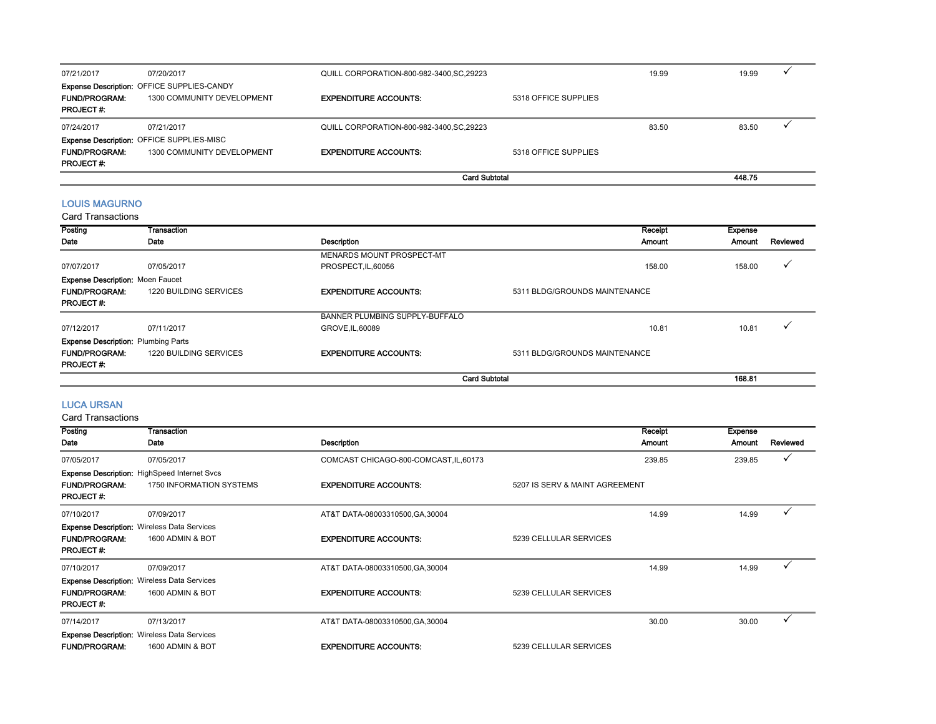| 07/21/2017           | 07/20/2017                                        | QUILL CORPORATION-800-982-3400, SC, 29223 |                      | 19.99 | 19.99  |  |
|----------------------|---------------------------------------------------|-------------------------------------------|----------------------|-------|--------|--|
|                      | <b>Expense Description: OFFICE SUPPLIES-CANDY</b> |                                           |                      |       |        |  |
| <b>FUND/PROGRAM:</b> | 1300 COMMUNITY DEVELOPMENT                        | <b>EXPENDITURE ACCOUNTS:</b>              | 5318 OFFICE SUPPLIES |       |        |  |
| <b>PROJECT#:</b>     |                                                   |                                           |                      |       |        |  |
| 07/24/2017           | 07/21/2017                                        | QUILL CORPORATION-800-982-3400, SC, 29223 |                      | 83.50 | 83.50  |  |
|                      | Expense Description: OFFICE SUPPLIES-MISC         |                                           |                      |       |        |  |
| <b>FUND/PROGRAM:</b> | 1300 COMMUNITY DEVELOPMENT                        | <b>EXPENDITURE ACCOUNTS:</b>              | 5318 OFFICE SUPPLIES |       |        |  |
| <b>PROJECT#:</b>     |                                                   |                                           |                      |       |        |  |
|                      |                                                   | <b>Card Subtotal</b>                      |                      |       | 448.75 |  |

#### LOUIS MAGURNO

#### Card Transactions

| Posting                                    | Transaction            |                                | Receipt                       | <b>Expense</b> |          |
|--------------------------------------------|------------------------|--------------------------------|-------------------------------|----------------|----------|
| Date                                       | Date                   | Description                    | Amount                        | Amount         | Reviewed |
|                                            |                        | MENARDS MOUNT PROSPECT-MT      |                               |                |          |
| 07/07/2017                                 | 07/05/2017             | PROSPECT, IL, 60056            | 158.00                        | 158.00         |          |
| <b>Expense Description: Moen Faucet</b>    |                        |                                |                               |                |          |
| <b>FUND/PROGRAM:</b>                       | 1220 BUILDING SERVICES | <b>EXPENDITURE ACCOUNTS:</b>   | 5311 BLDG/GROUNDS MAINTENANCE |                |          |
| <b>PROJECT#:</b>                           |                        |                                |                               |                |          |
|                                            |                        | BANNER PLUMBING SUPPLY-BUFFALO |                               |                |          |
| 07/12/2017                                 | 07/11/2017             | GROVE.IL.60089                 | 10.81                         | 10.81          |          |
| <b>Expense Description: Plumbing Parts</b> |                        |                                |                               |                |          |
| <b>FUND/PROGRAM:</b>                       | 1220 BUILDING SERVICES | <b>EXPENDITURE ACCOUNTS:</b>   | 5311 BLDG/GROUNDS MAINTENANCE |                |          |
| <b>PROJECT#:</b>                           |                        |                                |                               |                |          |
|                                            |                        | <b>Card Subtotal</b>           |                               | 168.81         |          |

#### LUCA URSAN

| Posting                                  | Transaction                                                                     |                                        | Receipt                        | <b>Expense</b> |          |
|------------------------------------------|---------------------------------------------------------------------------------|----------------------------------------|--------------------------------|----------------|----------|
| Date                                     | Date                                                                            | Description                            | Amount                         | Amount         | Reviewed |
| 07/05/2017                               | 07/05/2017                                                                      | COMCAST CHICAGO-800-COMCAST, IL, 60173 | 239.85                         | 239.85         | ✓        |
| <b>FUND/PROGRAM:</b><br><b>PROJECT#:</b> | <b>Expense Description:</b> HighSpeed Internet Svcs<br>1750 INFORMATION SYSTEMS | <b>EXPENDITURE ACCOUNTS:</b>           | 5207 IS SERV & MAINT AGREEMENT |                |          |
| 07/10/2017                               | 07/09/2017                                                                      | AT&T DATA-08003310500, GA, 30004       | 14.99                          | 14.99          |          |
|                                          | <b>Expense Description: Wireless Data Services</b>                              |                                        |                                |                |          |
| <b>FUND/PROGRAM:</b><br><b>PROJECT#:</b> | 1600 ADMIN & BOT                                                                | <b>EXPENDITURE ACCOUNTS:</b>           | 5239 CELLULAR SERVICES         |                |          |
| 07/10/2017                               | 07/09/2017                                                                      | AT&T DATA-08003310500, GA, 30004       | 14.99                          | 14.99          |          |
| <b>FUND/PROGRAM:</b><br><b>PROJECT#:</b> | <b>Expense Description: Wireless Data Services</b><br>1600 ADMIN & BOT          | <b>EXPENDITURE ACCOUNTS:</b>           | 5239 CELLULAR SERVICES         |                |          |
| 07/14/2017                               | 07/13/2017                                                                      | AT&T DATA-08003310500, GA, 30004       | 30.00                          | 30.00          |          |
|                                          | <b>Expense Description: Wireless Data Services</b>                              |                                        |                                |                |          |
| <b>FUND/PROGRAM:</b>                     | 1600 ADMIN & BOT                                                                | <b>EXPENDITURE ACCOUNTS:</b>           | 5239 CELLULAR SERVICES         |                |          |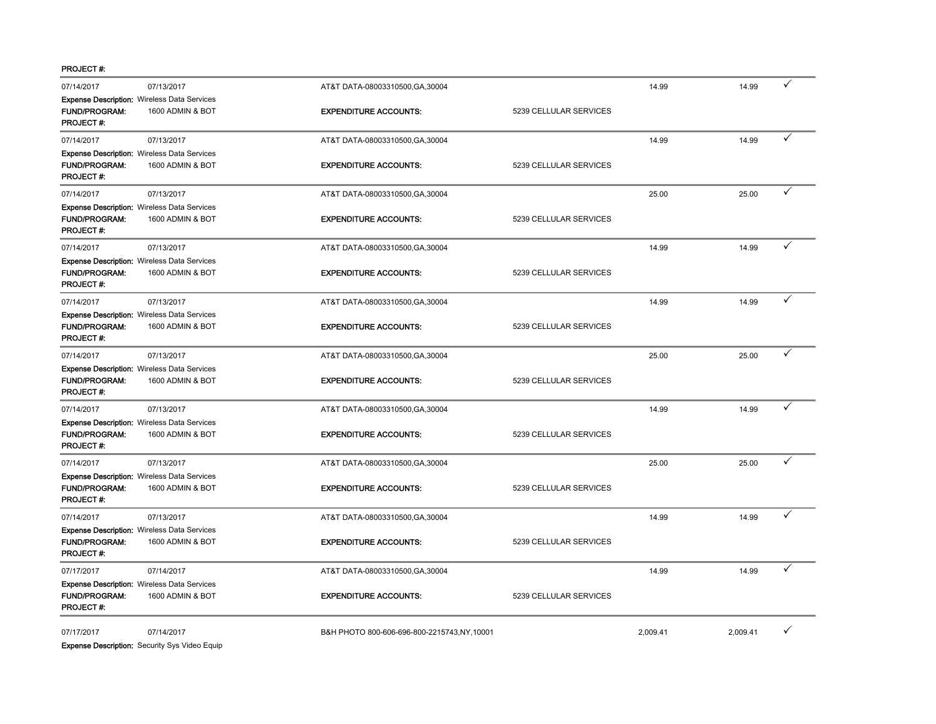PROJECT #:

| 07/14/2017                               | 07/13/2017                                                             | AT&T DATA-08003310500, GA, 30004           |                        | 14.99    | 14.99    |   |
|------------------------------------------|------------------------------------------------------------------------|--------------------------------------------|------------------------|----------|----------|---|
| FUND/PROGRAM:<br><b>PROJECT#:</b>        | <b>Expense Description: Wireless Data Services</b><br>1600 ADMIN & BOT | <b>EXPENDITURE ACCOUNTS:</b>               | 5239 CELLULAR SERVICES |          |          |   |
| 07/14/2017                               | 07/13/2017                                                             | AT&T DATA-08003310500, GA, 30004           |                        | 14.99    | 14.99    |   |
|                                          | <b>Expense Description: Wireless Data Services</b>                     |                                            |                        |          |          |   |
| <b>FUND/PROGRAM:</b>                     | 1600 ADMIN & BOT                                                       | <b>EXPENDITURE ACCOUNTS:</b>               | 5239 CELLULAR SERVICES |          |          |   |
| PROJECT#:                                |                                                                        |                                            |                        |          |          |   |
| 07/14/2017                               | 07/13/2017                                                             | AT&T DATA-08003310500, GA, 30004           |                        | 25.00    | 25.00    | ✓ |
|                                          | <b>Expense Description: Wireless Data Services</b>                     |                                            |                        |          |          |   |
| <b>FUND/PROGRAM:</b><br>PROJECT#:        | 1600 ADMIN & BOT                                                       | <b>EXPENDITURE ACCOUNTS:</b>               | 5239 CELLULAR SERVICES |          |          |   |
| 07/14/2017                               | 07/13/2017                                                             | AT&T DATA-08003310500, GA, 30004           |                        | 14.99    | 14.99    |   |
|                                          | <b>Expense Description: Wireless Data Services</b>                     |                                            |                        |          |          |   |
| <b>FUND/PROGRAM:</b><br><b>PROJECT#:</b> | 1600 ADMIN & BOT                                                       | <b>EXPENDITURE ACCOUNTS:</b>               | 5239 CELLULAR SERVICES |          |          |   |
| 07/14/2017                               | 07/13/2017                                                             | AT&T DATA-08003310500, GA, 30004           |                        | 14.99    | 14.99    |   |
|                                          | <b>Expense Description: Wireless Data Services</b>                     |                                            |                        |          |          |   |
| <b>FUND/PROGRAM:</b>                     | 1600 ADMIN & BOT                                                       | <b>EXPENDITURE ACCOUNTS:</b>               | 5239 CELLULAR SERVICES |          |          |   |
| <b>PROJECT#:</b>                         |                                                                        |                                            |                        |          |          |   |
| 07/14/2017                               | 07/13/2017                                                             | AT&T DATA-08003310500, GA, 30004           |                        | 25.00    | 25.00    |   |
|                                          | <b>Expense Description: Wireless Data Services</b>                     |                                            |                        |          |          |   |
| <b>FUND/PROGRAM:</b><br><b>PROJECT#:</b> | 1600 ADMIN & BOT                                                       | <b>EXPENDITURE ACCOUNTS:</b>               | 5239 CELLULAR SERVICES |          |          |   |
| 07/14/2017                               | 07/13/2017                                                             | AT&T DATA-08003310500, GA, 30004           |                        | 14.99    | 14.99    | ✓ |
|                                          | <b>Expense Description: Wireless Data Services</b>                     |                                            |                        |          |          |   |
| <b>FUND/PROGRAM:</b>                     | 1600 ADMIN & BOT                                                       | <b>EXPENDITURE ACCOUNTS:</b>               | 5239 CELLULAR SERVICES |          |          |   |
| <b>PROJECT#:</b>                         |                                                                        |                                            |                        |          |          | ✓ |
| 07/14/2017                               | 07/13/2017                                                             | AT&T DATA-08003310500, GA, 30004           |                        | 25.00    | 25.00    |   |
|                                          | <b>Expense Description: Wireless Data Services</b>                     |                                            |                        |          |          |   |
| FUND/PROGRAM:<br><b>PROJECT#:</b>        | 1600 ADMIN & BOT                                                       | <b>EXPENDITURE ACCOUNTS:</b>               | 5239 CELLULAR SERVICES |          |          |   |
| 07/14/2017                               | 07/13/2017                                                             | AT&T DATA-08003310500, GA, 30004           |                        | 14.99    | 14.99    |   |
|                                          | <b>Expense Description: Wireless Data Services</b>                     |                                            |                        |          |          |   |
| FUND/PROGRAM:                            | 1600 ADMIN & BOT                                                       | <b>EXPENDITURE ACCOUNTS:</b>               | 5239 CELLULAR SERVICES |          |          |   |
| PROJECT#:                                |                                                                        |                                            |                        |          |          |   |
| 07/17/2017                               | 07/14/2017                                                             | AT&T DATA-08003310500, GA, 30004           |                        | 14.99    | 14.99    |   |
|                                          | <b>Expense Description: Wireless Data Services</b>                     |                                            |                        |          |          |   |
| FUND/PROGRAM:<br>PROJECT#:               | 1600 ADMIN & BOT                                                       | <b>EXPENDITURE ACCOUNTS:</b>               | 5239 CELLULAR SERVICES |          |          |   |
| 07/17/2017                               | 07/14/2017                                                             | B&H PHOTO 800-606-696-800-2215743,NY,10001 |                        | 2,009.41 | 2,009.41 | ✓ |

**Expense Description:** Security Sys Video Equip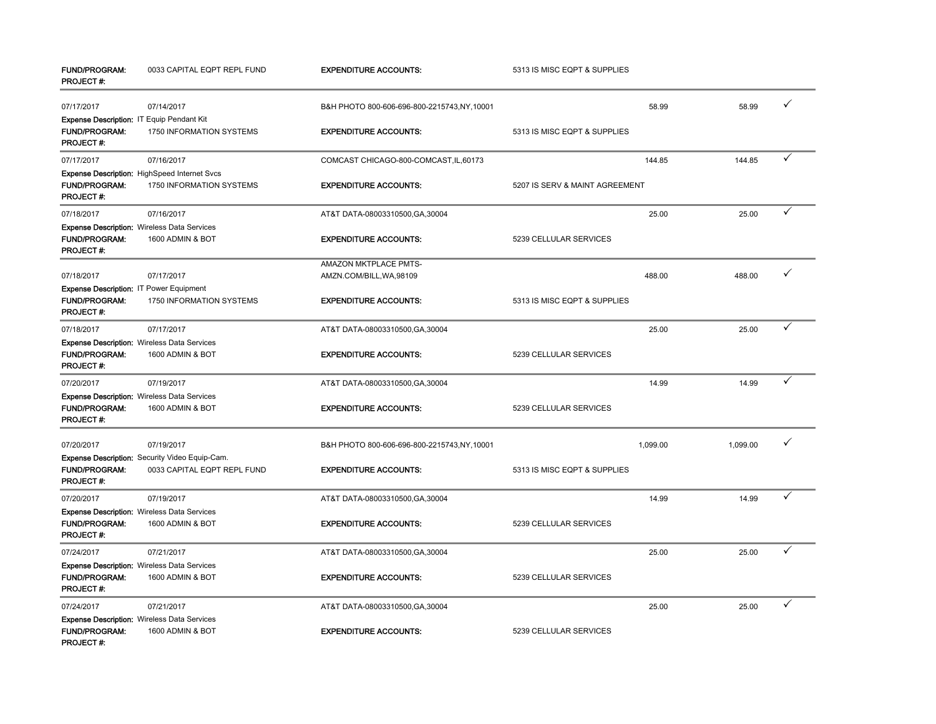| <b>FUND/PROGRAM:</b><br>PROJECT #:                                                    | 0033 CAPITAL EQPT REPL FUND                                                          | <b>EXPENDITURE ACCOUNTS:</b>                      | 5313 IS MISC EQPT & SUPPLIES   |          |   |
|---------------------------------------------------------------------------------------|--------------------------------------------------------------------------------------|---------------------------------------------------|--------------------------------|----------|---|
| 07/17/2017                                                                            | 07/14/2017                                                                           | B&H PHOTO 800-606-696-800-2215743,NY,10001        | 58.99                          | 58.99    | ✓ |
| Expense Description: IT Equip Pendant Kit<br><b>FUND/PROGRAM:</b><br><b>PROJECT#:</b> | 1750 INFORMATION SYSTEMS                                                             | <b>EXPENDITURE ACCOUNTS:</b>                      | 5313 IS MISC EQPT & SUPPLIES   |          |   |
| 07/17/2017                                                                            | 07/16/2017                                                                           | COMCAST CHICAGO-800-COMCAST, IL, 60173            | 144.85                         | 144.85   |   |
| <b>FUND/PROGRAM:</b><br><b>PROJECT#:</b>                                              | Expense Description: HighSpeed Internet Svcs<br>1750 INFORMATION SYSTEMS             | <b>EXPENDITURE ACCOUNTS:</b>                      | 5207 IS SERV & MAINT AGREEMENT |          |   |
| 07/18/2017                                                                            | 07/16/2017                                                                           | AT&T DATA-08003310500, GA, 30004                  | 25.00                          | 25.00    | ✓ |
| <b>FUND/PROGRAM:</b><br>PROJECT#:                                                     | <b>Expense Description: Wireless Data Services</b><br>1600 ADMIN & BOT               | <b>EXPENDITURE ACCOUNTS:</b>                      | 5239 CELLULAR SERVICES         |          |   |
| 07/18/2017<br>Expense Description: IT Power Equipment                                 | 07/17/2017                                                                           | AMAZON MKTPLACE PMTS-<br>AMZN.COM/BILL, WA, 98109 | 488.00                         | 488.00   | ✓ |
| <b>FUND/PROGRAM:</b><br>PROJECT#:                                                     | 1750 INFORMATION SYSTEMS                                                             | <b>EXPENDITURE ACCOUNTS:</b>                      | 5313 IS MISC EQPT & SUPPLIES   |          |   |
| 07/18/2017                                                                            | 07/17/2017                                                                           | AT&T DATA-08003310500, GA, 30004                  | 25.00                          | 25.00    |   |
| <b>FUND/PROGRAM:</b><br>PROJECT#:                                                     | <b>Expense Description: Wireless Data Services</b><br>1600 ADMIN & BOT               | <b>EXPENDITURE ACCOUNTS:</b>                      | 5239 CELLULAR SERVICES         |          |   |
| 07/20/2017                                                                            | 07/19/2017                                                                           | AT&T DATA-08003310500, GA, 30004                  | 14.99                          | 14.99    | ✓ |
| FUND/PROGRAM:<br>PROJECT #:                                                           | <b>Expense Description: Wireless Data Services</b><br>1600 ADMIN & BOT               | <b>EXPENDITURE ACCOUNTS:</b>                      | 5239 CELLULAR SERVICES         |          |   |
| 07/20/2017                                                                            | 07/19/2017                                                                           | B&H PHOTO 800-606-696-800-2215743,NY,10001        | 1,099.00                       | 1,099.00 | ✓ |
| <b>FUND/PROGRAM:</b><br>PROJECT #:                                                    | <b>Expense Description:</b> Security Video Equip-Cam.<br>0033 CAPITAL EQPT REPL FUND | <b>EXPENDITURE ACCOUNTS:</b>                      | 5313 IS MISC EQPT & SUPPLIES   |          |   |
| 07/20/2017                                                                            | 07/19/2017                                                                           | AT&T DATA-08003310500, GA, 30004                  | 14.99                          | 14.99    | ✓ |
| <b>FUND/PROGRAM:</b><br>PROJECT#:                                                     | Expense Description: Wireless Data Services<br>1600 ADMIN & BOT                      | <b>EXPENDITURE ACCOUNTS:</b>                      | 5239 CELLULAR SERVICES         |          |   |
| 07/24/2017                                                                            | 07/21/2017                                                                           | AT&T DATA-08003310500, GA, 30004                  | 25.00                          | 25.00    | ✓ |
| <b>FUND/PROGRAM:</b><br><b>PROJECT#:</b>                                              | <b>Expense Description: Wireless Data Services</b><br>1600 ADMIN & BOT               | <b>EXPENDITURE ACCOUNTS:</b>                      | 5239 CELLULAR SERVICES         |          |   |
| 07/24/2017                                                                            | 07/21/2017                                                                           | AT&T DATA-08003310500, GA, 30004                  | 25.00                          | 25.00    | ✓ |
| <b>FUND/PROGRAM:</b><br>PROJECT#:                                                     | <b>Expense Description: Wireless Data Services</b><br>1600 ADMIN & BOT               | <b>EXPENDITURE ACCOUNTS:</b>                      | 5239 CELLULAR SERVICES         |          |   |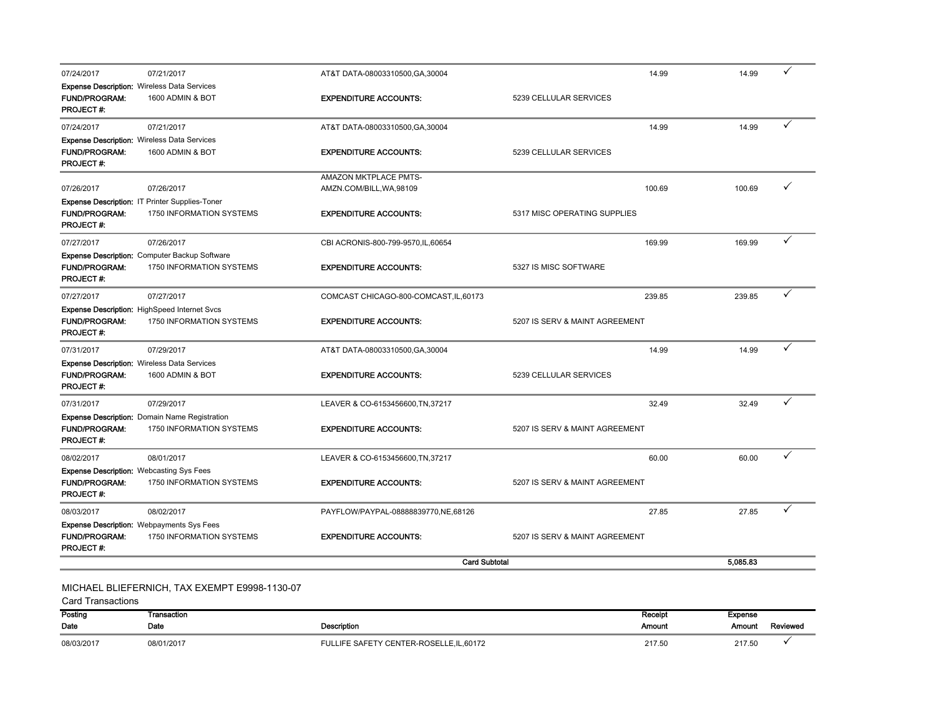| 07/24/2017                                      | 07/21/2017                                                                 | AT&T DATA-08003310500, GA, 30004       | 14.99                          | 14.99    |   |
|-------------------------------------------------|----------------------------------------------------------------------------|----------------------------------------|--------------------------------|----------|---|
|                                                 | <b>Expense Description: Wireless Data Services</b>                         |                                        |                                |          |   |
| <b>FUND/PROGRAM:</b>                            | 1600 ADMIN & BOT                                                           | <b>EXPENDITURE ACCOUNTS:</b>           | 5239 CELLULAR SERVICES         |          |   |
| PROJECT #:                                      |                                                                            |                                        |                                |          |   |
| 07/24/2017                                      | 07/21/2017                                                                 | AT&T DATA-08003310500, GA, 30004       | 14.99                          | 14.99    | ✓ |
|                                                 | <b>Expense Description: Wireless Data Services</b>                         |                                        |                                |          |   |
| <b>FUND/PROGRAM:</b>                            | 1600 ADMIN & BOT                                                           | <b>EXPENDITURE ACCOUNTS:</b>           | 5239 CELLULAR SERVICES         |          |   |
| PROJECT#:                                       |                                                                            |                                        |                                |          |   |
|                                                 |                                                                            | AMAZON MKTPLACE PMTS-                  |                                |          | ✓ |
| 07/26/2017                                      | 07/26/2017                                                                 | AMZN.COM/BILL, WA, 98109               | 100.69                         | 100.69   |   |
| <b>FUND/PROGRAM:</b>                            | Expense Description: IT Printer Supplies-Toner<br>1750 INFORMATION SYSTEMS | <b>EXPENDITURE ACCOUNTS:</b>           | 5317 MISC OPERATING SUPPLIES   |          |   |
| PROJECT#:                                       |                                                                            |                                        |                                |          |   |
| 07/27/2017                                      | 07/26/2017                                                                 |                                        | 169.99                         | 169.99   |   |
|                                                 |                                                                            | CBI ACRONIS-800-799-9570, IL, 60654    |                                |          |   |
| <b>FUND/PROGRAM:</b>                            | Expense Description: Computer Backup Software<br>1750 INFORMATION SYSTEMS  | <b>EXPENDITURE ACCOUNTS:</b>           | 5327 IS MISC SOFTWARE          |          |   |
| PROJECT#:                                       |                                                                            |                                        |                                |          |   |
| 07/27/2017                                      | 07/27/2017                                                                 | COMCAST CHICAGO-800-COMCAST, IL, 60173 | 239.85                         | 239.85   |   |
|                                                 | <b>Expense Description: HighSpeed Internet Svcs</b>                        |                                        |                                |          |   |
| <b>FUND/PROGRAM:</b>                            | 1750 INFORMATION SYSTEMS                                                   | <b>EXPENDITURE ACCOUNTS:</b>           | 5207 IS SERV & MAINT AGREEMENT |          |   |
| PROJECT#:                                       |                                                                            |                                        |                                |          |   |
| 07/31/2017                                      | 07/29/2017                                                                 | AT&T DATA-08003310500, GA, 30004       | 14.99                          | 14.99    |   |
|                                                 | <b>Expense Description: Wireless Data Services</b>                         |                                        |                                |          |   |
| <b>FUND/PROGRAM:</b>                            | 1600 ADMIN & BOT                                                           | <b>EXPENDITURE ACCOUNTS:</b>           | 5239 CELLULAR SERVICES         |          |   |
| PROJECT#:                                       |                                                                            |                                        |                                |          |   |
| 07/31/2017                                      | 07/29/2017                                                                 | LEAVER & CO-6153456600, TN, 37217      | 32.49                          | 32.49    | ✓ |
|                                                 | Expense Description: Domain Name Registration                              |                                        |                                |          |   |
| <b>FUND/PROGRAM:</b>                            | 1750 INFORMATION SYSTEMS                                                   | <b>EXPENDITURE ACCOUNTS:</b>           | 5207 IS SERV & MAINT AGREEMENT |          |   |
| <b>PROJECT#:</b>                                |                                                                            |                                        |                                |          |   |
| 08/02/2017                                      | 08/01/2017                                                                 | LEAVER & CO-6153456600, TN, 37217      | 60.00                          | 60.00    |   |
| <b>Expense Description: Webcasting Sys Fees</b> |                                                                            |                                        |                                |          |   |
| <b>FUND/PROGRAM:</b>                            | 1750 INFORMATION SYSTEMS                                                   | <b>EXPENDITURE ACCOUNTS:</b>           | 5207 IS SERV & MAINT AGREEMENT |          |   |
| PROJECT#:                                       |                                                                            |                                        |                                |          |   |
| 08/03/2017                                      | 08/02/2017                                                                 | PAYFLOW/PAYPAL-08888839770,NE,68126    | 27.85                          | 27.85    | ✓ |
|                                                 | <b>Expense Description: Webpayments Sys Fees</b>                           |                                        |                                |          |   |
| <b>FUND/PROGRAM:</b>                            | 1750 INFORMATION SYSTEMS                                                   | <b>EXPENDITURE ACCOUNTS:</b>           | 5207 IS SERV & MAINT AGREEMENT |          |   |
| <b>PROJECT#:</b>                                |                                                                            |                                        |                                |          |   |
|                                                 |                                                                            | <b>Card Subtotal</b>                   |                                | 5,085.83 |   |
|                                                 |                                                                            |                                        |                                |          |   |

## MICHAEL BLIEFERNICH, TAX EXEMPT E9998-1130-07

| Posting    | Transaction |                                        | Receipt | <b>Expense</b> |          |
|------------|-------------|----------------------------------------|---------|----------------|----------|
| Date       | Date        | <b>Description</b>                     | Amount  | Amount         | Reviewed |
| 08/03/2017 | 08/01/2017  | FULLIFE SAFETY CENTER-ROSELLE.IL.60172 | 217.50  | 217.50         |          |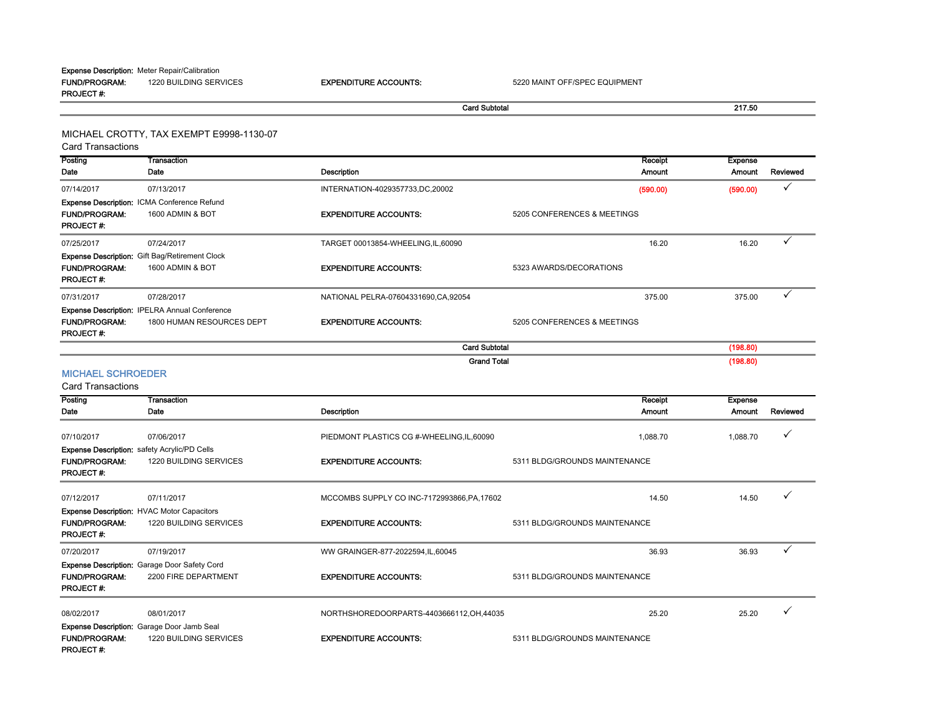FUND/PROGRAM: 1220 BUILDING SERVICESPROJECT #:Expense Description: Meter Repair/Calibration

EXPENDITURE ACCOUNTS: 5220 MAINT OFF/SPEC EQUIPMENT

Card Subtotal 217.50

MICHAEL CROTTY, TAX EXEMPT E9998-1130-07

Card Transactions

**Posting** Date**Transaction** Date **Date** Description Receipt AmountExpense Amount Reviewed 07/14/2017 07/13/2017 INTERNATION-4029357733,DC,20002 (590.00) (590.00) FUND/PROGRAM: 1600 ADMIN & BOTT **EXPENDITURE ACCOUNTS:** 5205 CONFERENCES & MEETINGS PROJECT #:07/25/2017 07/24/2017 TARGET 00013854-WHEELING,IL,60090 16.20 16.20 FUND/PROGRAM: 1600 ADMIN & BOTEXPENDITURE ACCOUNTS: 5323 AWARDS/DECORATIONS PROJECT #: 07/31/2017 07/28/2017 NATIONAL PELRA-07604331690,CA,92054 375.00 375.00 FUND/PROGRAM: 1800 HUMAN RESOURCES DEPT EXPENDITURE ACCOUNTS: 5205 CONFERENCES & MEETINGSPROJECT #:MICHAEL SCHROEDERExpense Description: Gift Bag/Retirement Clock Expense Description: IPELRA Annual Conference Card Subtotal (198.80) Grand Total (198.80) Expense Description: ICMA Conference Refund

Posting Date **Transaction** Date **Date** Description Receipt Amount Expense Amount Reviewed 07/10/2017 07/06/2017 07/06/2017 PIEDMONT PLASTICS CG #-WHEELING,IL,60090 1 1,088.70 1,088.70 1,088.70 1,088.70 FUND/PROGRAM: 1220 BUILDING SERVICESEXPENDITURE ACCOUNTS: 5311 BLDG/GROUNDS MAINTENANCE PROJECT #: 07/12/2017 07/11/2017 07/11/2017 MCCOMBS SUPPLY CO INC-7172993866,PA,17602 14.50 14.50 14.50 14.50 14.50 √ FUND/PROGRAM: 1220 BUILDING SERVICES EXPENDITURE ACCOUNTS: 5311 BLDG/GROUNDS MAINTENANCE PROJECT #:07/20/2017 07/19/2017 WW GRAINGER-877-2022594,IL,60045 36.93 36.93 FUND/PROGRAM: 2200 FIRE DEPARTMENT EXPENDITURE ACCOUNTS: 5311 BLDG/GROUNDS MAINTENANCEPROJECT #: 08/02/2017 08/01/2017 NORTHSHOREDOORPARTS-4403666112,OH,44035 25.20 25.20 FUND/PROGRAM: 1220 BUILDING SERVICES EXPENDITURE ACCOUNTS: 5311 BLDG/GROUNDS MAINTENANCE PROJECT #: Expense Description: safety Acrylic/PD Cells Expense Description: HVAC Motor Capacitors Expense Description: Garage Door Safety Cord Expense Description: Garage Door Jamb Seal Card Transactions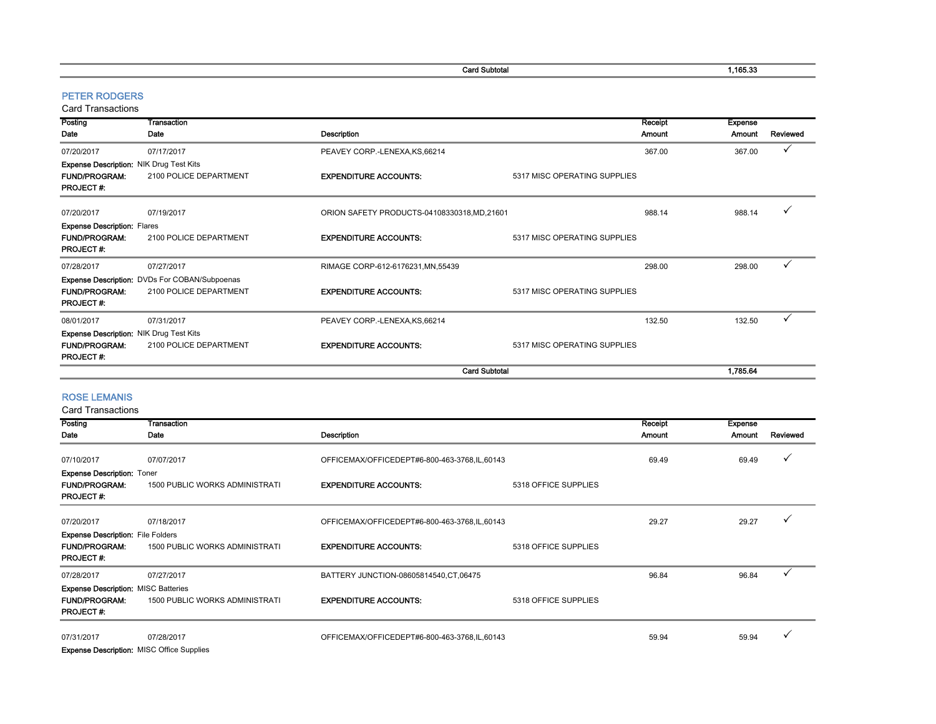Card Subtotal 2012 2022 2023 2024 2022 2023 2024 2022 2023 2024 2022 2023 2024 2022 2023 2024 2022 2023 2024 2022 2023 2024 2022 2023 2022 2023 2022 2023 2022 2023 2022 2023 2022 2023 2022 2023 2022 2023 2023 2023 2023 202

#### PETER RODGERS

Card Transactions

| Posting                                        | Transaction                                   |                                              |                              | Receipt | <b>Expense</b> |          |
|------------------------------------------------|-----------------------------------------------|----------------------------------------------|------------------------------|---------|----------------|----------|
| Date                                           | Date                                          | Description                                  |                              | Amount  | Amount         | Reviewed |
| 07/20/2017                                     | 07/17/2017                                    | PEAVEY CORP.-LENEXA, KS, 66214               |                              | 367.00  | 367.00         | ✓        |
| <b>Expense Description: NIK Drug Test Kits</b> |                                               |                                              |                              |         |                |          |
| <b>FUND/PROGRAM:</b><br><b>PROJECT#:</b>       | 2100 POLICE DEPARTMENT                        | <b>EXPENDITURE ACCOUNTS:</b>                 | 5317 MISC OPERATING SUPPLIES |         |                |          |
| 07/20/2017                                     | 07/19/2017                                    | ORION SAFETY PRODUCTS-04108330318, MD, 21601 |                              | 988.14  | 988.14         |          |
| <b>Expense Description: Flares</b>             |                                               |                                              |                              |         |                |          |
| <b>FUND/PROGRAM:</b><br><b>PROJECT#:</b>       | 2100 POLICE DEPARTMENT                        | <b>EXPENDITURE ACCOUNTS:</b>                 | 5317 MISC OPERATING SUPPLIES |         |                |          |
| 07/28/2017                                     | 07/27/2017                                    | RIMAGE CORP-612-6176231.MN.55439             |                              | 298.00  | 298.00         | ✓        |
|                                                | Expense Description: DVDs For COBAN/Subpoenas |                                              |                              |         |                |          |
| <b>FUND/PROGRAM:</b><br><b>PROJECT#:</b>       | 2100 POLICE DEPARTMENT                        | <b>EXPENDITURE ACCOUNTS:</b>                 | 5317 MISC OPERATING SUPPLIES |         |                |          |
| 08/01/2017                                     | 07/31/2017                                    | PEAVEY CORP.-LENEXA, KS, 66214               |                              | 132.50  | 132.50         |          |
| <b>Expense Description: NIK Drug Test Kits</b> |                                               |                                              |                              |         |                |          |
| <b>FUND/PROGRAM:</b><br><b>PROJECT#:</b>       | 2100 POLICE DEPARTMENT                        | <b>EXPENDITURE ACCOUNTS:</b>                 | 5317 MISC OPERATING SUPPLIES |         |                |          |
|                                                |                                               | <b>Card Subtotal</b>                         |                              |         | 1,785.64       |          |

#### ROSE LEMANIS

Card Transactions

| Posting                                    | Transaction                           |                                              |                      | Receipt       | <b>Expense</b> |          |
|--------------------------------------------|---------------------------------------|----------------------------------------------|----------------------|---------------|----------------|----------|
| Date                                       | Date                                  | Description                                  |                      | <b>Amount</b> | Amount         | Reviewed |
|                                            |                                       |                                              |                      |               |                |          |
| 07/10/2017                                 | 07/07/2017                            | OFFICEMAX/OFFICEDEPT#6-800-463-3768,IL,60143 |                      | 69.49         | 69.49          |          |
| <b>Expense Description: Toner</b>          |                                       |                                              |                      |               |                |          |
| <b>FUND/PROGRAM:</b>                       | <b>1500 PUBLIC WORKS ADMINISTRATI</b> | <b>EXPENDITURE ACCOUNTS:</b>                 | 5318 OFFICE SUPPLIES |               |                |          |
| <b>PROJECT#:</b>                           |                                       |                                              |                      |               |                |          |
| 07/20/2017                                 | 07/18/2017                            | OFFICEMAX/OFFICEDEPT#6-800-463-3768,IL,60143 |                      | 29.27         | 29.27          |          |
|                                            |                                       |                                              |                      |               |                |          |
| <b>Expense Description:</b> File Folders   |                                       |                                              |                      |               |                |          |
| <b>FUND/PROGRAM:</b>                       | <b>1500 PUBLIC WORKS ADMINISTRATI</b> | <b>EXPENDITURE ACCOUNTS:</b>                 | 5318 OFFICE SUPPLIES |               |                |          |
| <b>PROJECT#:</b>                           |                                       |                                              |                      |               |                |          |
| 07/28/2017                                 | 07/27/2017                            | BATTERY JUNCTION-08605814540, CT, 06475      |                      | 96.84         | 96.84          |          |
| <b>Expense Description: MISC Batteries</b> |                                       |                                              |                      |               |                |          |
| <b>FUND/PROGRAM:</b>                       | <b>1500 PUBLIC WORKS ADMINISTRATI</b> | <b>EXPENDITURE ACCOUNTS:</b>                 | 5318 OFFICE SUPPLIES |               |                |          |
| <b>PROJECT#:</b>                           |                                       |                                              |                      |               |                |          |
| 07/31/2017                                 | 07/28/2017                            | OFFICEMAX/OFFICEDEPT#6-800-463-3768,IL,60143 |                      | 59.94         | 59.94          |          |
|                                            |                                       |                                              |                      |               |                |          |

Expense Description: MISC Office Supplies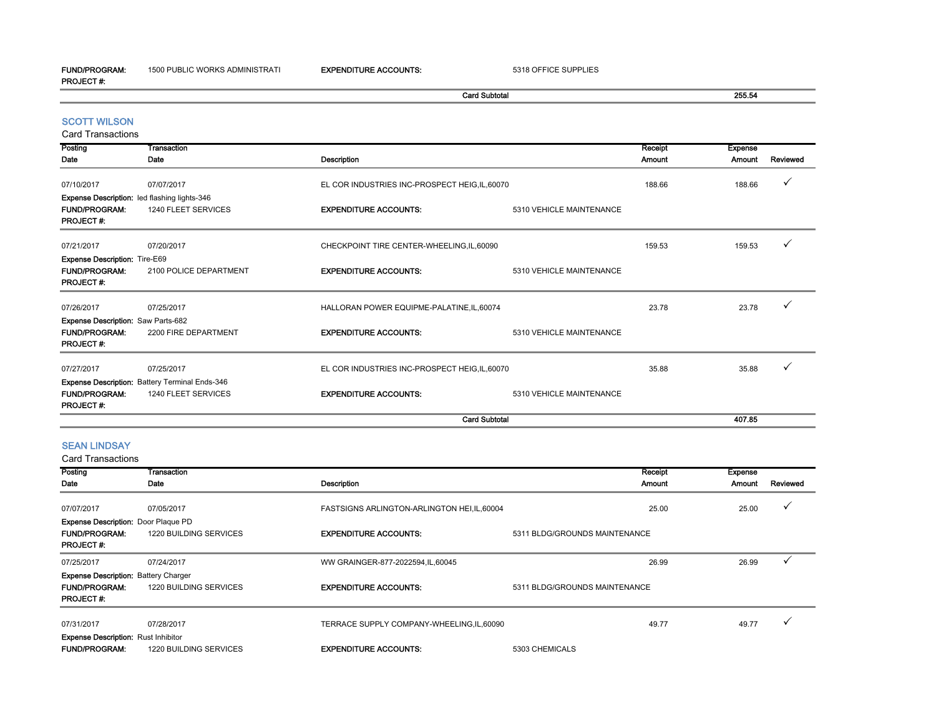1500 PUBLIC WORKS ADMINISTRATI **EXPENDITURE ACCOUNTS:** 5318 OFFICE SUPPLIES

|                                          |                                                     |                                                | <b>Card Subtotal</b>     |               | 255.54         |          |
|------------------------------------------|-----------------------------------------------------|------------------------------------------------|--------------------------|---------------|----------------|----------|
| <b>SCOTT WILSON</b>                      |                                                     |                                                |                          |               |                |          |
| <b>Card Transactions</b>                 |                                                     |                                                |                          |               |                |          |
| Posting                                  | Transaction                                         |                                                |                          | Receipt       | <b>Expense</b> |          |
| Date                                     | Date                                                | <b>Description</b>                             |                          | <b>Amount</b> | Amount         | Reviewed |
| 07/10/2017                               | 07/07/2017                                          | EL COR INDUSTRIES INC-PROSPECT HEIG, IL, 60070 |                          | 188.66        | 188.66         | ✓        |
|                                          | <b>Expense Description:</b> led flashing lights-346 |                                                |                          |               |                |          |
| <b>FUND/PROGRAM:</b><br><b>PROJECT#:</b> | 1240 FLEET SERVICES                                 | <b>EXPENDITURE ACCOUNTS:</b>                   | 5310 VEHICLE MAINTENANCE |               |                |          |
| 07/21/2017                               | 07/20/2017                                          | CHECKPOINT TIRE CENTER-WHEELING, IL, 60090     |                          | 159.53        | 159.53         |          |
| <b>Expense Description: Tire-E69</b>     |                                                     |                                                |                          |               |                |          |
| <b>FUND/PROGRAM:</b><br>PROJECT#:        | 2100 POLICE DEPARTMENT                              | <b>EXPENDITURE ACCOUNTS:</b>                   | 5310 VEHICLE MAINTENANCE |               |                |          |
| 07/26/2017                               | 07/25/2017                                          | HALLORAN POWER EQUIPME-PALATINE, IL, 60074     |                          | 23.78         | 23.78          |          |
| Expense Description: Saw Parts-682       |                                                     |                                                |                          |               |                |          |
| <b>FUND/PROGRAM:</b><br>PROJECT#:        | 2200 FIRE DEPARTMENT                                | <b>EXPENDITURE ACCOUNTS:</b>                   | 5310 VEHICLE MAINTENANCE |               |                |          |
| 07/27/2017                               | 07/25/2017                                          | EL COR INDUSTRIES INC-PROSPECT HEIG, IL, 60070 |                          | 35.88         | 35.88          |          |
|                                          | Expense Description: Battery Terminal Ends-346      |                                                |                          |               |                |          |
| <b>FUND/PROGRAM:</b><br>PROJECT#:        | 1240 FLEET SERVICES                                 | <b>EXPENDITURE ACCOUNTS:</b>                   | 5310 VEHICLE MAINTENANCE |               |                |          |
|                                          |                                                     |                                                | <b>Card Subtotal</b>     |               | 407.85         |          |

## SEAN LINDSAY

| Posting<br>Date                             | Transaction<br>Date           | Description                                  | Receipt<br><b>Amount</b>      | Expense<br>Amount | Reviewed |
|---------------------------------------------|-------------------------------|----------------------------------------------|-------------------------------|-------------------|----------|
|                                             |                               |                                              |                               |                   |          |
| 07/07/2017                                  | 07/05/2017                    | FASTSIGNS ARLINGTON-ARLINGTON HEI, IL, 60004 | 25.00                         | 25.00             |          |
| <b>Expense Description: Door Plaque PD</b>  |                               |                                              |                               |                   |          |
| <b>FUND/PROGRAM:</b><br><b>PROJECT#:</b>    | 1220 BUILDING SERVICES        | <b>EXPENDITURE ACCOUNTS:</b>                 | 5311 BLDG/GROUNDS MAINTENANCE |                   |          |
| 07/25/2017                                  | 07/24/2017                    | WW GRAINGER-877-2022594, IL, 60045           | 26.99                         | 26.99             |          |
| <b>Expense Description: Battery Charger</b> |                               |                                              |                               |                   |          |
| <b>FUND/PROGRAM:</b><br><b>PROJECT#:</b>    | 1220 BUILDING SERVICES        | <b>EXPENDITURE ACCOUNTS:</b>                 | 5311 BLDG/GROUNDS MAINTENANCE |                   |          |
| 07/31/2017                                  | 07/28/2017                    | TERRACE SUPPLY COMPANY-WHEELING, IL, 60090   | 49.77                         | 49.77             |          |
| <b>Expense Description: Rust Inhibitor</b>  |                               |                                              |                               |                   |          |
| <b>FUND/PROGRAM:</b>                        | <b>1220 BUILDING SERVICES</b> | <b>EXPENDITURE ACCOUNTS:</b>                 | 5303 CHEMICALS                |                   |          |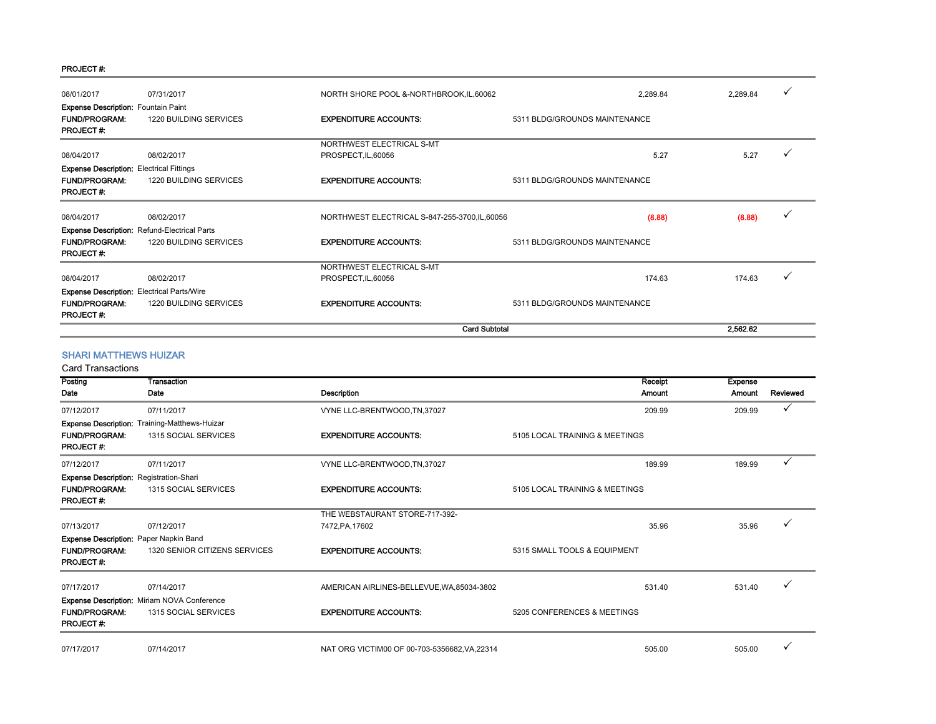#### PROJECT #:

| 08/01/2017                                        | 07/31/2017                                          | NORTH SHORE POOL &-NORTHBROOK, IL, 60062       | 2,289.84                      | 2,289.84 | ✓ |
|---------------------------------------------------|-----------------------------------------------------|------------------------------------------------|-------------------------------|----------|---|
| <b>Expense Description: Fountain Paint</b>        |                                                     |                                                |                               |          |   |
| <b>FUND/PROGRAM:</b>                              | 1220 BUILDING SERVICES                              | <b>EXPENDITURE ACCOUNTS:</b>                   | 5311 BLDG/GROUNDS MAINTENANCE |          |   |
| PROJECT#:                                         |                                                     |                                                |                               |          |   |
|                                                   |                                                     | NORTHWEST ELECTRICAL S-MT                      |                               |          |   |
| 08/04/2017                                        | 08/02/2017                                          | PROSPECT, IL, 60056                            | 5.27                          | 5.27     |   |
| <b>Expense Description: Electrical Fittings</b>   |                                                     |                                                |                               |          |   |
| <b>FUND/PROGRAM:</b>                              | 1220 BUILDING SERVICES                              | <b>EXPENDITURE ACCOUNTS:</b>                   | 5311 BLDG/GROUNDS MAINTENANCE |          |   |
| <b>PROJECT#:</b>                                  |                                                     |                                                |                               |          |   |
|                                                   |                                                     |                                                |                               |          | ✓ |
| 08/04/2017                                        | 08/02/2017                                          | NORTHWEST ELECTRICAL S-847-255-3700, IL, 60056 | (8.88)                        | (8.88)   |   |
|                                                   | <b>Expense Description: Refund-Electrical Parts</b> |                                                |                               |          |   |
| <b>FUND/PROGRAM:</b>                              | 1220 BUILDING SERVICES                              | <b>EXPENDITURE ACCOUNTS:</b>                   | 5311 BLDG/GROUNDS MAINTENANCE |          |   |
| <b>PROJECT#:</b>                                  |                                                     |                                                |                               |          |   |
|                                                   |                                                     | NORTHWEST ELECTRICAL S-MT                      |                               |          |   |
| 08/04/2017                                        | 08/02/2017                                          | PROSPECT, IL, 60056                            | 174.63                        | 174.63   |   |
| <b>Expense Description:</b> Electrical Parts/Wire |                                                     |                                                |                               |          |   |
| <b>FUND/PROGRAM:</b>                              | 1220 BUILDING SERVICES                              | <b>EXPENDITURE ACCOUNTS:</b>                   | 5311 BLDG/GROUNDS MAINTENANCE |          |   |
| <b>PROJECT#:</b>                                  |                                                     |                                                |                               |          |   |
|                                                   |                                                     | <b>Card Subtotal</b>                           |                               | 2,562.62 |   |

#### SHARI MATTHEWS HUIZAR

| Posting                                        | Transaction                                          |                                               | Receipt                        | <b>Expense</b> |          |
|------------------------------------------------|------------------------------------------------------|-----------------------------------------------|--------------------------------|----------------|----------|
| Date                                           | Date                                                 | Description                                   | <b>Amount</b>                  | Amount         | Reviewed |
| 07/12/2017                                     | 07/11/2017                                           | VYNE LLC-BRENTWOOD, TN, 37027                 | 209.99                         | 209.99         |          |
|                                                | <b>Expense Description: Training-Matthews-Huizar</b> |                                               |                                |                |          |
| <b>FUND/PROGRAM:</b><br><b>PROJECT#:</b>       | 1315 SOCIAL SERVICES                                 | <b>EXPENDITURE ACCOUNTS:</b>                  | 5105 LOCAL TRAINING & MEETINGS |                |          |
| 07/12/2017                                     | 07/11/2017                                           | VYNE LLC-BRENTWOOD, TN, 37027                 | 189.99                         | 189.99         |          |
| <b>Expense Description: Registration-Shari</b> |                                                      |                                               |                                |                |          |
| <b>FUND/PROGRAM:</b><br><b>PROJECT#:</b>       | 1315 SOCIAL SERVICES                                 | <b>EXPENDITURE ACCOUNTS:</b>                  | 5105 LOCAL TRAINING & MEETINGS |                |          |
|                                                |                                                      | THE WEBSTAURANT STORE-717-392-                |                                |                |          |
| 07/13/2017                                     | 07/12/2017                                           | 7472, PA, 17602                               | 35.96                          | 35.96          |          |
| Expense Description: Paper Napkin Band         |                                                      |                                               |                                |                |          |
| <b>FUND/PROGRAM:</b><br><b>PROJECT#:</b>       | 1320 SENIOR CITIZENS SERVICES                        | <b>EXPENDITURE ACCOUNTS:</b>                  | 5315 SMALL TOOLS & EQUIPMENT   |                |          |
| 07/17/2017                                     | 07/14/2017                                           | AMERICAN AIRLINES-BELLEVUE, WA, 85034-3802    | 531.40                         | 531.40         |          |
|                                                | Expense Description: Miriam NOVA Conference          |                                               |                                |                |          |
| <b>FUND/PROGRAM:</b><br><b>PROJECT#:</b>       | 1315 SOCIAL SERVICES                                 | <b>EXPENDITURE ACCOUNTS:</b>                  | 5205 CONFERENCES & MEETINGS    |                |          |
| 07/17/2017                                     | 07/14/2017                                           | NAT ORG VICTIM00 OF 00-703-5356682, VA, 22314 | 505.00                         | 505.00         |          |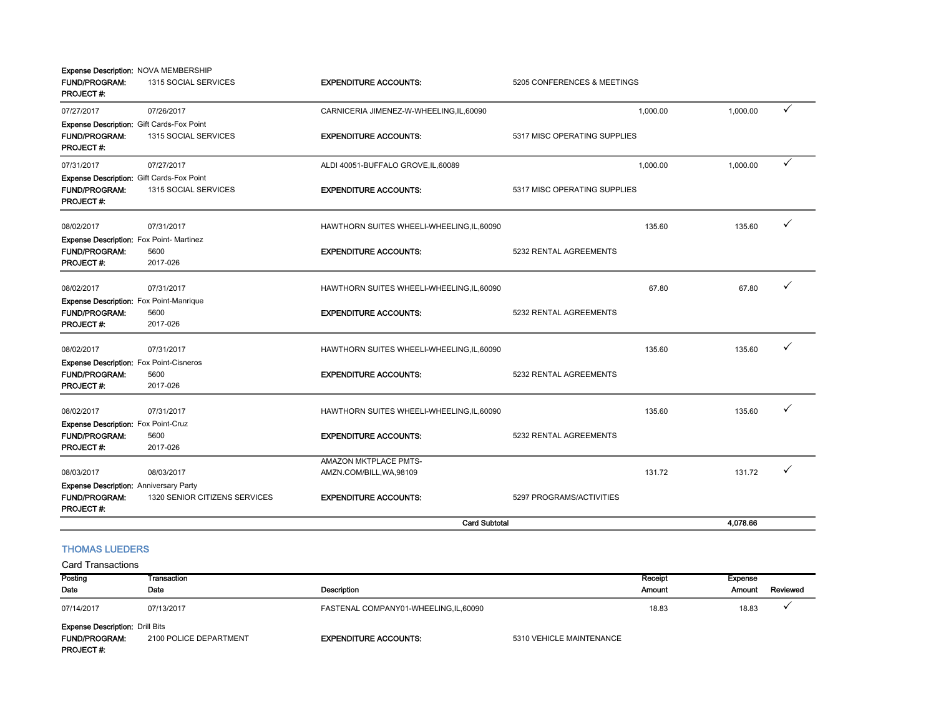|                                                                                       |                               | <b>Card Subtotal</b>                       |                              | 4,078.66 |   |
|---------------------------------------------------------------------------------------|-------------------------------|--------------------------------------------|------------------------------|----------|---|
| <b>Expense Description: Anniversary Party</b><br><b>FUND/PROGRAM:</b><br>PROJECT#:    | 1320 SENIOR CITIZENS SERVICES | <b>EXPENDITURE ACCOUNTS:</b>               | 5297 PROGRAMS/ACTIVITIES     |          |   |
| 08/03/2017                                                                            | 08/03/2017                    | AMZN.COM/BILL, WA, 98109                   | 131.72                       | 131.72   | ✓ |
|                                                                                       |                               | <b>AMAZON MKTPLACE PMTS-</b>               |                              |          |   |
| PROJECT#:                                                                             | 2017-026                      |                                            |                              |          |   |
| <b>FUND/PROGRAM:</b>                                                                  | 5600                          | <b>EXPENDITURE ACCOUNTS:</b>               | 5232 RENTAL AGREEMENTS       |          |   |
| <b>Expense Description: Fox Point-Cruz</b>                                            |                               |                                            |                              |          |   |
| 08/02/2017                                                                            | 07/31/2017                    | HAWTHORN SUITES WHEELI-WHEELING, IL, 60090 | 135.60                       | 135.60   | ✓ |
| <b>PROJECT#:</b>                                                                      | 2017-026                      |                                            |                              |          |   |
| <b>FUND/PROGRAM:</b>                                                                  | 5600                          | <b>EXPENDITURE ACCOUNTS:</b>               | 5232 RENTAL AGREEMENTS       |          |   |
| 08/02/2017<br><b>Expense Description:</b> Fox Point-Cisneros                          | 07/31/2017                    | HAWTHORN SUITES WHEELI-WHEELING, IL, 60090 | 135.60                       | 135.60   | ✓ |
|                                                                                       |                               |                                            |                              |          |   |
| <b>PROJECT#:</b>                                                                      | 2017-026                      |                                            |                              |          |   |
| <b>FUND/PROGRAM:</b>                                                                  | 5600                          | <b>EXPENDITURE ACCOUNTS:</b>               | 5232 RENTAL AGREEMENTS       |          |   |
| Expense Description: Fox Point-Manrique                                               |                               |                                            |                              |          |   |
| 08/02/2017                                                                            | 07/31/2017                    | HAWTHORN SUITES WHEELI-WHEELING, IL, 60090 | 67.80                        | 67.80    | ✓ |
| <b>FUND/PROGRAM:</b><br>PROJECT#:                                                     | 5600<br>2017-026              | <b>EXPENDITURE ACCOUNTS:</b>               | 5232 RENTAL AGREEMENTS       |          |   |
| Expense Description: Fox Point-Martinez                                               |                               |                                            |                              |          |   |
| 08/02/2017                                                                            | 07/31/2017                    | HAWTHORN SUITES WHEELI-WHEELING, IL, 60090 | 135.60                       | 135.60   | ✓ |
| PROJECT#:                                                                             |                               |                                            |                              |          |   |
| <b>FUND/PROGRAM:</b>                                                                  | 1315 SOCIAL SERVICES          | <b>EXPENDITURE ACCOUNTS:</b>               | 5317 MISC OPERATING SUPPLIES |          |   |
| <b>Expense Description: Gift Cards-Fox Point</b>                                      |                               |                                            |                              |          |   |
| 07/31/2017                                                                            | 07/27/2017                    | ALDI 40051-BUFFALO GROVE, IL, 60089        | 1,000.00                     | 1,000.00 | ✓ |
| Expense Description: Gift Cards-Fox Point<br><b>FUND/PROGRAM:</b><br><b>PROJECT#:</b> | 1315 SOCIAL SERVICES          | <b>EXPENDITURE ACCOUNTS:</b>               | 5317 MISC OPERATING SUPPLIES |          |   |
| 07/27/2017                                                                            | 07/26/2017                    | CARNICERIA JIMENEZ-W-WHEELING, IL, 60090   | 1,000.00                     | 1,000.00 | ✓ |
| <b>PROJECT#:</b>                                                                      |                               |                                            |                              |          |   |
| <b>FUND/PROGRAM:</b>                                                                  | 1315 SOCIAL SERVICES          | <b>EXPENDITURE ACCOUNTS:</b>               | 5205 CONFERENCES & MEETINGS  |          |   |
| Expense Description: NOVA MEMBERSHIP                                                  |                               |                                            |                              |          |   |

### THOMAS LUEDERS

| Posting                                | Transaction            |                                        |                          | Receipt | Expense       |          |
|----------------------------------------|------------------------|----------------------------------------|--------------------------|---------|---------------|----------|
| Date                                   | Date                   | <b>Description</b>                     |                          | Amount  | <b>Amount</b> | Reviewed |
| 07/14/2017                             | 07/13/2017             | FASTENAL COMPANY01-WHEELING, IL, 60090 |                          | 18.83   | 18.83         |          |
| <b>Expense Description: Drill Bits</b> |                        |                                        |                          |         |               |          |
| <b>FUND/PROGRAM:</b>                   | 2100 POLICE DEPARTMENT | <b>EXPENDITURE ACCOUNTS:</b>           | 5310 VEHICLE MAINTENANCE |         |               |          |
| <b>PROJECT#:</b>                       |                        |                                        |                          |         |               |          |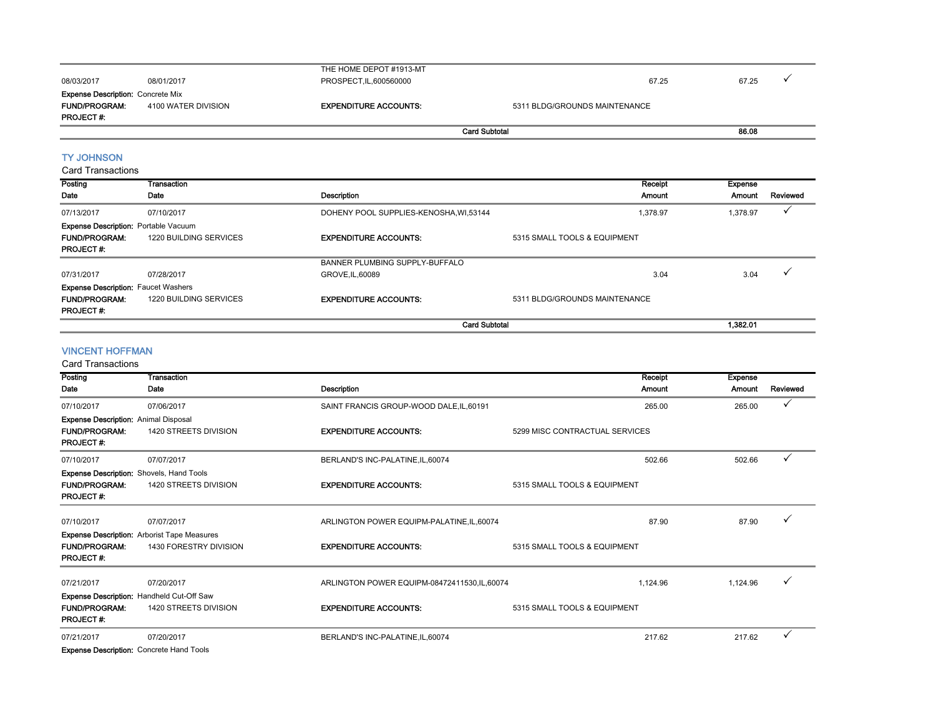|                                             |                                            | THE HOME DEPOT #1913-MT                |                               |               |                |          |
|---------------------------------------------|--------------------------------------------|----------------------------------------|-------------------------------|---------------|----------------|----------|
| 08/03/2017                                  | 08/01/2017                                 | PROSPECT, IL, 600560000                |                               | 67.25         | 67.25          | ✓        |
| <b>Expense Description: Concrete Mix</b>    |                                            |                                        |                               |               |                |          |
| <b>FUND/PROGRAM:</b>                        | 4100 WATER DIVISION                        | <b>EXPENDITURE ACCOUNTS:</b>           | 5311 BLDG/GROUNDS MAINTENANCE |               |                |          |
| <b>PROJECT#:</b>                            |                                            |                                        |                               |               |                |          |
|                                             |                                            |                                        | <b>Card Subtotal</b>          |               | 86.08          |          |
| <b>TY JOHNSON</b>                           |                                            |                                        |                               |               |                |          |
|                                             |                                            |                                        |                               |               |                |          |
| <b>Card Transactions</b>                    |                                            |                                        |                               |               |                |          |
| Posting                                     | Transaction                                |                                        |                               | Receipt       | <b>Expense</b> |          |
| Date                                        | Date                                       | Description                            |                               | <b>Amount</b> | Amount         | Reviewed |
| 07/13/2017                                  | 07/10/2017                                 | DOHENY POOL SUPPLIES-KENOSHA, WI,53144 |                               | 1,378.97      | 1,378.97       | ✓        |
| <b>Expense Description: Portable Vacuum</b> |                                            |                                        |                               |               |                |          |
| <b>FUND/PROGRAM:</b>                        | 1220 BUILDING SERVICES                     | <b>EXPENDITURE ACCOUNTS:</b>           | 5315 SMALL TOOLS & EQUIPMENT  |               |                |          |
| <b>PROJECT#:</b>                            |                                            |                                        |                               |               |                |          |
|                                             |                                            | BANNER PLUMBING SUPPLY-BUFFALO         |                               |               |                |          |
| 07/31/2017                                  | 07/28/2017                                 | GROVE, IL, 60089                       |                               | 3.04          | 3.04           |          |
|                                             | <b>Expense Description: Faucet Washers</b> |                                        |                               |               |                |          |

FUND/PROGRAM: 1220 BUILDING SERVICESEXPENDITURE ACCOUNTS: 5311 BLDG/GROUNDS MAINTENANCE PROJECT #:

## **Card Subtotal 1,382.01**

#### VINCENT HOFFMAN

Card Transactions

| Posting                                         | Transaction                                        |                                               | Receipt                        | <b>Expense</b> |              |
|-------------------------------------------------|----------------------------------------------------|-----------------------------------------------|--------------------------------|----------------|--------------|
| Date                                            | Date                                               | Description                                   | Amount                         | Amount         | Reviewed     |
| 07/10/2017                                      | 07/06/2017                                         | SAINT FRANCIS GROUP-WOOD DALE, IL, 60191      | 265.00                         | 265.00         |              |
| <b>Expense Description:</b> Animal Disposal     |                                                    |                                               |                                |                |              |
| <b>FUND/PROGRAM:</b><br><b>PROJECT#:</b>        | 1420 STREETS DIVISION                              | <b>EXPENDITURE ACCOUNTS:</b>                  | 5299 MISC CONTRACTUAL SERVICES |                |              |
| 07/10/2017                                      | 07/07/2017                                         | BERLAND'S INC-PALATINE, IL, 60074             | 502.66                         | 502.66         | $\checkmark$ |
| <b>Expense Description:</b> Shovels, Hand Tools |                                                    |                                               |                                |                |              |
| <b>FUND/PROGRAM:</b><br><b>PROJECT#:</b>        | 1420 STREETS DIVISION                              | <b>EXPENDITURE ACCOUNTS:</b>                  | 5315 SMALL TOOLS & EQUIPMENT   |                |              |
| 07/10/2017                                      | 07/07/2017                                         | ARLINGTON POWER EQUIPM-PALATINE, IL, 60074    | 87.90                          | 87.90          | $\checkmark$ |
|                                                 | <b>Expense Description:</b> Arborist Tape Measures |                                               |                                |                |              |
| <b>FUND/PROGRAM:</b><br>PROJECT#:               | 1430 FORESTRY DIVISION                             | <b>EXPENDITURE ACCOUNTS:</b>                  | 5315 SMALL TOOLS & EQUIPMENT   |                |              |
| 07/21/2017                                      | 07/20/2017                                         | ARLINGTON POWER EQUIPM-08472411530, IL, 60074 | 1,124.96                       | 1,124.96       |              |
|                                                 | Expense Description: Handheld Cut-Off Saw          |                                               |                                |                |              |
| <b>FUND/PROGRAM:</b><br><b>PROJECT#:</b>        | 1420 STREETS DIVISION                              | <b>EXPENDITURE ACCOUNTS:</b>                  | 5315 SMALL TOOLS & EQUIPMENT   |                |              |
| 07/21/2017                                      | 07/20/2017                                         | BERLAND'S INC-PALATINE, IL, 60074             | 217.62                         | 217.62         |              |
| Finance Beachetten, Oscenste Hand Teate         |                                                    |                                               |                                |                |              |

**Expense Description: Concrete Hand Tools**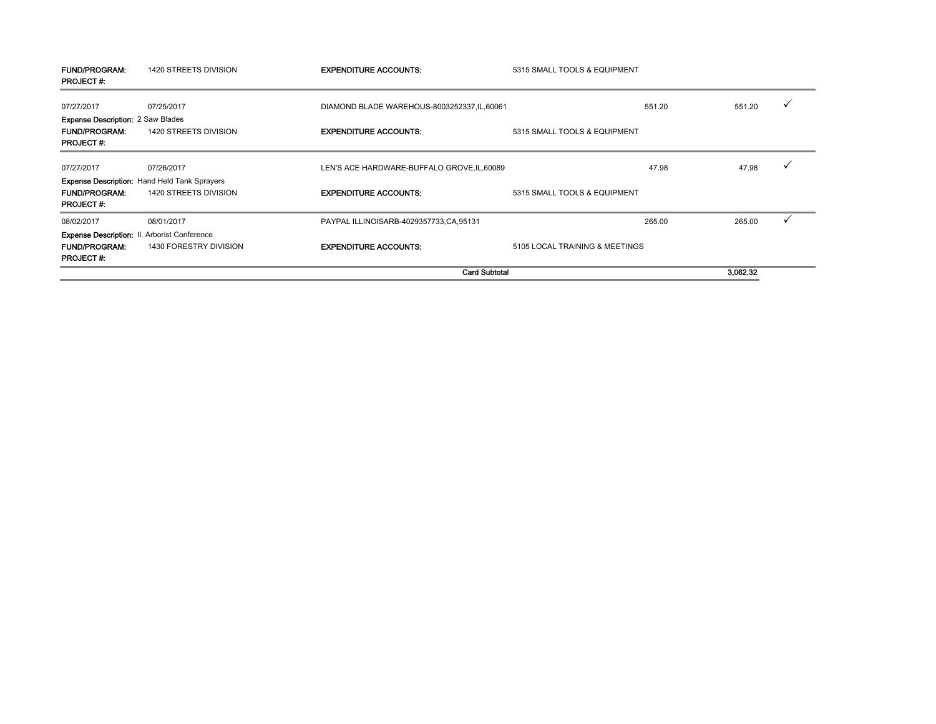| <b>FUND/PROGRAM:</b><br><b>PROJECT#:</b>                                             | 1420 STREETS DIVISION                                                         | <b>EXPENDITURE ACCOUNTS:</b>                 | 5315 SMALL TOOLS & EQUIPMENT   |             |
|--------------------------------------------------------------------------------------|-------------------------------------------------------------------------------|----------------------------------------------|--------------------------------|-------------|
| 07/27/2017                                                                           | 07/25/2017                                                                    | DIAMOND BLADE WAREHOUS-8003252337, IL, 60061 | 551.20                         | ✓<br>551.20 |
| <b>Expense Description: 2 Saw Blades</b><br><b>FUND/PROGRAM:</b><br><b>PROJECT#:</b> | 1420 STREETS DIVISION                                                         | <b>EXPENDITURE ACCOUNTS:</b>                 | 5315 SMALL TOOLS & EQUIPMENT   |             |
| 07/27/2017                                                                           | 07/26/2017                                                                    | LEN'S ACE HARDWARE-BUFFALO GROVE, IL, 60089  | 47.98                          | ✓<br>47.98  |
| <b>FUND/PROGRAM:</b><br><b>PROJECT#:</b>                                             | <b>Expense Description: Hand Held Tank Sprayers</b><br>1420 STREETS DIVISION  | <b>EXPENDITURE ACCOUNTS:</b>                 | 5315 SMALL TOOLS & EQUIPMENT   |             |
| 08/02/2017                                                                           | 08/01/2017                                                                    | PAYPAL ILLINOISARB-4029357733,CA,95131       | 265.00                         | 265.00      |
| <b>FUND/PROGRAM:</b><br><b>PROJECT#:</b>                                             | <b>Expense Description: II. Arborist Conference</b><br>1430 FORESTRY DIVISION | <b>EXPENDITURE ACCOUNTS:</b>                 | 5105 LOCAL TRAINING & MEETINGS |             |
|                                                                                      |                                                                               |                                              | <b>Card Subtotal</b>           | 3,062.32    |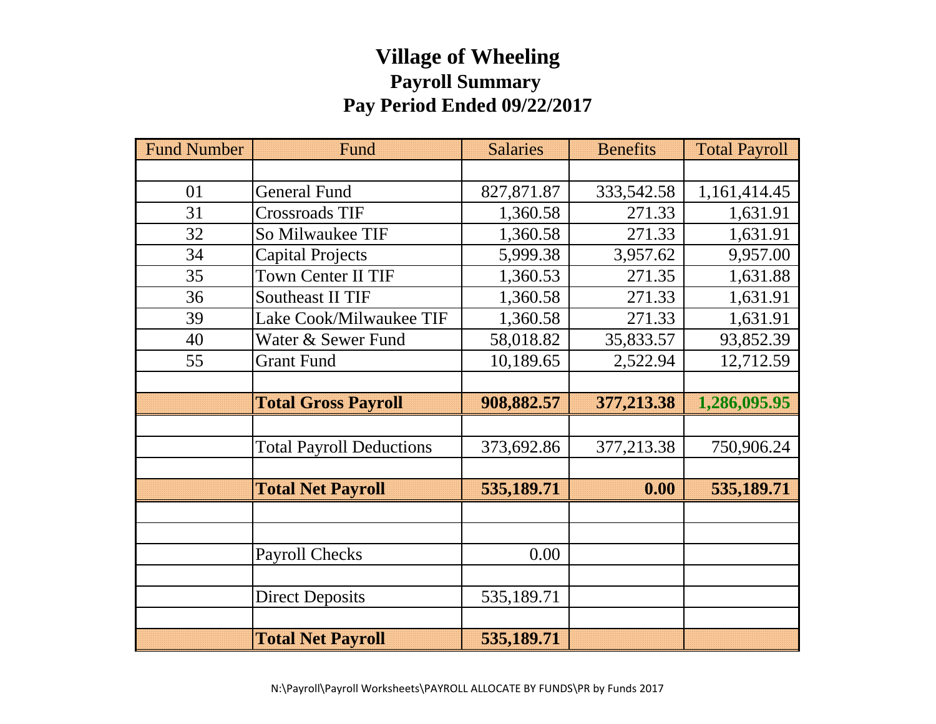# **Village of Wheeling Payroll Summary Pay Period Ended 09/22/2017**

| <b>Fund Number</b> | Fund                            | <b>Salaries</b> | <b>Benefits</b> | <b>Total Payroll</b> |
|--------------------|---------------------------------|-----------------|-----------------|----------------------|
|                    |                                 |                 |                 |                      |
| 01                 | <b>General Fund</b>             | 827,871.87      | 333,542.58      | 1,161,414.45         |
| 31                 | Crossroads TIF                  | 1,360.58        | 271.33          | 1,631.91             |
| 32                 | So Milwaukee TIF                | 1,360.58        | 271.33          | 1,631.91             |
| 34                 | <b>Capital Projects</b>         | 5,999.38        | 3,957.62        | 9,957.00             |
| 35                 | <b>Town Center II TIF</b>       | 1,360.53        | 271.35          | 1,631.88             |
| 36                 | Southeast II TIF                | 1,360.58        | 271.33          | 1,631.91             |
| 39                 | Lake Cook/Milwaukee TIF         | 1,360.58        | 271.33          | 1,631.91             |
| 40                 | Water & Sewer Fund              | 58,018.82       | 35,833.57       | 93,852.39            |
| 55                 | <b>Grant Fund</b>               | 10,189.65       | 2,522.94        | 12,712.59            |
|                    |                                 |                 |                 |                      |
|                    | <b>Total Gross Payroll</b>      | 908,882.57      | 377,213.38      | 1,286,095.95         |
|                    |                                 |                 |                 |                      |
|                    | <b>Total Payroll Deductions</b> | 373,692.86      | 377,213.38      | 750,906.24           |
|                    |                                 |                 |                 |                      |
|                    | <b>Total Net Payroll</b>        | 535,189.71      | 0.00            | 535,189.71           |
|                    |                                 |                 |                 |                      |
|                    |                                 |                 |                 |                      |
|                    | <b>Payroll Checks</b>           | 0.00            |                 |                      |
|                    |                                 |                 |                 |                      |
|                    | <b>Direct Deposits</b>          | 535,189.71      |                 |                      |
|                    |                                 |                 |                 |                      |
|                    | <b>Total Net Payroll</b>        | 535,189.71      |                 |                      |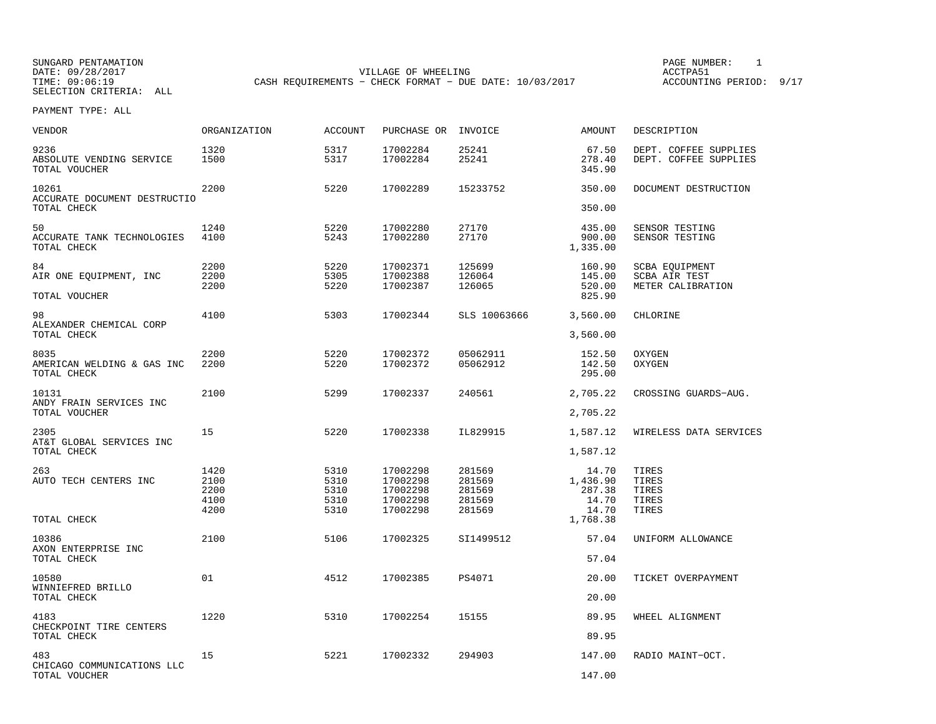| VENDOR                                               | ORGANIZATION                         | ACCOUNT                              | PURCHASE OR INVOICE                                      |                                                | AMOUNT                                                    | DESCRIPTION                                          |
|------------------------------------------------------|--------------------------------------|--------------------------------------|----------------------------------------------------------|------------------------------------------------|-----------------------------------------------------------|------------------------------------------------------|
| 9236<br>ABSOLUTE VENDING SERVICE<br>TOTAL VOUCHER    | 1320<br>1500                         | 5317<br>5317                         | 17002284<br>17002284                                     | 25241<br>25241                                 | 67.50<br>278.40<br>345.90                                 | DEPT. COFFEE SUPPLIES<br>DEPT. COFFEE SUPPLIES       |
| 10261<br>ACCURATE DOCUMENT DESTRUCTIO<br>TOTAL CHECK | 2200                                 | 5220                                 | 17002289                                                 | 15233752                                       | 350.00<br>350.00                                          | DOCUMENT DESTRUCTION                                 |
| 50<br>ACCURATE TANK TECHNOLOGIES<br>TOTAL CHECK      | 1240<br>4100                         | 5220<br>5243                         | 17002280<br>17002280                                     | 27170<br>27170                                 | 435.00<br>900.00<br>1,335.00                              | SENSOR TESTING<br>SENSOR TESTING                     |
| 84<br>AIR ONE EQUIPMENT, INC<br>TOTAL VOUCHER        | 2200<br>2200<br>2200                 | 5220<br>5305<br>5220                 | 17002371<br>17002388<br>17002387                         | 125699<br>126064<br>126065                     | 160.90<br>145.00<br>520.00<br>825.90                      | SCBA EQUIPMENT<br>SCBA AIR TEST<br>METER CALIBRATION |
| 98<br>ALEXANDER CHEMICAL CORP<br>TOTAL CHECK         | 4100                                 | 5303                                 | 17002344                                                 | SLS 10063666                                   | 3,560.00<br>3,560.00                                      | CHLORINE                                             |
| 8035<br>AMERICAN WELDING & GAS INC<br>TOTAL CHECK    | 2200<br>2200                         | 5220<br>5220                         | 17002372<br>17002372                                     | 05062911<br>05062912                           | 152.50<br>142.50<br>295.00                                | OXYGEN<br>OXYGEN                                     |
| 10131<br>ANDY FRAIN SERVICES INC<br>TOTAL VOUCHER    | 2100                                 | 5299                                 | 17002337                                                 | 240561                                         | 2,705.22<br>2,705.22                                      | CROSSING GUARDS-AUG.                                 |
| 2305<br>AT&T GLOBAL SERVICES INC<br>TOTAL CHECK      | 15                                   | 5220                                 | 17002338                                                 | IL829915                                       | 1,587.12<br>1,587.12                                      | WIRELESS DATA SERVICES                               |
| 263<br>AUTO TECH CENTERS INC<br>TOTAL CHECK          | 1420<br>2100<br>2200<br>4100<br>4200 | 5310<br>5310<br>5310<br>5310<br>5310 | 17002298<br>17002298<br>17002298<br>17002298<br>17002298 | 281569<br>281569<br>281569<br>281569<br>281569 | 14.70<br>1,436.90<br>287.38<br>14.70<br>14.70<br>1,768.38 | TIRES<br>TIRES<br>TIRES<br>TIRES<br>TIRES            |
| 10386<br>AXON ENTERPRISE INC<br>TOTAL CHECK          | 2100                                 | 5106                                 | 17002325                                                 | SI1499512                                      | 57.04<br>57.04                                            | UNIFORM ALLOWANCE                                    |
| 10580<br>WINNIEFRED BRILLO<br>TOTAL CHECK            | 01                                   | 4512                                 | 17002385                                                 | <b>PS4071</b>                                  | 20.00<br>20.00                                            | TICKET OVERPAYMENT                                   |
| 4183<br>CHECKPOINT TIRE CENTERS<br>TOTAL CHECK       | 1220                                 | 5310                                 | 17002254                                                 | 15155                                          | 89.95<br>89.95                                            | WHEEL ALIGNMENT                                      |
| 483<br>CHICAGO COMMUNICATIONS LLC<br>TOTAL VOUCHER   | 15                                   | 5221                                 | 17002332                                                 | 294903                                         | 147.00<br>147.00                                          | RADIO MAINT-OCT.                                     |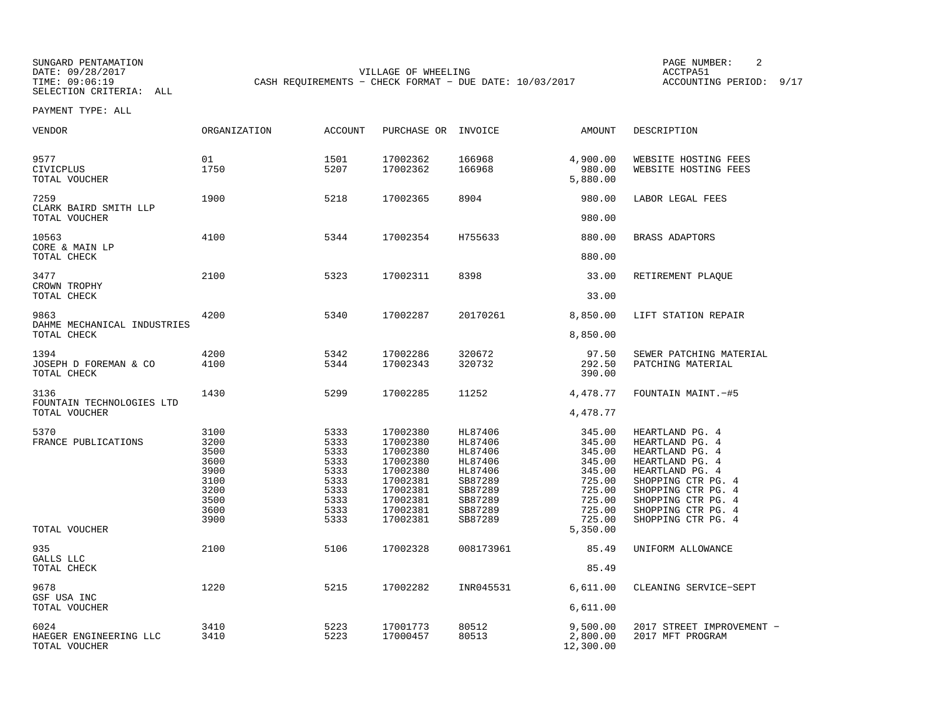SUNGARD PENTAMATION PAGE NUMBER: 2TIME: 09:06:19 CASH REQUIREMENTS - CHECK FORMAT - DUE DATE: 10/03/2017 SELECTION CRITERIA: ALL

VILLAGE OF WHEELING **ACCTPA51** ACCOUNTING PERIOD: 9/17

| <b>VENDOR</b>                                      | <b>ORGANIZATION</b>                                                          | <b>ACCOUNT</b>                                                               | PURCHASE OR                                                                                                          | INVOICE                                                                                                    | <b>AMOUNT</b>                                                                                    | DESCRIPTION                                                                                                                                                                                               |
|----------------------------------------------------|------------------------------------------------------------------------------|------------------------------------------------------------------------------|----------------------------------------------------------------------------------------------------------------------|------------------------------------------------------------------------------------------------------------|--------------------------------------------------------------------------------------------------|-----------------------------------------------------------------------------------------------------------------------------------------------------------------------------------------------------------|
| 9577<br>CIVICPLUS<br>TOTAL VOUCHER                 | 01<br>1750                                                                   | 1501<br>5207                                                                 | 17002362<br>17002362                                                                                                 | 166968<br>166968                                                                                           | 4,900.00<br>980.00<br>5,880.00                                                                   | WEBSITE HOSTING FEES<br>WEBSITE HOSTING FEES                                                                                                                                                              |
| 7259<br>CLARK BAIRD SMITH LLP<br>TOTAL VOUCHER     | 1900                                                                         | 5218                                                                         | 17002365                                                                                                             | 8904                                                                                                       | 980.00<br>980.00                                                                                 | LABOR LEGAL FEES                                                                                                                                                                                          |
| 10563<br>CORE & MAIN LP                            | 4100                                                                         | 5344                                                                         | 17002354                                                                                                             | H755633                                                                                                    | 880.00                                                                                           | BRASS ADAPTORS                                                                                                                                                                                            |
| TOTAL CHECK                                        |                                                                              |                                                                              |                                                                                                                      |                                                                                                            | 880.00                                                                                           |                                                                                                                                                                                                           |
| 3477<br>CROWN TROPHY                               | 2100                                                                         | 5323                                                                         | 17002311                                                                                                             | 8398                                                                                                       | 33.00                                                                                            | RETIREMENT PLAQUE                                                                                                                                                                                         |
| TOTAL CHECK                                        |                                                                              |                                                                              |                                                                                                                      |                                                                                                            | 33.00                                                                                            |                                                                                                                                                                                                           |
| 9863<br>DAHME MECHANICAL INDUSTRIES<br>TOTAL CHECK | 4200                                                                         | 5340                                                                         | 17002287                                                                                                             | 20170261                                                                                                   | 8,850.00<br>8,850.00                                                                             | LIFT STATION REPAIR                                                                                                                                                                                       |
|                                                    |                                                                              |                                                                              |                                                                                                                      |                                                                                                            |                                                                                                  |                                                                                                                                                                                                           |
| 1394<br>JOSEPH D FOREMAN & CO<br>TOTAL CHECK       | 4200<br>4100                                                                 | 5342<br>5344                                                                 | 17002286<br>17002343                                                                                                 | 320672<br>320732                                                                                           | 97.50<br>292.50<br>390.00                                                                        | SEWER PATCHING MATERIAL<br>PATCHING MATERIAL                                                                                                                                                              |
| 3136<br>FOUNTAIN TECHNOLOGIES LTD                  | 1430                                                                         | 5299                                                                         | 17002285                                                                                                             | 11252                                                                                                      | 4,478.77                                                                                         | FOUNTAIN MAINT. -#5                                                                                                                                                                                       |
| TOTAL VOUCHER                                      |                                                                              |                                                                              |                                                                                                                      |                                                                                                            | 4,478.77                                                                                         |                                                                                                                                                                                                           |
| 5370<br>FRANCE PUBLICATIONS                        | 3100<br>3200<br>3500<br>3600<br>3900<br>3100<br>3200<br>3500<br>3600<br>3900 | 5333<br>5333<br>5333<br>5333<br>5333<br>5333<br>5333<br>5333<br>5333<br>5333 | 17002380<br>17002380<br>17002380<br>17002380<br>17002380<br>17002381<br>17002381<br>17002381<br>17002381<br>17002381 | HL87406<br>HL87406<br>HL87406<br>HL87406<br>HL87406<br>SB87289<br>SB87289<br>SB87289<br>SB87289<br>SB87289 | 345.00<br>345.00<br>345.00<br>345.00<br>345.00<br>725.00<br>725.00<br>725.00<br>725.00<br>725.00 | HEARTLAND PG. 4<br>HEARTLAND PG. 4<br>HEARTLAND PG. 4<br>HEARTLAND PG. 4<br>HEARTLAND PG. 4<br>SHOPPING CTR PG. 4<br>SHOPPING CTR PG. 4<br>SHOPPING CTR PG. 4<br>SHOPPING CTR PG. 4<br>SHOPPING CTR PG. 4 |
| TOTAL VOUCHER                                      |                                                                              |                                                                              |                                                                                                                      |                                                                                                            | 5,350.00                                                                                         |                                                                                                                                                                                                           |
| 935<br>GALLS LLC<br>TOTAL CHECK                    | 2100                                                                         | 5106                                                                         | 17002328                                                                                                             | 008173961                                                                                                  | 85.49<br>85.49                                                                                   | UNIFORM ALLOWANCE                                                                                                                                                                                         |
| 9678<br>GSF USA INC<br>TOTAL VOUCHER               | 1220                                                                         | 5215                                                                         | 17002282                                                                                                             | INR045531                                                                                                  | 6,611.00<br>6,611.00                                                                             | CLEANING SERVICE-SEPT                                                                                                                                                                                     |
| 6024<br>HAEGER ENGINEERING LLC<br>TOTAL VOUCHER    | 3410<br>3410                                                                 | 5223<br>5223                                                                 | 17001773<br>17000457                                                                                                 | 80512<br>80513                                                                                             | 9,500.00<br>2,800.00<br>12,300.00                                                                | 2017 STREET IMPROVEMENT -<br>2017 MFT PROGRAM                                                                                                                                                             |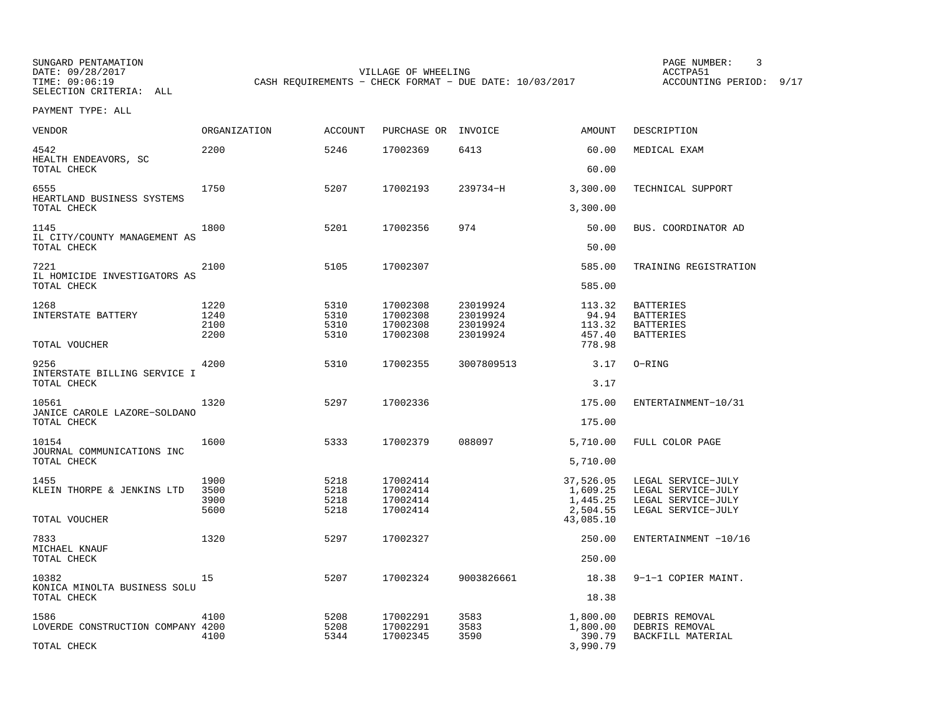SUNGARD PENTAMATION PAGE NUMBER: 3SELECTION CRITERIA: ALL

DATE: 09/28/2017 VILLAGE OF WHEELING ACCTPA51CASH REQUIREMENTS - CHECK FORMAT - DUE DATE: 10/03/2017

ACCOUNTING PERIOD: 9/17

| <b>VENDOR</b>                                        | ORGANIZATION                 | <b>ACCOUNT</b>               | PURCHASE OR                                  | INVOICE                                      | <b>AMOUNT</b>                                              | DESCRIPTION                                                                          |
|------------------------------------------------------|------------------------------|------------------------------|----------------------------------------------|----------------------------------------------|------------------------------------------------------------|--------------------------------------------------------------------------------------|
| 4542<br>HEALTH ENDEAVORS, SC<br>TOTAL CHECK          | 2200                         | 5246                         | 17002369                                     | 6413                                         | 60.00<br>60.00                                             | MEDICAL EXAM                                                                         |
|                                                      |                              |                              |                                              |                                              |                                                            |                                                                                      |
| 6555<br>HEARTLAND BUSINESS SYSTEMS<br>TOTAL CHECK    | 1750                         | 5207                         | 17002193                                     | 239734-H                                     | 3,300.00<br>3,300.00                                       | TECHNICAL SUPPORT                                                                    |
| 1145                                                 | 1800                         | 5201                         | 17002356                                     | 974                                          | 50.00                                                      | BUS. COORDINATOR AD                                                                  |
| IL CITY/COUNTY MANAGEMENT AS<br>TOTAL CHECK          |                              |                              |                                              |                                              | 50.00                                                      |                                                                                      |
| 7221<br>IL HOMICIDE INVESTIGATORS AS                 | 2100                         | 5105                         | 17002307                                     |                                              | 585.00                                                     | TRAINING REGISTRATION                                                                |
| TOTAL CHECK                                          |                              |                              |                                              |                                              | 585.00                                                     |                                                                                      |
| 1268<br>INTERSTATE BATTERY<br>TOTAL VOUCHER          | 1220<br>1240<br>2100<br>2200 | 5310<br>5310<br>5310<br>5310 | 17002308<br>17002308<br>17002308<br>17002308 | 23019924<br>23019924<br>23019924<br>23019924 | 113.32<br>94.94<br>113.32<br>457.40<br>778.98              | <b>BATTERIES</b><br><b>BATTERIES</b><br><b>BATTERIES</b><br><b>BATTERIES</b>         |
| 9256<br>INTERSTATE BILLING SERVICE I<br>TOTAL CHECK  | 4200                         | 5310                         | 17002355                                     | 3007809513                                   | 3.17<br>3.17                                               | O-RING                                                                               |
| 10561<br>JANICE CAROLE LAZORE-SOLDANO<br>TOTAL CHECK | 1320                         | 5297                         | 17002336                                     |                                              | 175.00<br>175.00                                           | ENTERTAINMENT-10/31                                                                  |
| 10154<br>JOURNAL COMMUNICATIONS INC<br>TOTAL CHECK   | 1600                         | 5333                         | 17002379                                     | 088097                                       | 5,710.00<br>5,710.00                                       | FULL COLOR PAGE                                                                      |
| 1455<br>KLEIN THORPE & JENKINS LTD<br>TOTAL VOUCHER  | 1900<br>3500<br>3900<br>5600 | 5218<br>5218<br>5218<br>5218 | 17002414<br>17002414<br>17002414<br>17002414 |                                              | 37,526.05<br>1,609.25<br>1,445.25<br>2,504.55<br>43,085.10 | LEGAL SERVICE-JULY<br>LEGAL SERVICE-JULY<br>LEGAL SERVICE-JULY<br>LEGAL SERVICE-JULY |
| 7833<br>MICHAEL KNAUF<br>TOTAL CHECK                 | 1320                         | 5297                         | 17002327                                     |                                              | 250.00<br>250.00                                           | ENTERTAINMENT -10/16                                                                 |
|                                                      |                              |                              |                                              |                                              |                                                            |                                                                                      |
| 10382<br>KONICA MINOLTA BUSINESS SOLU<br>TOTAL CHECK | 15                           | 5207                         | 17002324                                     | 9003826661                                   | 18.38<br>18.38                                             | 9-1-1 COPIER MAINT.                                                                  |
|                                                      |                              |                              |                                              |                                              |                                                            |                                                                                      |
| 1586<br>LOVERDE CONSTRUCTION COMPANY 4200            | 4100<br>4100                 | 5208<br>5208<br>5344         | 17002291<br>17002291<br>17002345             | 3583<br>3583<br>3590                         | 1,800.00<br>1,800.00<br>390.79                             | DEBRIS REMOVAL<br>DEBRIS REMOVAL<br>BACKFILL MATERIAL                                |
| TOTAL CHECK                                          |                              |                              |                                              |                                              | 3,990.79                                                   |                                                                                      |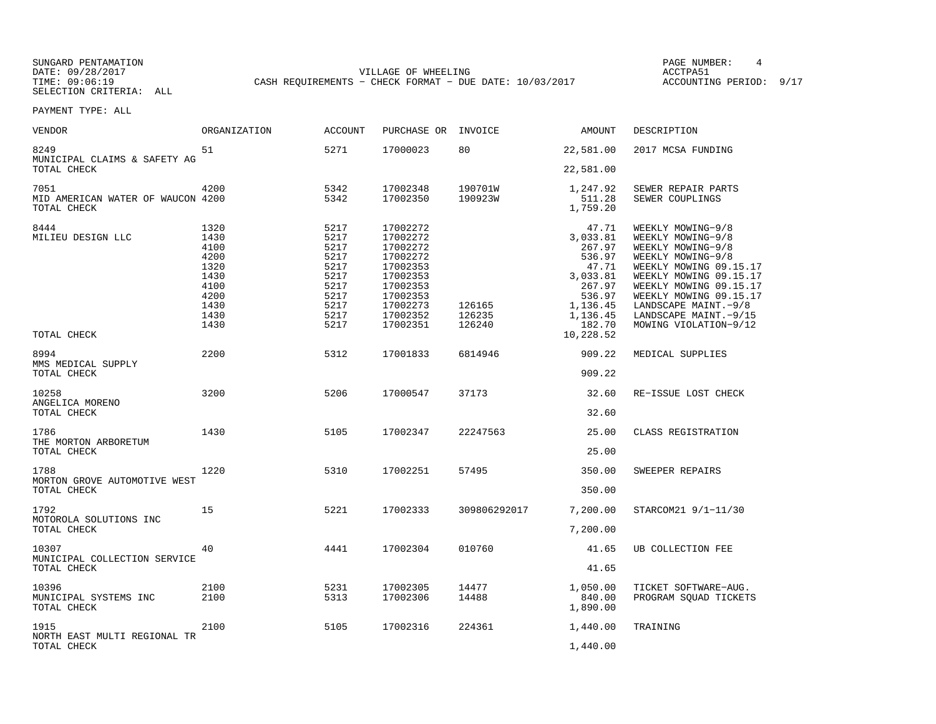SUNGARD PENTAMATION PAGE NUMBER: 4DATE: 09/28/2017 VILLAGE OF WHEELING ACCTPA51CASH REQUIREMENTS - CHECK FORMAT - DUE DATE: 10/03/2017

ACCOUNTING PERIOD: 9/17

| <b>VENDOR</b>                                            | <b>ORGANIZATION</b>                                                                  | <b>ACCOUNT</b>                                                                       | PURCHASE OR                                                                                                                      | INVOICE                    | AMOUNT                                                                                                                        | DESCRIPTION                                                                                                                                                                                                                                                            |
|----------------------------------------------------------|--------------------------------------------------------------------------------------|--------------------------------------------------------------------------------------|----------------------------------------------------------------------------------------------------------------------------------|----------------------------|-------------------------------------------------------------------------------------------------------------------------------|------------------------------------------------------------------------------------------------------------------------------------------------------------------------------------------------------------------------------------------------------------------------|
| 8249<br>MUNICIPAL CLAIMS & SAFETY AG<br>TOTAL CHECK      | 51                                                                                   | 5271                                                                                 | 17000023                                                                                                                         | 80                         | 22,581.00<br>22,581.00                                                                                                        | 2017 MCSA FUNDING                                                                                                                                                                                                                                                      |
|                                                          |                                                                                      |                                                                                      |                                                                                                                                  |                            |                                                                                                                               |                                                                                                                                                                                                                                                                        |
| 7051<br>MID AMERICAN WATER OF WAUCON 4200<br>TOTAL CHECK | 4200                                                                                 | 5342<br>5342                                                                         | 17002348<br>17002350                                                                                                             | 190701W<br>190923W         | 1,247.92<br>511.28<br>1,759.20                                                                                                | SEWER REPAIR PARTS<br>SEWER COUPLINGS                                                                                                                                                                                                                                  |
| 8444<br>MILIEU DESIGN LLC<br>TOTAL CHECK                 | 1320<br>1430<br>4100<br>4200<br>1320<br>1430<br>4100<br>4200<br>1430<br>1430<br>1430 | 5217<br>5217<br>5217<br>5217<br>5217<br>5217<br>5217<br>5217<br>5217<br>5217<br>5217 | 17002272<br>17002272<br>17002272<br>17002272<br>17002353<br>17002353<br>17002353<br>17002353<br>17002273<br>17002352<br>17002351 | 126165<br>126235<br>126240 | 47.71<br>3,033.81<br>267.97<br>536.97<br>47.71<br>3,033.81<br>267.97<br>536.97<br>1,136.45<br>1,136.45<br>182.70<br>10,228.52 | WEEKLY MOWING-9/8<br>WEEKLY MOWING-9/8<br>WEEKLY MOWING-9/8<br>WEEKLY MOWING-9/8<br>WEEKLY MOWING 09.15.17<br>WEEKLY MOWING 09.15.17<br>WEEKLY MOWING 09.15.17<br>WEEKLY MOWING 09.15.17<br>LANDSCAPE MAINT. - 9/8<br>LANDSCAPE MAINT. - 9/15<br>MOWING VIOLATION-9/12 |
| 8994<br>MMS MEDICAL SUPPLY<br>TOTAL CHECK                | 2200                                                                                 | 5312                                                                                 | 17001833                                                                                                                         | 6814946                    | 909.22<br>909.22                                                                                                              | MEDICAL SUPPLIES                                                                                                                                                                                                                                                       |
| 10258<br>ANGELICA MORENO<br>TOTAL CHECK                  | 3200                                                                                 | 5206                                                                                 | 17000547                                                                                                                         | 37173                      | 32.60<br>32.60                                                                                                                | RE-ISSUE LOST CHECK                                                                                                                                                                                                                                                    |
| 1786<br>THE MORTON ARBORETUM<br>TOTAL CHECK              | 1430                                                                                 | 5105                                                                                 | 17002347                                                                                                                         | 22247563                   | 25.00<br>25.00                                                                                                                | CLASS REGISTRATION                                                                                                                                                                                                                                                     |
| 1788<br>MORTON GROVE AUTOMOTIVE WEST<br>TOTAL CHECK      | 1220                                                                                 | 5310                                                                                 | 17002251                                                                                                                         | 57495                      | 350.00<br>350.00                                                                                                              | SWEEPER REPAIRS                                                                                                                                                                                                                                                        |
| 1792<br>MOTOROLA SOLUTIONS INC<br>TOTAL CHECK            | 15                                                                                   | 5221                                                                                 | 17002333                                                                                                                         | 309806292017               | 7,200.00<br>7,200.00                                                                                                          | STARCOM21 9/1-11/30                                                                                                                                                                                                                                                    |
| 10307<br>MUNICIPAL COLLECTION SERVICE<br>TOTAL CHECK     | 40                                                                                   | 4441                                                                                 | 17002304                                                                                                                         | 010760                     | 41.65<br>41.65                                                                                                                | UB COLLECTION FEE                                                                                                                                                                                                                                                      |
| 10396<br>MUNICIPAL SYSTEMS INC<br>TOTAL CHECK            | 2100<br>2100                                                                         | 5231<br>5313                                                                         | 17002305<br>17002306                                                                                                             | 14477<br>14488             | 1,050.00<br>840.00<br>1,890.00                                                                                                | TICKET SOFTWARE-AUG.<br>PROGRAM SQUAD TICKETS                                                                                                                                                                                                                          |
| 1915<br>NORTH EAST MULTI REGIONAL TR<br>TOTAL CHECK      | 2100                                                                                 | 5105                                                                                 | 17002316                                                                                                                         | 224361                     | 1,440.00<br>1,440.00                                                                                                          | TRAINING                                                                                                                                                                                                                                                               |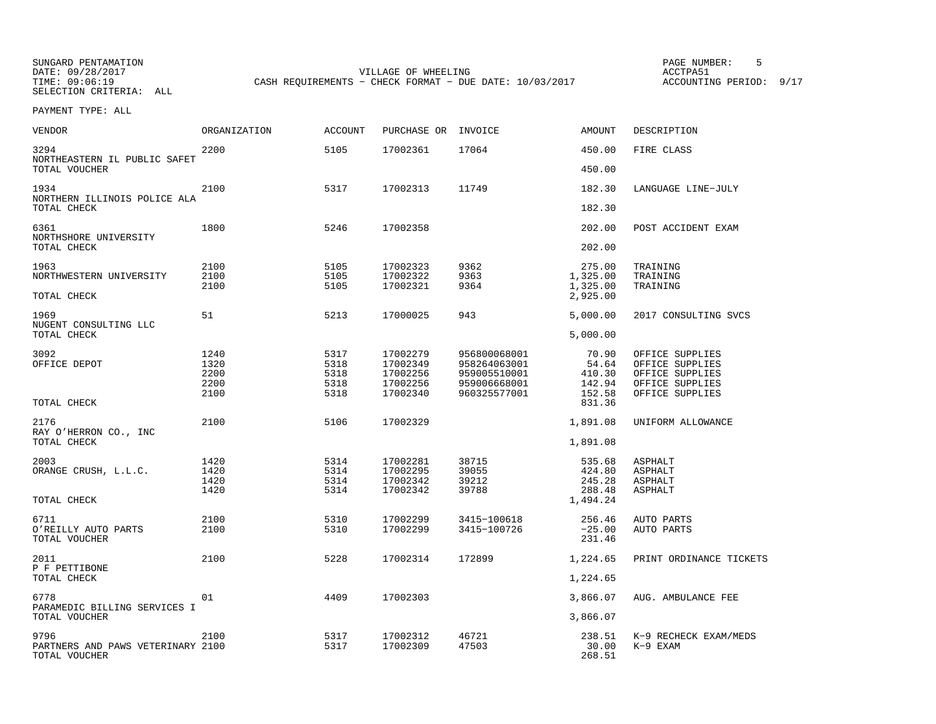| VENDOR                                             | ORGANIZATION | <b>ACCOUNT</b> | PURCHASE OR          | INVOICE      | AMOUNT               | DESCRIPTION             |
|----------------------------------------------------|--------------|----------------|----------------------|--------------|----------------------|-------------------------|
| 3294<br>NORTHEASTERN IL PUBLIC SAFET               | 2200         | 5105           | 17002361             | 17064        | 450.00               | FIRE CLASS              |
| TOTAL VOUCHER                                      |              |                |                      |              | 450.00               |                         |
| 1934<br>NORTHERN ILLINOIS POLICE ALA               | 2100         | 5317           | 17002313             | 11749        | 182.30               | LANGUAGE LINE-JULY      |
| TOTAL CHECK                                        |              |                |                      |              | 182.30               |                         |
| 6361<br>NORTHSHORE UNIVERSITY                      | 1800         | 5246           | 17002358             |              | 202.00               | POST ACCIDENT EXAM      |
| TOTAL CHECK                                        |              |                |                      |              | 202.00               |                         |
| 1963                                               | 2100         | 5105           | 17002323             | 9362         | 275.00               | TRAINING                |
| NORTHWESTERN UNIVERSITY                            | 2100<br>2100 | 5105<br>5105   | 17002322<br>17002321 | 9363<br>9364 | 1,325.00<br>1,325.00 | TRAINING<br>TRAINING    |
| TOTAL CHECK                                        |              |                |                      |              | 2,925.00             |                         |
| 1969<br>NUGENT CONSULTING LLC                      | 51           | 5213           | 17000025             | 943          | 5,000.00             | 2017 CONSULTING SVCS    |
| TOTAL CHECK                                        |              |                |                      |              | 5,000.00             |                         |
| 3092                                               | 1240         | 5317           | 17002279             | 956800068001 | 70.90                | OFFICE SUPPLIES         |
| OFFICE DEPOT                                       | 1320         | 5318           | 17002349             | 958264063001 | 54.64                | OFFICE SUPPLIES         |
|                                                    | 2200         | 5318           | 17002256             | 959005510001 | 410.30               | OFFICE SUPPLIES         |
|                                                    | 2200         | 5318           | 17002256             | 959006668001 | 142.94               | OFFICE SUPPLIES         |
| TOTAL CHECK                                        | 2100         | 5318           | 17002340             | 960325577001 | 152.58<br>831.36     | OFFICE SUPPLIES         |
| 2176                                               | 2100         | 5106           | 17002329             |              | 1,891.08             | UNIFORM ALLOWANCE       |
| RAY O'HERRON CO., INC                              |              |                |                      |              |                      |                         |
| TOTAL CHECK                                        |              |                |                      |              | 1,891.08             |                         |
| 2003                                               | 1420         | 5314           | 17002281             | 38715        | 535.68               | ASPHALT                 |
| ORANGE CRUSH, L.L.C.                               | 1420         | 5314           | 17002295             | 39055        | 424.80               | ASPHALT                 |
|                                                    | 1420         | 5314           | 17002342             | 39212        | 245.28               | ASPHALT                 |
|                                                    | 1420         | 5314           | 17002342             | 39788        | 288.48               | <b>ASPHALT</b>          |
| TOTAL CHECK                                        |              |                |                      |              | 1,494.24             |                         |
| 6711                                               | 2100         | 5310           | 17002299             | 3415-100618  | 256.46               | AUTO PARTS              |
| O'REILLY AUTO PARTS<br>TOTAL VOUCHER               | 2100         | 5310           | 17002299             | 3415-100726  | $-25.00$<br>231.46   | AUTO PARTS              |
| 2011<br>P F PETTIBONE                              | 2100         | 5228           | 17002314             | 172899       | 1,224.65             | PRINT ORDINANCE TICKETS |
| TOTAL CHECK                                        |              |                |                      |              | 1,224.65             |                         |
| 6778<br>PARAMEDIC BILLING SERVICES I               | 01           | 4409           | 17002303             |              | 3,866.07             | AUG. AMBULANCE FEE      |
| TOTAL VOUCHER                                      |              |                |                      |              | 3,866.07             |                         |
| 9796                                               | 2100         | 5317           | 17002312             | 46721        | 238.51               | K-9 RECHECK EXAM/MEDS   |
| PARTNERS AND PAWS VETERINARY 2100<br>TOTAL VOUCHER |              | 5317           | 17002309             | 47503        | 30.00<br>268.51      | $K-9$ EXAM              |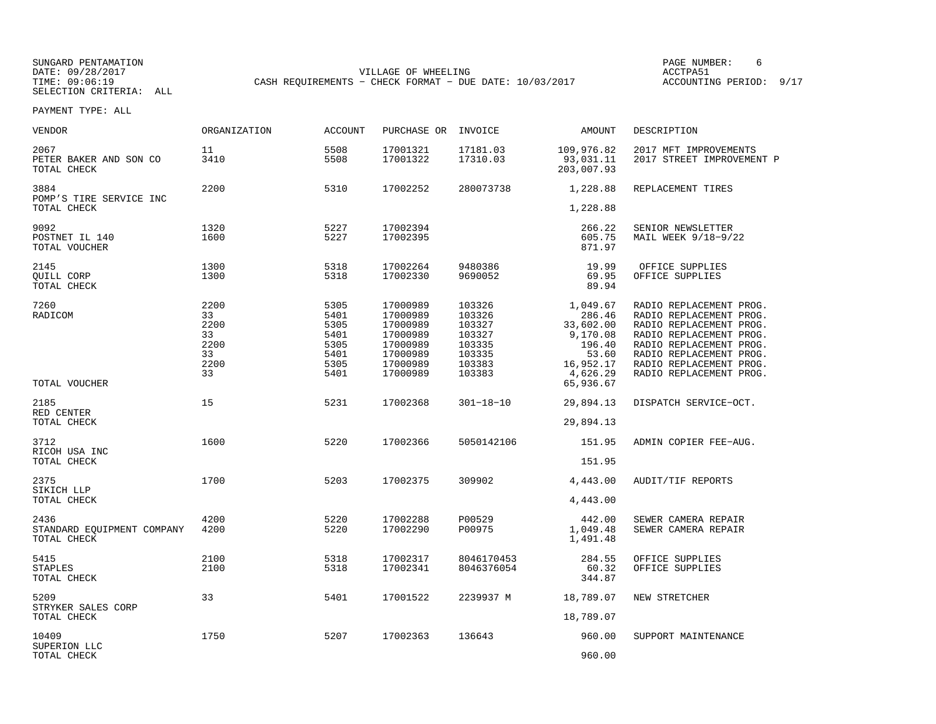SUNGARD PENTAMATION PAGE NUMBER: 6DATE: 09/28/2017 VILLAGE OF WHEELING ACCTPA51CASH REQUIREMENTS - CHECK FORMAT - DUE DATE: 10/03/2017

ACCOUNTING PERIOD: 9/17

| VENDOR                                            | ORGANIZATION                                         | <b>ACCOUNT</b>                                               | PURCHASE OR                                                                                  | INVOICE                                                                      | AMOUNT                                                                                  | DESCRIPTION                                                                                                                                                                                                          |
|---------------------------------------------------|------------------------------------------------------|--------------------------------------------------------------|----------------------------------------------------------------------------------------------|------------------------------------------------------------------------------|-----------------------------------------------------------------------------------------|----------------------------------------------------------------------------------------------------------------------------------------------------------------------------------------------------------------------|
| 2067<br>PETER BAKER AND SON CO<br>TOTAL CHECK     | 11<br>3410                                           | 5508<br>5508                                                 | 17001321<br>17001322                                                                         | 17181.03<br>17310.03                                                         | 109,976.82<br>93,031.11<br>203,007.93                                                   | 2017 MFT IMPROVEMENTS<br>2017 STREET IMPROVEMENT P                                                                                                                                                                   |
| 3884<br>POMP'S TIRE SERVICE INC<br>TOTAL CHECK    | 2200                                                 | 5310                                                         | 17002252                                                                                     | 280073738                                                                    | 1,228.88<br>1,228.88                                                                    | REPLACEMENT TIRES                                                                                                                                                                                                    |
|                                                   |                                                      |                                                              |                                                                                              |                                                                              |                                                                                         |                                                                                                                                                                                                                      |
| 9092<br>POSTNET IL 140<br>TOTAL VOUCHER           | 1320<br>1600                                         | 5227<br>5227                                                 | 17002394<br>17002395                                                                         |                                                                              | 266.22<br>605.75<br>871.97                                                              | SENIOR NEWSLETTER<br>MAIL WEEK 9/18-9/22                                                                                                                                                                             |
| 2145<br>QUILL CORP<br>TOTAL CHECK                 | 1300<br>1300                                         | 5318<br>5318                                                 | 17002264<br>17002330                                                                         | 9480386<br>9690052                                                           | 19.99<br>69.95<br>89.94                                                                 | OFFICE SUPPLIES<br>OFFICE SUPPLIES                                                                                                                                                                                   |
| 7260<br>RADICOM                                   | 2200<br>33<br>2200<br>33<br>2200<br>33<br>2200<br>33 | 5305<br>5401<br>5305<br>5401<br>5305<br>5401<br>5305<br>5401 | 17000989<br>17000989<br>17000989<br>17000989<br>17000989<br>17000989<br>17000989<br>17000989 | 103326<br>103326<br>103327<br>103327<br>103335<br>103335<br>103383<br>103383 | 1,049.67<br>286.46<br>33,602.00<br>9,170.08<br>196.40<br>53.60<br>16,952.17<br>4,626.29 | RADIO REPLACEMENT PROG.<br>RADIO REPLACEMENT PROG.<br>RADIO REPLACEMENT PROG.<br>RADIO REPLACEMENT PROG.<br>RADIO REPLACEMENT PROG.<br>RADIO REPLACEMENT PROG.<br>RADIO REPLACEMENT PROG.<br>RADIO REPLACEMENT PROG. |
| TOTAL VOUCHER                                     |                                                      |                                                              |                                                                                              |                                                                              | 65,936.67                                                                               |                                                                                                                                                                                                                      |
| 2185<br>RED CENTER                                | 15                                                   | 5231                                                         | 17002368                                                                                     | $301 - 18 - 10$                                                              | 29,894.13                                                                               | DISPATCH SERVICE-OCT.                                                                                                                                                                                                |
| TOTAL CHECK                                       |                                                      |                                                              |                                                                                              |                                                                              | 29,894.13                                                                               |                                                                                                                                                                                                                      |
| 3712<br>RICOH USA INC                             | 1600                                                 | 5220                                                         | 17002366                                                                                     | 5050142106                                                                   | 151.95                                                                                  | ADMIN COPIER FEE-AUG.                                                                                                                                                                                                |
| TOTAL CHECK                                       |                                                      |                                                              |                                                                                              |                                                                              | 151.95                                                                                  |                                                                                                                                                                                                                      |
| 2375<br>SIKICH LLP                                | 1700                                                 | 5203                                                         | 17002375                                                                                     | 309902                                                                       | 4,443.00                                                                                | <b>AUDIT/TIF REPORTS</b>                                                                                                                                                                                             |
| TOTAL CHECK                                       |                                                      |                                                              |                                                                                              |                                                                              | 4,443.00                                                                                |                                                                                                                                                                                                                      |
| 2436<br>STANDARD EQUIPMENT COMPANY<br>TOTAL CHECK | 4200<br>4200                                         | 5220<br>5220                                                 | 17002288<br>17002290                                                                         | P00529<br>P00975                                                             | 442.00<br>1,049.48<br>1,491.48                                                          | SEWER CAMERA REPAIR<br>SEWER CAMERA REPAIR                                                                                                                                                                           |
| 5415<br><b>STAPLES</b><br>TOTAL CHECK             | 2100<br>2100                                         | 5318<br>5318                                                 | 17002317<br>17002341                                                                         | 8046170453<br>8046376054                                                     | 284.55<br>60.32<br>344.87                                                               | OFFICE SUPPLIES<br>OFFICE SUPPLIES                                                                                                                                                                                   |
| 5209                                              | 33                                                   | 5401                                                         | 17001522                                                                                     | 2239937 M                                                                    | 18,789.07                                                                               | NEW STRETCHER                                                                                                                                                                                                        |
| STRYKER SALES CORP<br>TOTAL CHECK                 |                                                      |                                                              |                                                                                              |                                                                              | 18,789.07                                                                               |                                                                                                                                                                                                                      |
| 10409<br>SUPERION LLC                             | 1750                                                 | 5207                                                         | 17002363                                                                                     | 136643                                                                       | 960.00                                                                                  | SUPPORT MAINTENANCE                                                                                                                                                                                                  |
| TOTAL CHECK                                       |                                                      |                                                              |                                                                                              |                                                                              | 960.00                                                                                  |                                                                                                                                                                                                                      |